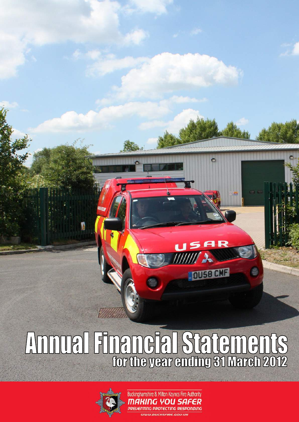# Annual Financial Statements



Buckinghamshire & Milton Keynes Fire Authority MAKING YOU SAFER **PREVENTING PROTECTING RESPONDING** WWW.BUCKSFIRE.GOV.UH

**DUSB CMF**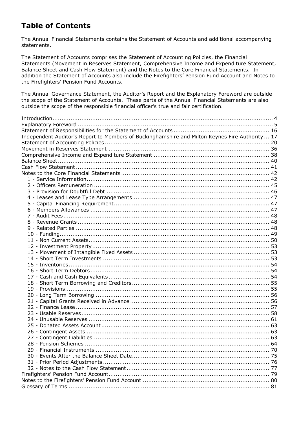# **Table of Contents**

The Annual Financial Statements contains the Statement of Accounts and additional accompanying statements.

The Statement of Accounts comprises the Statement of Accounting Policies, the Financial Statements (Movement in Reserves Statement, Comprehensive Income and Expenditure Statement, Balance Sheet and Cash Flow Statement) and the Notes to the Core Financial Statements. In addition the Statement of Accounts also include the Firefighters" Pension Fund Account and Notes to the Firefighters" Pension Fund Accounts.

The Annual Governance Statement, the Auditor"s Report and the Explanatory Foreword are outside the scope of the Statement of Accounts. These parts of the Annual Financial Statements are also outside the scope of the responsible financial officer"s true and fair certification.

| Independent Auditor's Report to Members of Buckinghamshire and Milton Keynes Fire Authority  17 |  |
|-------------------------------------------------------------------------------------------------|--|
|                                                                                                 |  |
|                                                                                                 |  |
|                                                                                                 |  |
|                                                                                                 |  |
|                                                                                                 |  |
|                                                                                                 |  |
|                                                                                                 |  |
|                                                                                                 |  |
|                                                                                                 |  |
|                                                                                                 |  |
|                                                                                                 |  |
|                                                                                                 |  |
|                                                                                                 |  |
|                                                                                                 |  |
|                                                                                                 |  |
|                                                                                                 |  |
|                                                                                                 |  |
|                                                                                                 |  |
|                                                                                                 |  |
|                                                                                                 |  |
|                                                                                                 |  |
|                                                                                                 |  |
|                                                                                                 |  |
|                                                                                                 |  |
|                                                                                                 |  |
|                                                                                                 |  |
|                                                                                                 |  |
|                                                                                                 |  |
|                                                                                                 |  |
|                                                                                                 |  |
|                                                                                                 |  |
|                                                                                                 |  |
|                                                                                                 |  |
|                                                                                                 |  |
|                                                                                                 |  |
|                                                                                                 |  |
|                                                                                                 |  |
|                                                                                                 |  |
|                                                                                                 |  |
|                                                                                                 |  |
|                                                                                                 |  |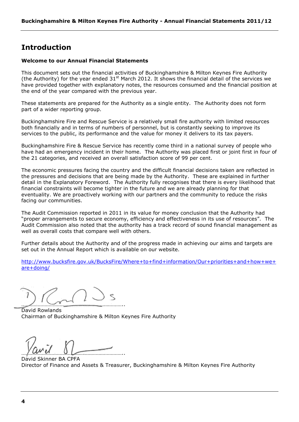# <span id="page-3-0"></span>**Introduction**

#### **Welcome to our Annual Financial Statements**

This document sets out the financial activities of Buckinghamshire & Milton Keynes Fire Authority (the Authority) for the year ended  $31<sup>st</sup>$  March 2012. It shows the financial detail of the services we have provided together with explanatory notes, the resources consumed and the financial position at the end of the year compared with the previous year.

These statements are prepared for the Authority as a single entity. The Authority does not form part of a wider reporting group.

Buckinghamshire Fire and Rescue Service is a relatively small fire authority with limited resources both financially and in terms of numbers of personnel, but is constantly seeking to improve its services to the public, its performance and the value for money it delivers to its tax payers.

Buckinghamshire Fire & Rescue Service has recently come third in a national survey of people who have had an emergency incident in their home. The Authority was placed first or joint first in four of the 21 categories, and received an overall satisfaction score of 99 per cent.

The economic pressures facing the country and the difficult financial decisions taken are reflected in the pressures and decisions that are being made by the Authority. These are explained in further detail in the Explanatory Foreword. The Authority fully recognises that there is every likelihood that financial constraints will become tighter in the future and we are already planning for that eventuality. We are proactively working with our partners and the community to reduce the risks facing our communities.

The Audit Commission reported in 2011 in its value for money conclusion that the Authority had "proper arrangements to secure economy, efficiency and effectiveness in its use of resources". The Audit Commission also noted that the authority has a track record of sound financial management as well as overall costs that compare well with others.

Further details about the Authority and of the progress made in achieving our aims and targets are set out in the Annual Report which is available on our website.

[http://www.bucksfire.gov.uk/BucksFire/Where+to+find+information/Our+priorities+and+how+we+](http://www.bucksfire.gov.uk/BucksFire/Where+to+find+information/Our+priorities+and+how+we+are+doing/) [are+doing/](http://www.bucksfire.gov.uk/BucksFire/Where+to+find+information/Our+priorities+and+how+we+are+doing/)

……………………………………….………………………..

David Rowlands Chairman of Buckinghamshire & Milton Keynes Fire Authority

 $\mu$   $\mu$   $\mu$   $\mu$   $\mu$   $\mu$   $\mu$ 

David Skinner BA CPFA Director of Finance and Assets & Treasurer, Buckinghamshire & Milton Keynes Fire Authority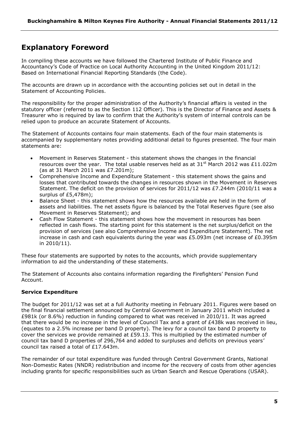# <span id="page-4-0"></span>**Explanatory Foreword**

In compiling these accounts we have followed the Chartered Institute of Public Finance and Accountancy"s Code of Practice on Local Authority Accounting in the United Kingdom 2011/12: Based on International Financial Reporting Standards (the Code).

The accounts are drawn up in accordance with the accounting policies set out in detail in the Statement of Accounting Policies.

The responsibility for the proper administration of the Authority's financial affairs is vested in the statutory officer (referred to as the Section 112 Officer). This is the Director of Finance and Assets & Treasurer who is required by law to confirm that the Authority"s system of internal controls can be relied upon to produce an accurate Statement of Accounts.

The Statement of Accounts contains four main statements. Each of the four main statements is accompanied by supplementary notes providing additional detail to figures presented. The four main statements are:

- Movement in Reserves Statement this statement shows the changes in the financial resources over the year. The total usable reserves held as at  $31^{st}$  March 2012 was £11.022m (as at 31 March 2011 was £7.201m);
- Comprehensive Income and Expenditure Statement this statement shows the gains and losses that contributed towards the changes in resources shown in the Movement in Reserves Statement. The deficit on the provision of services for 2011/12 was £7.244m (2010/11 was a surplus of £5,478m);
- Balance Sheet this statement shows how the resources available are held in the form of assets and liabilities. The net assets figure is balanced by the Total Reserves figure (see also Movement in Reserves Statement); and
- Cash Flow Statement this statement shows how the movement in resources has been reflected in cash flows. The starting point for this statement is the net surplus/deficit on the provision of services (see also Comprehensive Income and Expenditure Statement). The net increase in cash and cash equivalents during the year was £5.093m (net increase of £0.395m in 2010/11).

These four statements are supported by notes to the accounts, which provide supplementary information to aid the understanding of these statements.

The Statement of Accounts also contains information regarding the Firefighters" Pension Fund Account.

# **Service Expenditure**

The budget for 2011/12 was set at a full Authority meeting in February 2011. Figures were based on the final financial settlement announced by Central Government in January 2011 which included a £981k (or 8.6%) reduction in funding compared to what was received in 2010/11. It was agreed that there would be no increase in the level of Council Tax and a grant of £438k was received in lieu, (equates to a 2.5% increase per band D property). The levy for a council tax band D property to cover the services we provide remained at £59.13. This is multiplied by the estimated number of council tax band D properties of 296,764 and added to surpluses and deficits on previous years" council tax raised a total of £17.643m.

The remainder of our total expenditure was funded through Central Government Grants, National Non-Domestic Rates (NNDR) redistribution and income for the recovery of costs from other agencies including grants for specific responsibilities such as Urban Search and Rescue Operations (USAR).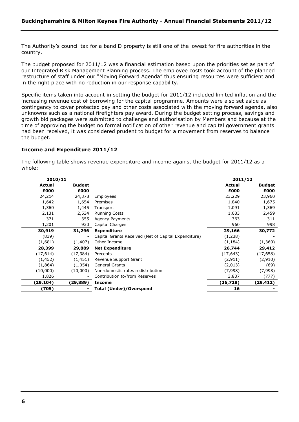The Authority's council tax for a band D property is still one of the lowest for fire authorities in the country.

The budget proposed for 2011/12 was a financial estimation based upon the priorities set as part of our Integrated Risk Management Planning process. The employee costs took account of the planned restructure of staff under our "Moving Forward Agenda" thus ensuring resources were sufficient and in the right place with no reduction in our response capability.

Specific items taken into account in setting the budget for 2011/12 included limited inflation and the increasing revenue cost of borrowing for the capital programme. Amounts were also set aside as contingency to cover protected pay and other costs associated with the moving forward agenda, also unknowns such as a national firefighters pay award. During the budget setting process, savings and growth bid packages were submitted to challenge and authorisation by Members and because at the time of approving the budget no formal notification of other revenue and capital government grants had been received, it was considered prudent to budget for a movement from reserves to balance the budget.

#### **Income and Expenditure 2011/12**

The following table shows revenue expenditure and income against the budget for 2011/12 as a whole:

| 2010/11   |                |                                                      | 2011/12   |               |
|-----------|----------------|------------------------------------------------------|-----------|---------------|
| Actual    | <b>Budget</b>  |                                                      | Actual    | <b>Budget</b> |
| £000      | £000           |                                                      | £000      | £000          |
| 24,214    | 24,378         | Employees                                            | 23,229    | 23,960        |
| 1,642     | 1,654          | Premises                                             | 1,840     | 1,675         |
| 1,360     | 1,445          | Transport                                            | 1,091     | 1,369         |
| 2,131     | 2,534          | <b>Running Costs</b>                                 | 1,683     | 2,459         |
| 371       | 355            | <b>Agency Payments</b>                               | 363       | 311           |
| 1,201     | 930            | Capital Charges                                      | 960       | 998           |
| 30,919    | 31,296         | <b>Expenditure</b>                                   | 29,166    | 30,772        |
| (839)     | ۰              | Capital Grants Received (Net of Capital Expenditure) | (1,238)   |               |
| (1,681)   | (1, 407)       | Other Income                                         | (1, 184)  | (1,360)       |
| 28,399    | 29,889         | <b>Net Expenditure</b>                               | 26,744    | 29,412        |
| (17, 614) | (17, 384)      | Precepts                                             | (17, 643) | (17, 658)     |
| (1, 452)  | (1, 451)       | Revenue Support Grant                                | (2, 911)  | (2,910)       |
| (1,864)   | (1,054)        | <b>General Grants</b>                                | (2,013)   | (69)          |
| (10,000)  | (10,000)       | Non-domestic rates redistribution                    | (7,998)   | (7,998)       |
| 1,826     | $\overline{a}$ | Contribution to/from Reserves                        | 3,837     | (777)         |
| (29,104)  | (29,889)       | Income                                               | (26, 728) | (29, 412)     |
| (705)     |                | Total (Under)/Overspend                              | 16        |               |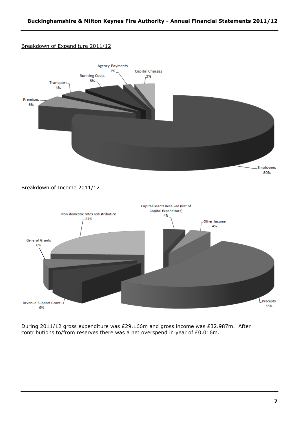# Breakdown of Expenditure 2011/12



During 2011/12 gross expenditure was £29.166m and gross income was £32.987m. After contributions to/from reserves there was a net overspend in year of £0.016m.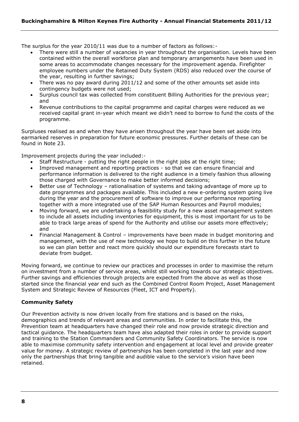The surplus for the year 2010/11 was due to a number of factors as follows:-

- There were still a number of vacancies in year throughout the organisation. Levels have been contained within the overall workforce plan and temporary arrangements have been used in some areas to accommodate changes necessary for the improvement agenda. Firefighter employee numbers under the Retained Duty System (RDS) also reduced over the course of the year, resulting in further savings;
- There was no pay award during 2011/12 and some of the other amounts set aside into contingency budgets were not used;
- Surplus council tax was collected from constituent Billing Authorities for the previous year; and
- Revenue contributions to the capital programme and capital charges were reduced as we received capital grant in-year which meant we didn"t need to borrow to fund the costs of the programme.

Surpluses realised as and when they have arisen throughout the year have been set aside into earmarked reserves in preparation for future economic pressures. Further details of these can be found in Note 23.

Improvement projects during the year included:-

- Staff Restructure putting the right people in the right jobs at the right time;
- Improved management and reporting practices so that we can ensure financial and performance information is delivered to the right audience in a timely fashion thus allowing those charged with Governance to make better informed decisions;
- Better use of Technology rationalisation of systems and taking advantage of more up to date programmes and packages available. This included a new e-ordering system going live during the year and the procurement of software to improve our performance reporting together with a more integrated use of the SAP Human Resources and Payroll modules;
- Moving forward, we are undertaking a feasibility study for a new asset management system to include all assets including inventories for equipment, this is most important for us to be able to track large areas of spend for the Authority and utilise our assets more effectively; and
- Financial Management & Control improvements have been made in budget monitoring and management, with the use of new technology we hope to build on this further in the future so we can plan better and react more quickly should our expenditure forecasts start to deviate from budget.

Moving forward, we continue to review our practices and processes in order to maximise the return on investment from a number of service areas, whilst still working towards our strategic objectives. Further savings and efficiencies through projects are expected from the above as well as those started since the financial year end such as the Combined Control Room Project, Asset Management System and Strategic Review of Resources (Fleet, ICT and Property).

# **Community Safety**

Our Prevention activity is now driven locally from fire stations and is based on the risks, demographics and trends of relevant areas and communities. In order to facilitate this, the Prevention team at headquarters have changed their role and now provide strategic direction and tactical guidance. The headquarters team have also adapted their roles in order to provide support and training to the Station Commanders and Community Safety Coordinators. The service is now able to maximise community safety intervention and engagement at local level and provide greater value for money. A strategic review of partnerships has been completed in the last year and now only the partnerships that bring tangible and audible value to the service"s vision have been retained.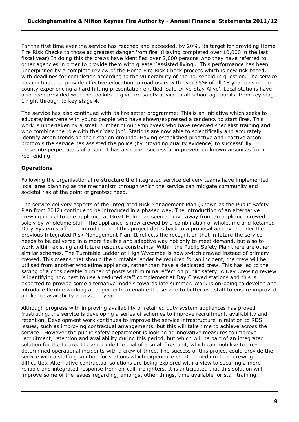For the first time ever the service has reached and exceeded, by 20%, its target for providing Home Fire Risk Checks to those at greatest danger from fire. (Having completed over 10,000 in the last fiscal year) In doing this the crews have identified over 2,000 persons who they have referred to other agencies in order to provide them with greater "assisted living". This performance has been underpinned by a complete review of the Home Fire Risk Check process which is now risk based, with deadlines for completion according to the vulnerability of the household in question. The service has continued to provide effective education to road users with over 95% of all 18 year olds in the county experiencing a hard hitting presentation entitled "Safe Drive Stay Alive". Local stations have also been provided with the toolkits to give fire safety advice to all school age pupils, from key stage 1 right through to key stage 4.

The service has also continued with its fire setter programme: This is an initiative which seeks to educate/intervene with young people who have shown/expressed a tendency to start fires. This work is undertaken by a small number of our employees who have received specialist training and who combine the role with their 'day job'. Stations are now able to scientifically and accurately identify arson trends on their station grounds. Having established proactive and reactive arson protocols the service has assisted the police (by providing quality evidence) to successfully prosecute perpetrators of arson. It has also been successful in preventing known arsonists from reoffending

# **Operations**

Following the organisational re-structure the integrated service delivery teams have implemented local area planning as the mechanism through which the service can mitigate community and societal risk at the point of greatest need.

The service delivery aspects of the Integrated Risk Management Plan (known as the Public Safety Plan from 2012) continue to be introduced in a phased way. The introduction of an alternative crewing model to one appliance at Great Holm has seen a move away from an appliance crewed solely by wholetime staff. The appliance is now crewed by a combination of wholetime and Retained Duty System staff. The introduction of this project dates back to a proposal approved under the previous Integrated Risk Management Plan. It reflects the recognition that in future the service needs to be delivered in a more flexible and adaptive way not only to meet demand, but also to work within existing and future resource constraints. Within the Public Safety Plan there are other similar schemes. The Turntable Ladder at High Wycombe is now switch crewed instead of primary crewed. This means that should the turntable ladder be required for an incident, the crew will be utilised from another wholetime appliance, rather than have a dedicated crew. This has led to the saving of a considerable number of posts with minimal effect on public safety. A Day Crewing review is identifying how best to use a reduced staff complement at Day Crewed stations and this is expected to provide some alternative models towards late summer. Work is on-going to develop and introduce flexible working arrangements to enable the service to better use staff to ensure improved appliance availability across the year.

Although progress with improving availability of retained duty system appliances has proved frustrating, the service is developing a series of schemes to improve recruitment, availability and retention. Development work continues to improve the service infrastructure in relation to RDS issues, such as improving contractual arrangements, but this will take time to achieve across the service. However the public safety department is looking at innovative measures to improve recruitment, retention and availability during this period, but which will be part of an integrated solution for the future. These include the trial of a small fires unit, which can mobilise to predetermined operational incidents with a crew of three. The success of this project could provide the service with a staffing solution for stations which experience short to medium term crewing difficulties. Alternative contractual solutions are being explored with a view to securing a more reliable and integrated response from on-call firefighters. It is anticipated that this solution will improve some of the issues regarding, amongst other things, time available for staff training.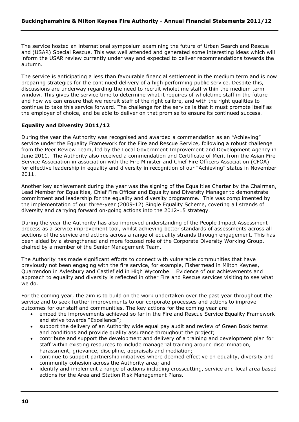The service hosted an international symposium examining the future of Urban Search and Rescue and (USAR) Special Rescue. This was well attended and generated some interesting ideas which will inform the USAR review currently under way and expected to deliver recommendations towards the autumn.

The service is anticipating a less than favourable financial settlement in the medium term and is now preparing strategies for the continued delivery of a high performing public service. Despite this, discussions are underway regarding the need to recruit wholetime staff within the medium term window. This gives the service time to determine what it requires of wholetime staff in the future and how we can ensure that we recruit staff of the right calibre, and with the right qualities to continue to take this service forward. The challenge for the service is that it must promote itself as the employer of choice, and be able to deliver on that promise to ensure its continued success.

# **Equality and Diversity 2011/12**

During the year the Authority was recognised and awarded a commendation as an "Achieving" service under the Equality Framework for the Fire and Rescue Service, following a robust challenge from the Peer Review Team, led by the Local Government Improvement and Development Agency in June 2011. The Authority also received a commendation and Certificate of Merit from the Asian Fire Service Association in association with the Fire Minister and Chief Fire Officers Association (CFOA) for effective leadership in equality and diversity in recognition of our "Achieving" status in November 2011.

Another key achievement during the year was the signing of the Equalities Charter by the Chairman, Lead Member for Equalities, Chief Fire Officer and Equality and Diversity Manager to demonstrate commitment and leadership for the equality and diversity programme. This was complimented by the implementation of our three-year (2009-12) Single Equality Scheme, covering all strands of diversity and carrying forward on-going actions into the 2012-15 strategy.

During the year the Authority has also improved understanding of the People Impact Assessment process as a service improvement tool, whilst achieving better standards of assessments across all sections of the service and actions across a range of equality strands through engagement. This has been aided by a strengthened and more focused role of the Corporate Diversity Working Group, chaired by a member of the Senior Management Team.

The Authority has made significant efforts to connect with vulnerable communities that have previously not been engaging with the fire service, for example, Fishermead in Milton Keynes, Quarrendon in Aylesbury and Castlefield in High Wycombe. Evidence of our achievements and approach to equality and diversity is reflected in other Fire and Rescue services visiting to see what we do.

For the coming year, the aim is to build on the work undertaken over the past year throughout the service and to seek further improvements to our corporate processes and actions to improve outcomes for our staff and communities. The key actions for the coming year are:

- embed the improvements achieved so far in the Fire and Rescue Service Equality Framework and strive towards "Excellence";
- support the delivery of an Authority wide equal pay audit and review of Green Book terms and conditions and provide quality assurance throughout the project;
- contribute and support the development and delivery of a training and development plan for staff within existing resources to include managerial training around discrimination, harassment, grievance, discipline, appraisals and mediation;
- continue to support partnership initiatives where deemed effective on equality, diversity and community cohesion across the Authority area; and
- identify and implement a range of actions including crosscutting, service and local area based actions for the Area and Station Risk Management Plans.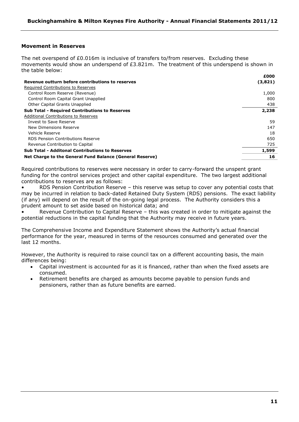#### **Movement in Reserves**

The net overspend of £0.016m is inclusive of transfers to/from reserves. Excluding these movements would show an underspend of £3.821m. The treatment of this underspend is shown in the table below:

|                                                          | £000    |
|----------------------------------------------------------|---------|
| Revenue outturn before contributions to reserves         | (3,821) |
| Required Contributions to Reserves                       |         |
| Control Room Reserve (Revenue)                           | 1,000   |
| Control Room Capital Grant Unapplied                     | 800     |
| Other Capital Grants Unapplied                           | 438     |
| <b>Sub Total - Required Contributions to Reserves</b>    | 2,238   |
| Additional Contributions to Reserves                     |         |
| Invest to Save Reserve                                   | 59      |
| New Dimensions Reserve                                   | 147     |
| Vehicle Reserve                                          | 18      |
| RDS Pension Contributions Reserve                        | 650     |
| Revenue Contribution to Capital                          | 725     |
| <b>Sub Total - Additonal Contributions to Reserves</b>   | 1,599   |
| Net Charge to the General Fund Balance (General Reserve) | 16      |

Required contributions to reserves were necessary in order to carry-forward the unspent grant funding for the control services project and other capital expenditure. The two largest additional contributions to reserves are as follows:

RDS Pension Contribution Reserve - this reserve was setup to cover any potential costs that may be incurred in relation to back-dated Retained Duty System (RDS) pensions. The exact liability (if any) will depend on the result of the on-going legal process. The Authority considers this a prudent amount to set aside based on historical data; and

Revenue Contribution to Capital Reserve - this was created in order to mitigate against the potential reductions in the capital funding that the Authority may receive in future years.

The Comprehensive Income and Expenditure Statement shows the Authority's actual financial performance for the year, measured in terms of the resources consumed and generated over the last 12 months.

However, the Authority is required to raise council tax on a different accounting basis, the main differences being:

- Capital investment is accounted for as it is financed, rather than when the fixed assets are consumed.
- Retirement benefits are charged as amounts become payable to pension funds and pensioners, rather than as future benefits are earned.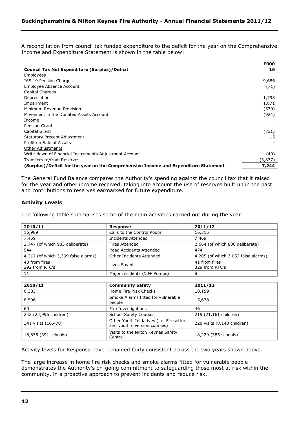A reconciliation from council tax funded expenditure to the deficit for the year on the Comprehensive Income and Expenditure Statement is shown in the table below:

|                                                                                      | £000    |
|--------------------------------------------------------------------------------------|---------|
| <b>Council Tax Net Expenditure (Surplus)/Deficit</b>                                 | 16      |
| <b>Employees</b>                                                                     |         |
| IAS 19 Pension Charges                                                               | 9,686   |
| Employee Absence Account                                                             | (71)    |
| <b>Capital Charges</b>                                                               |         |
| Depreciation                                                                         | 1,798   |
| Impairment                                                                           | 1,871   |
| Minimum Revenue Provision                                                            | (530)   |
| Movement in the Donated Assets Account                                               | (924)   |
| Income                                                                               |         |
| Pension Grant                                                                        |         |
| Capital Grant                                                                        | (731)   |
| Statutory Precept Adjustment                                                         | 15      |
| Profit on Sale of Assets                                                             |         |
| Other Adjustments                                                                    |         |
| Write-down of Financial Instruments Adjustment Account                               | (49)    |
| Transfers to/from Reserves                                                           | (3,837) |
| (Surplus)/Deficit for the year on the Comprehensive Income and Expenditure Statement | 7,244   |

The General Fund Balance compares the Authority's spending against the council tax that it raised for the year and other income received, taking into account the use of reserves built up in the past and contributions to reserves earmarked for future expenditure.

# **Activity Levels**

The following table summarises some of the main activities carried out during the year:

| 2010/11                             | <b>Response</b>             | 2011/12                             |
|-------------------------------------|-----------------------------|-------------------------------------|
| 16,989                              | Calls to the Control Room   | 16,315                              |
| 7,459                               | Incidents Attended          | 7.469                               |
| 2,747 (of which 983 deliberate)     | Fires Attended              | 2,664 (of which 886 deliberate)     |
| 544                                 | Road Accidents Attended     | 474                                 |
| 4,217 (of which 3,399 false alarms) | Other Incidents Attended    | 4,205 (of which 3,052 false alarms) |
| 40 from fires<br>292 from RTC's     | Lives Saved                 | 41 from fires<br>329 from RTC's     |
| 11                                  | Major Incidents (10+ Pumps) | 8                                   |

| 2010/11               | <b>Community Safety</b>                                                           | 2011/12                     |
|-----------------------|-----------------------------------------------------------------------------------|-----------------------------|
| 6,383                 | Home Fire Risk Checks                                                             | 10,159                      |
| 8,596                 | Smoke Alarms fitted for vulnerable<br>people                                      | 15,678                      |
| 60                    | Fire Investigations                                                               | 46                          |
| 242 (22,996 children) | <b>School Safety Courses</b>                                                      | 219 (21,161 children)       |
| 341 visits (10,470)   | Other Youth Initiatives ( <i>i.e.</i> Firesetters<br>and youth diversion courses) | 220 visits (8,143 children) |
| 18,855 (391 schools)  | Visits to the Milton Keynes Safety<br>Centre                                      | 18,229 (385 schools)        |

Activity levels for Response have remained fairly consistent across the two years shown above.

The large increase in home fire risk checks and smoke alarms fitted for vulnerable people demonstrates the Authority's on-going commitment to safeguarding those most at risk within the community, in a proactive approach to prevent incidents and reduce risk.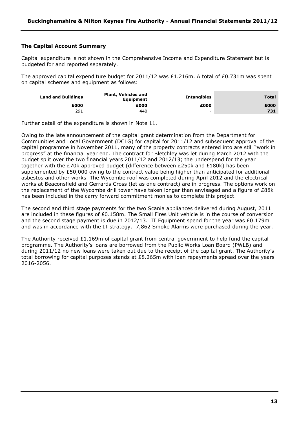# **The Capital Account Summary**

Capital expenditure is not shown in the Comprehensive Income and Expenditure Statement but is budgeted for and reported separately.

The approved capital expenditure budget for 2011/12 was £1.216m. A total of £0.731m was spent on capital schemes and equipment as follows:

| <b>Land and Buildings</b> | <b>Plant, Vehicles and</b><br><b>Equipment</b> | <b>Intangibles</b>       | <b>Total</b> |
|---------------------------|------------------------------------------------|--------------------------|--------------|
| £000                      | £000                                           | £000                     | £000         |
| 291                       | 440                                            | $\overline{\phantom{0}}$ | 731          |

Further detail of the expenditure is shown in Note 11.

Owing to the late announcement of the capital grant determination from the Department for Communities and Local Government (DCLG) for capital for 2011/12 and subsequent approval of the capital programme in November 2011, many of the property contracts entered into are still "work in progress" at the financial year end. The contract for Bletchley was let during March 2012 with the budget split over the two financial years 2011/12 and 2012/13; the underspend for the year together with the £70k approved budget (difference between £250k and £180k) has been supplemented by £50,000 owing to the contract value being higher than anticipated for additional asbestos and other works. The Wycombe roof was completed during April 2012 and the electrical works at Beaconsfield and Gerrards Cross (let as one contract) are in progress. The options work on the replacement of the Wycombe drill tower have taken longer than envisaged and a figure of £88k has been included in the carry forward commitment monies to complete this project.

The second and third stage payments for the two Scania appliances delivered during August, 2011 are included in these figures of £0.158m. The Small Fires Unit vehicle is in the course of conversion and the second stage payment is due in 2012/13. IT Equipment spend for the year was £0.179m and was in accordance with the IT strategy. 7,862 Smoke Alarms were purchased during the year.

The Authority received £1.169m of capital grant from central government to help fund the capital programme. The Authority"s loans are borrowed from the Public Works Loan Board (PWLB) and during 2011/12 no new loans were taken out due to the receipt of the capital grant. The Authority"s total borrowing for capital purposes stands at £8.265m with loan repayments spread over the years 2016-2056.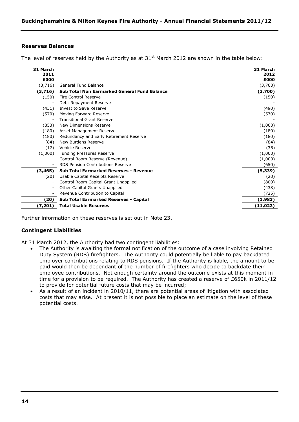#### **Reserves Balances**

The level of reserves held by the Authority as at  $31<sup>st</sup>$  March 2012 are shown in the table below:

| 31 March<br>2011<br>£000 |                                                     | 31 March<br>2012<br>£000 |
|--------------------------|-----------------------------------------------------|--------------------------|
| (3,716)                  | <b>General Fund Balance</b>                         | (3,700)                  |
| (3,716)                  | <b>Sub Total Non Earmarked General Fund Balance</b> | (3,700)                  |
| (150)                    | <b>Fire Control Reserve</b>                         | (150)                    |
|                          | Debt Repayment Reserve                              |                          |
| (431)                    | Invest to Save Reserve                              | (490)                    |
| (570)                    | Moving Forward Reserve                              | (570)                    |
|                          | <b>Transitional Grant Reserve</b>                   |                          |
| (853)                    | New Dimensions Reserve                              | (1,000)                  |
| (180)                    | Asset Management Reserve                            | (180)                    |
| (180)                    | Redundancy and Early Retirement Reserve             | (180)                    |
| (84)                     | New Burdens Reserve                                 | (84)                     |
| (17)                     | Vehicle Reserve                                     | (35)                     |
| (1,000)                  | <b>Funding Pressures Reserve</b>                    | (1,000)                  |
| $\overline{\phantom{a}}$ | Control Room Reserve (Revenue)                      | (1,000)                  |
|                          | RDS Pension Contributions Reserve                   | (650)                    |
| (3, 465)                 | <b>Sub Total Earmarked Reserves - Revenue</b>       | (5, 339)                 |
| (20)                     | Usable Capital Receipts Reserve                     | (20)                     |
|                          | Control Room Capital Grant Unapplied                | (800)                    |
| $\overline{\phantom{a}}$ | Other Capital Grants Unapplied                      | (438)                    |
| $\overline{\phantom{a}}$ | Revenue Contribution to Capital                     | (725)                    |
| (20)                     | <b>Sub Total Earmarked Reserves - Capital</b>       | (1,983)                  |
| (7,201)                  | <b>Total Usable Reserves</b>                        | (11, 022)                |

Further information on these reserves is set out in Note 23.

# **Contingent Liabilities**

At 31 March 2012, the Authority had two contingent liabilities:

- The Authority is awaiting the formal notification of the outcome of a case involving Retained Duty System (RDS) firefighters. The Authority could potentially be liable to pay backdated employer contributions relating to RDS pensions. If the Authority is liable, the amount to be paid would then be dependant of the number of firefighters who decide to backdate their employee contributions. Not enough certainty around the outcome exists at this moment in time for a provision to be required. The Authority has created a reserve of £650k in 2011/12 to provide for potential future costs that may be incurred;
- As a result of an incident in 2010/11, there are potential areas of litigation with associated costs that may arise. At present it is not possible to place an estimate on the level of these potential costs.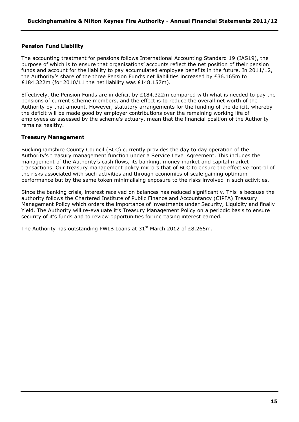# **Pension Fund Liability**

The accounting treatment for pensions follows International Accounting Standard 19 (IAS19), the purpose of which is to ensure that organisations" accounts reflect the net position of their pension funds and account for the liability to pay accumulated employee benefits in the future. In 2011/12, the Authority"s share of the three Pension Fund"s net liabilities increased by £36.165m to £184.322m (for 2010/11 the net liability was £148.157m).

Effectively, the Pension Funds are in deficit by £184.322m compared with what is needed to pay the pensions of current scheme members, and the effect is to reduce the overall net worth of the Authority by that amount. However, statutory arrangements for the funding of the deficit, whereby the deficit will be made good by employer contributions over the remaining working life of employees as assessed by the scheme's actuary, mean that the financial position of the Authority remains healthy.

# **Treasury Management**

Buckinghamshire County Council (BCC) currently provides the day to day operation of the Authority"s treasury management function under a Service Level Agreement. This includes the management of the Authority"s cash flows, its banking, money market and capital market transactions. Our treasury management policy mirrors that of BCC to ensure the effective control of the risks associated with such activities and through economies of scale gaining optimum performance but by the same token minimalising exposure to the risks involved in such activities.

Since the banking crisis, interest received on balances has reduced significantly. This is because the authority follows the Chartered Institute of Public Finance and Accountancy (CIPFA) Treasury Management Policy which orders the importance of investments under Security, Liquidity and finally Yield. The Authority will re-evaluate it"s Treasury Management Policy on a periodic basis to ensure security of it's funds and to review opportunities for increasing interest earned.

The Authority has outstanding PWLB Loans at  $31<sup>st</sup>$  March 2012 of £8.265m.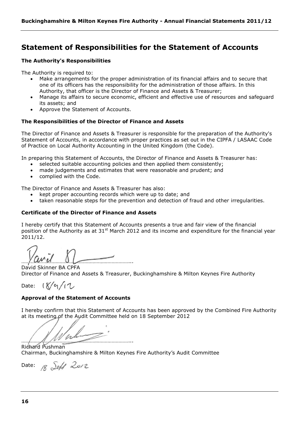# <span id="page-15-0"></span>**Statement of Responsibilities for the Statement of Accounts**

# **The Authority's Responsibilities**

The Authority is required to:

- Make arrangements for the proper administration of its financial affairs and to secure that one of its officers has the responsibility for the administration of those affairs. In this Authority, that officer is the Director of Finance and Assets & Treasurer;
- Manage its affairs to secure economic, efficient and effective use of resources and safeguard its assets; and
- Approve the Statement of Accounts.

# **The Responsibilities of the Director of Finance and Assets**

The Director of Finance and Assets & Treasurer is responsible for the preparation of the Authority's Statement of Accounts, in accordance with proper practices as set out in the CIPFA / LASAAC Code of Practice on Local Authority Accounting in the United Kingdom (the Code).

In preparing this Statement of Accounts, the Director of Finance and Assets & Treasurer has:

- selected suitable accounting policies and then applied them consistently;
- made judgements and estimates that were reasonable and prudent; and
- complied with the Code.

The Director of Finance and Assets & Treasurer has also:

- kept proper accounting records which were up to date; and
- taken reasonable steps for the prevention and detection of fraud and other irregularities.

# **Certificate of the Director of Finance and Assets**

I hereby certify that this Statement of Accounts presents a true and fair view of the financial position of the Authority as at 31<sup>st</sup> March 2012 and its income and expenditure for the financial year 2011/12.

……………………………………………………………………...

David Skinner BA CPFA Director of Finance and Assets & Treasurer, Buckinghamshire & Milton Keynes Fire Authority

Date:  $8/9/12$ 

# **Approval of the Statement of Accounts**

I hereby confirm that this Statement of Accounts has been approved by the Combined Fire Authority at its meeting of the Audit Committee held on 18 September 2012

 $\frac{1}{2}$  . The same state of  $\frac{1}{2}$  is the same state of  $\frac{1}{2}$  is the same state of  $\frac{1}{2}$ 

Richard Pushman Chairman, Buckinghamshire & Milton Keynes Fire Authority"s Audit Committee

Date:  $\frac{1}{8}$  Seff 2012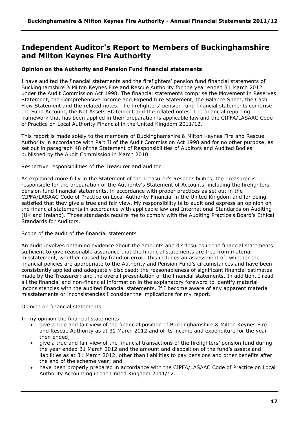# <span id="page-16-0"></span>**Independent Auditor's Report to Members of Buckinghamshire and Milton Keynes Fire Authority**

# **Opinion on the Authority and Pension Fund financial statements**

I have audited the financial statements and the firefighters" pension fund financial statements of Buckinghamshire & Milton Keynes Fire and Rescue Authority for the year ended 31 March 2012 under the Audit Commission Act 1998. The financial statements comprise the Movement in Reserves Statement, the Comprehensive Income and Expenditure Statement, the Balance Sheet, the Cash Flow Statement and the related notes. The firefighters' pension fund financial statements comprise the Fund Account, the Net Assets Statement and the related notes. The financial reporting framework that has been applied in their preparation is applicable law and the CIPFA/LASAAC Code of Practice on Local Authority Financial in the United Kingdom 2011/12.

This report is made solely to the members of Buckinghamshire & Milton Keynes Fire and Rescue Authority in accordance with Part II of the Audit Commission Act 1998 and for no other purpose, as set out in paragraph 48 of the Statement of Responsibilities of Auditors and Audited Bodies published by the Audit Commission in March 2010.

#### Respective responsibilities of the Treasurer and auditor

As explained more fully in the Statement of the Treasurer"s Responsibilities, the Treasurer is responsible for the preparation of the Authority's Statement of Accounts, including the firefighters' pension fund financial statements, in accordance with proper practices as set out in the CIPFA/LASAAC Code of Practice on Local Authority Financial in the United Kingdom and for being satisfied that they give a true and fair view. My responsibility is to audit and express an opinion on the financial statements in accordance with applicable law and International Standards on Auditing (UK and Ireland). Those standards require me to comply with the Auditing Practice"s Board"s Ethical Standards for Auditors.

#### Scope of the audit of the financial statements

An audit involves obtaining evidence about the amounts and disclosures in the financial statements sufficient to give reasonable assurance that the financial statements are free from material misstatement, whether caused by fraud or error. This includes an assessment of: whether the financial policies are appropriate to the Authority and Pension Fund"s circumstances and have been consistently applied and adequately disclosed; the reasonableness of significant financial estimates made by the Treasurer; and the overall presentation of the financial statements. In addition, I read all the financial and non-financial information in the explanatory foreword to identify material inconsistencies with the audited financial statements. If I become aware of any apparent material misstatements or inconsistencies I consider the implications for my report.

# Opinion on financial statements

In my opinion the financial statements:

- give a true and fair view of the financial position of Buckinghamshire & Milton Keynes Fire and Rescue Authority as at 31 March 2012 and of its income and expenditure for the year then ended;
- give a true and fair view of the financial transactions of the firefighters" pension fund during the year ended 31 March 2012 and the amount and disposition of the fund"s assets and liabilities as at 31 March 2012, other than liabilities to pay pensions and other benefits after the end of the scheme year; and
- have been properly prepared in accordance with the CIPFA/LASAAC Code of Practice on Local Authority Accounting in the United Kingdom 2011/12.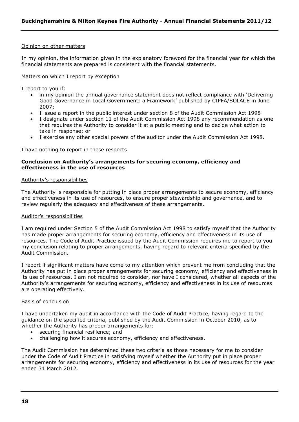#### Opinion on other matters

In my opinion, the information given in the explanatory foreword for the financial year for which the financial statements are prepared is consistent with the financial statements.

#### Matters on which I report by exception

I report to you if:

- in my opinion the annual governance statement does not reflect compliance with "Delivering Good Governance in Local Government: a Framework" published by CIPFA/SOLACE in June 2007;
- I issue a report in the public interest under section 8 of the Audit Commission Act 1998
- I designate under section 11 of the Audit Commission Act 1998 any recommendation as one that requires the Authority to consider it at a public meeting and to decide what action to take in response; or
- I exercise any other special powers of the auditor under the Audit Commission Act 1998.

I have nothing to report in these respects

#### **Conclusion on Authority's arrangements for securing economy, efficiency and effectiveness in the use of resources**

#### Authority"s responsibilities

The Authority is responsible for putting in place proper arrangements to secure economy, efficiency and effectiveness in its use of resources, to ensure proper stewardship and governance, and to review regularly the adequacy and effectiveness of these arrangements.

#### Auditor"s responsibilities

I am required under Section 5 of the Audit Commission Act 1998 to satisfy myself that the Authority has made proper arrangements for securing economy, efficiency and effectiveness in its use of resources. The Code of Audit Practice issued by the Audit Commission requires me to report to you my conclusion relating to proper arrangements, having regard to relevant criteria specified by the Audit Commission.

I report if significant matters have come to my attention which prevent me from concluding that the Authority has put in place proper arrangements for securing economy, efficiency and effectiveness in its use of resources. I am not required to consider, nor have I considered, whether all aspects of the Authority"s arrangements for securing economy, efficiency and effectiveness in its use of resources are operating effectively.

#### Basis of conclusion

I have undertaken my audit in accordance with the Code of Audit Practice, having regard to the guidance on the specified criteria, published by the Audit Commission in October 2010, as to whether the Authority has proper arrangements for:

- securing financial resilience; and
- challenging how it secures economy, efficiency and effectiveness.

The Audit Commission has determined these two criteria as those necessary for me to consider under the Code of Audit Practice in satisfying myself whether the Authority put in place proper arrangements for securing economy, efficiency and effectiveness in its use of resources for the year ended 31 March 2012.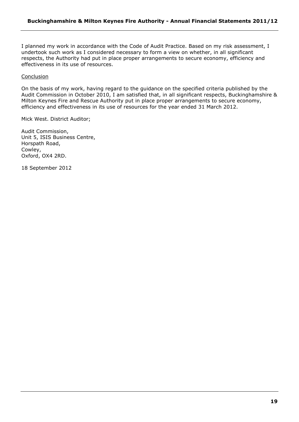I planned my work in accordance with the Code of Audit Practice. Based on my risk assessment, I undertook such work as I considered necessary to form a view on whether, in all significant respects, the Authority had put in place proper arrangements to secure economy, efficiency and effectiveness in its use of resources.

#### Conclusion

On the basis of my work, having regard to the guidance on the specified criteria published by the Audit Commission in October 2010, I am satisfied that, in all significant respects, Buckinghamshire & Milton Keynes Fire and Rescue Authority put in place proper arrangements to secure economy, efficiency and effectiveness in its use of resources for the year ended 31 March 2012.

Mick West. District Auditor;

Audit Commission, Unit 5, ISIS Business Centre, Horspath Road, Cowley, Oxford, OX4 2RD.

18 September 2012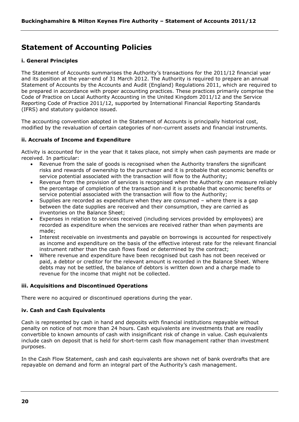# <span id="page-19-0"></span>**Statement of Accounting Policies**

# **i. General Principles**

The Statement of Accounts summarises the Authority"s transactions for the 2011/12 financial year and its position at the year-end of 31 March 2012. The Authority is required to prepare an annual Statement of Accounts by the Accounts and Audit (England) Regulations 2011, which are required to be prepared in accordance with proper accounting practices. These practices primarily comprise the Code of Practice on Local Authority Accounting in the United Kingdom 2011/12 and the Service Reporting Code of Practice 2011/12, supported by International Financial Reporting Standards (IFRS) and statutory guidance issued.

The accounting convention adopted in the Statement of Accounts is principally historical cost, modified by the revaluation of certain categories of non-current assets and financial instruments.

# **ii. Accruals of Income and Expenditure**

Activity is accounted for in the year that it takes place, not simply when cash payments are made or received. In particular:

- Revenue from the sale of goods is recognised when the Authority transfers the significant risks and rewards of ownership to the purchaser and it is probable that economic benefits or service potential associated with the transaction will flow to the Authority;
- Revenue from the provision of services is recognised when the Authority can measure reliably the percentage of completion of the transaction and it is probable that economic benefits or service potential associated with the transaction will flow to the Authority;
- Supplies are recorded as expenditure when they are consumed where there is a gap between the date supplies are received and their consumption, they are carried as inventories on the Balance Sheet;
- Expenses in relation to services received (including services provided by employees) are recorded as expenditure when the services are received rather than when payments are made;
- Interest receivable on investments and payable on borrowings is accounted for respectively as income and expenditure on the basis of the effective interest rate for the relevant financial instrument rather than the cash flows fixed or determined by the contract;
- Where revenue and expenditure have been recognised but cash has not been received or paid, a debtor or creditor for the relevant amount is recorded in the Balance Sheet. Where debts may not be settled, the balance of debtors is written down and a charge made to revenue for the income that might not be collected.

# **iii. Acquisitions and Discontinued Operations**

There were no acquired or discontinued operations during the year.

# **iv. Cash and Cash Equivalents**

Cash is represented by cash in hand and deposits with financial institutions repayable without penalty on notice of not more than 24 hours. Cash equivalents are investments that are readily convertible to known amounts of cash with insignificant risk of change in value. Cash equivalents include cash on deposit that is held for short-term cash flow management rather than investment purposes.

In the Cash Flow Statement, cash and cash equivalents are shown net of bank overdrafts that are repayable on demand and form an integral part of the Authority's cash management.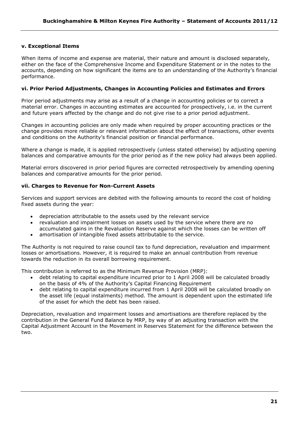# **v. Exceptional Items**

When items of income and expense are material, their nature and amount is disclosed separately, either on the face of the Comprehensive Income and Expenditure Statement or in the notes to the accounts, depending on how significant the items are to an understanding of the Authority"s financial performance.

#### **vi. Prior Period Adjustments, Changes in Accounting Policies and Estimates and Errors**

Prior period adjustments may arise as a result of a change in accounting policies or to correct a material error. Changes in accounting estimates are accounted for prospectively, i.e. in the current and future years affected by the change and do not give rise to a prior period adjustment.

Changes in accounting policies are only made when required by proper accounting practices or the change provides more reliable or relevant information about the effect of transactions, other events and conditions on the Authority's financial position or financial performance.

Where a change is made, it is applied retrospectively (unless stated otherwise) by adjusting opening balances and comparative amounts for the prior period as if the new policy had always been applied.

Material errors discovered in prior period figures are corrected retrospectively by amending opening balances and comparative amounts for the prior period.

#### **vii. Charges to Revenue for Non-Current Assets**

Services and support services are debited with the following amounts to record the cost of holding fixed assets during the year:

- depreciation attributable to the assets used by the relevant service
- revaluation and impairment losses on assets used by the service where there are no accumulated gains in the Revaluation Reserve against which the losses can be written off
- amortisation of intangible fixed assets attributable to the service.

The Authority is not required to raise council tax to fund depreciation, revaluation and impairment losses or amortisations. However, it is required to make an annual contribution from revenue towards the reduction in its overall borrowing requirement.

This contribution is referred to as the Minimum Revenue Provision (MRP):

- debt relating to capital expenditure incurred prior to 1 April 2008 will be calculated broadly on the basis of 4% of the Authority"s Capital Financing Requirement
- debt relating to capital expenditure incurred from 1 April 2008 will be calculated broadly on the asset life (equal instalments) method. The amount is dependent upon the estimated life of the asset for which the debt has been raised.

Depreciation, revaluation and impairment losses and amortisations are therefore replaced by the contribution in the General Fund Balance by MRP, by way of an adjusting transaction with the Capital Adjustment Account in the Movement in Reserves Statement for the difference between the two.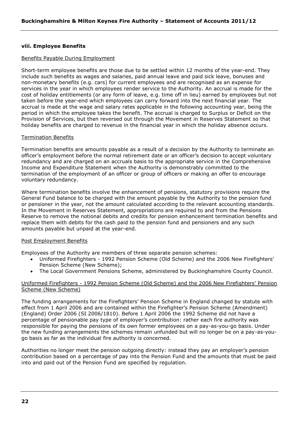#### **viii. Employee Benefits**

#### Benefits Payable During Employment

Short-term employee benefits are those due to be settled within 12 months of the year-end. They include such benefits as wages and salaries, paid annual leave and paid sick leave, bonuses and non-monetary benefits (e.g. cars) for current employees and are recognised as an expense for services in the year in which employees render service to the Authority. An accrual is made for the cost of holiday entitlements (or any form of leave, e.g. time off in lieu) earned by employees but not taken before the year-end which employees can carry forward into the next financial year. The accrual is made at the wage and salary rates applicable in the following accounting year, being the period in which the employee takes the benefit. The accrual is charged to Surplus or Deficit on the Provision of Services, but then reversed out through the Movement in Reserves Statement so that holiday benefits are charged to revenue in the financial year in which the holiday absence occurs.

#### Termination Benefits

Termination benefits are amounts payable as a result of a decision by the Authority to terminate an officer"s employment before the normal retirement date or an officer"s decision to accept voluntary redundancy and are charged on an accruals basis to the appropriate service in the Comprehensive Income and Expenditure Statement when the Authority is demonstrably committed to the termination of the employment of an officer or group of officers or making an offer to encourage voluntary redundancy.

Where termination benefits involve the enhancement of pensions, statutory provisions require the General Fund balance to be charged with the amount payable by the Authority to the pension fund or pensioner in the year, not the amount calculated according to the relevant accounting standards. In the Movement in Reserves Statement, appropriations are required to and from the Pensions Reserve to remove the notional debits and credits for pension enhancement termination benefits and replace them with debits for the cash paid to the pension fund and pensioners and any such amounts payable but unpaid at the year-end.

#### Post Employment Benefits

Employees of the Authority are members of three separate pension schemes:

- Uniformed Firefighters 1992 Pension Scheme (Old Scheme) and the 2006 New Firefighters" Pension Scheme (New Scheme);
- The Local Government Pensions Scheme, administered by Buckinghamshire County Council.

#### Uniformed Firefighters - 1992 Pension Scheme (Old Scheme) and the 2006 New Firefighters" Pension Scheme (New Scheme)

The funding arrangements for the Firefighters" Pension Scheme in England changed by statute with effect from 1 April 2006 and are contained within the Firefighter"s Pension Scheme (Amendment) (England) Order 2006 (SI 2006/1810). Before 1 April 2006 the 1992 Scheme did not have a percentage of pensionable pay type of employer"s contribution: rather each fire authority was responsible for paying the pensions of its own former employees on a pay-as-you-go basis. Under the new funding arrangements the schemes remain unfunded but will no longer be on a pay-as-yougo basis as far as the individual fire authority is concerned.

Authorities no longer meet the pension outgoing directly: instead they pay an employer"s pension contribution based on a percentage of pay into the Pension Fund and the amounts that must be paid into and paid out of the Pension Fund are specified by regulation.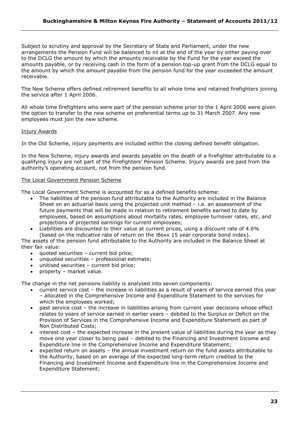Subject to scrutiny and approval by the Secretary of State and Parliament, under the new arrangements the Pension Fund will be balanced to nil at the end of the year by either paying over to the DCLG the amount by which the amounts receivable by the Fund for the year exceed the amounts payable, or by receiving cash in the form of a pension top-up grant from the DCLG equal to the amount by which the amount payable from the pension fund for the year exceeded the amount receivable.

The New Scheme offers defined retirement benefits to all whole time and retained firefighters joining the service after 1 April 2006.

All whole time firefighters who were part of the pension scheme prior to the 1 April 2006 were given the option to transfer to the new scheme on preferential terms up to 31 March 2007. Any new employees must join the new scheme.

# Injury Awards

In the Old Scheme, injury payments are included within the closing defined benefit obligation.

In the New Scheme, injury awards and awards payable on the death of a firefighter attributable to a qualifying injury are not part of the Firefighters" Pension Scheme. Injury awards are paid from the authority's operating account, not from the pension fund.

# The Local Government Pension Scheme

The Local Government Scheme is accounted for as a defined benefits scheme:

- The liabilities of the pension fund attributable to the Authority are included in the Balance Sheet on an actuarial basis using the projected unit method – i.e. an assessment of the future payments that will be made in relation to retirement benefits earned to date by employees, based on assumptions about mortality rates, employee turnover rates, etc, and projections of projected earnings for current employees;
- Liabilities are discounted to their value at current prices, using a discount rate of 4.6% (based on the indicative rate of return on the iBoxx 15 year corporate bond index).

The assets of the pension fund attributable to the Authority are included in the Balance Sheet at their fair value:

- quoted securities current bid price;
- unquoted securities professional estimate;
- unitised securities current bid price;
- property market value.

The change in the net pensions liability is analysed into seven components:

- current service cost the increase in liabilities as a result of years of service earned this year – allocated in the Comprehensive Income and Expenditure Statement to the services for which the employees worked;
- past service cost the increase in liabilities arising from current year decisions whose effect relates to years of service earned in earlier years – debited to the Surplus or Deficit on the Provision of Services in the Comprehensive Income and Expenditure Statement as part of Non Distributed Costs;
- interest cost the expected increase in the present value of liabilities during the year as they move one year closer to being paid – debited to the Financing and Investment Income and Expenditure line in the Comprehensive Income and Expenditure Statement;
- expected return on assets the annual investment return on the fund assets attributable to the Authority, based on an average of the expected long-term return credited to the Financing and Investment Income and Expenditure line in the Comprehensive Income and Expenditure Statement;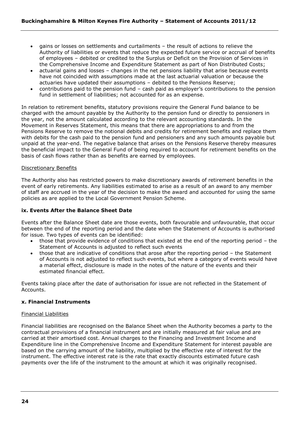- gains or losses on settlements and curtailments the result of actions to relieve the Authority of liabilities or events that reduce the expected future service or accrual of benefits of employees – debited or credited to the Surplus or Deficit on the Provision of Services in the Comprehensive Income and Expenditure Statement as part of Non Distributed Costs;
- actuarial gains and losses changes in the net pensions liability that arise because events have not coincided with assumptions made at the last actuarial valuation or because the actuaries have updated their assumptions – debited to the Pensions Reserve;
- contributions paid to the pension fund cash paid as employer"s contributions to the pension fund in settlement of liabilities; not accounted for as an expense.

In relation to retirement benefits, statutory provisions require the General Fund balance to be charged with the amount payable by the Authority to the pension fund or directly to pensioners in the year, not the amount calculated according to the relevant accounting standards. In the Movement in Reserves Statement, this means that there are appropriations to and from the Pensions Reserve to remove the notional debits and credits for retirement benefits and replace them with debits for the cash paid to the pension fund and pensioners and any such amounts payable but unpaid at the year-end. The negative balance that arises on the Pensions Reserve thereby measures the beneficial impact to the General Fund of being required to account for retirement benefits on the basis of cash flows rather than as benefits are earned by employees.

#### Discretionary Benefits

The Authority also has restricted powers to make discretionary awards of retirement benefits in the event of early retirements. Any liabilities estimated to arise as a result of an award to any member of staff are accrued in the year of the decision to make the award and accounted for using the same policies as are applied to the Local Government Pension Scheme.

# **ix. Events After the Balance Sheet Date**

Events after the Balance Sheet date are those events, both favourable and unfavourable, that occur between the end of the reporting period and the date when the Statement of Accounts is authorised for issue. Two types of events can be identified:

- those that provide evidence of conditions that existed at the end of the reporting period the Statement of Accounts is adjusted to reflect such events
- those that are indicative of conditions that arose after the reporting period the Statement of Accounts is not adjusted to reflect such events, but where a category of events would have a material effect, disclosure is made in the notes of the nature of the events and their estimated financial effect.

Events taking place after the date of authorisation for issue are not reflected in the Statement of Accounts.

#### **x. Financial Instruments**

#### Financial Liabilities

Financial liabilities are recognised on the Balance Sheet when the Authority becomes a party to the contractual provisions of a financial instrument and are initially measured at fair value and are carried at their amortised cost. Annual charges to the Financing and Investment Income and Expenditure line in the Comprehensive Income and Expenditure Statement for interest payable are based on the carrying amount of the liability, multiplied by the effective rate of interest for the instrument. The effective interest rate is the rate that exactly discounts estimated future cash payments over the life of the instrument to the amount at which it was originally recognised.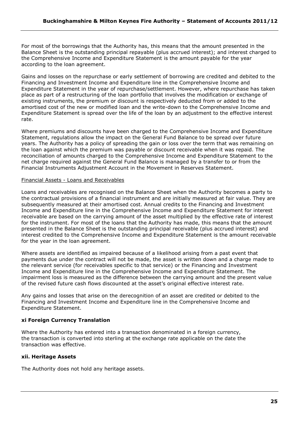For most of the borrowings that the Authority has, this means that the amount presented in the Balance Sheet is the outstanding principal repayable (plus accrued interest); and interest charged to the Comprehensive Income and Expenditure Statement is the amount payable for the year according to the loan agreement.

Gains and losses on the repurchase or early settlement of borrowing are credited and debited to the Financing and Investment Income and Expenditure line in the Comprehensive Income and Expenditure Statement in the year of repurchase/settlement. However, where repurchase has taken place as part of a restructuring of the loan portfolio that involves the modification or exchange of existing instruments, the premium or discount is respectively deducted from or added to the amortised cost of the new or modified loan and the write-down to the Comprehensive Income and Expenditure Statement is spread over the life of the loan by an adjustment to the effective interest rate.

Where premiums and discounts have been charged to the Comprehensive Income and Expenditure Statement, regulations allow the impact on the General Fund Balance to be spread over future years. The Authority has a policy of spreading the gain or loss over the term that was remaining on the loan against which the premium was payable or discount receivable when it was repaid. The reconciliation of amounts charged to the Comprehensive Income and Expenditure Statement to the net charge required against the General Fund Balance is managed by a transfer to or from the Financial Instruments Adjustment Account in the Movement in Reserves Statement.

#### Financial Assets - Loans and Receivables

Loans and receivables are recognised on the Balance Sheet when the Authority becomes a party to the contractual provisions of a financial instrument and are initially measured at fair value. They are subsequently measured at their amortised cost. Annual credits to the Financing and Investment Income and Expenditure line in the Comprehensive Income and Expenditure Statement for interest receivable are based on the carrying amount of the asset multiplied by the effective rate of interest for the instrument. For most of the loans that the Authority has made, this means that the amount presented in the Balance Sheet is the outstanding principal receivable (plus accrued interest) and interest credited to the Comprehensive Income and Expenditure Statement is the amount receivable for the year in the loan agreement.

Where assets are identified as impaired because of a likelihood arising from a past event that payments due under the contract will not be made, the asset is written down and a charge made to the relevant service (for receivables specific to that service) or the Financing and Investment Income and Expenditure line in the Comprehensive Income and Expenditure Statement. The impairment loss is measured as the difference between the carrying amount and the present value of the revised future cash flows discounted at the asset"s original effective interest rate.

Any gains and losses that arise on the derecognition of an asset are credited or debited to the Financing and Investment Income and Expenditure line in the Comprehensive Income and Expenditure Statement.

# **xi Foreign Currency Translation**

Where the Authority has entered into a transaction denominated in a foreign currency, the transaction is converted into sterling at the exchange rate applicable on the date the transaction was effective.

# **xii. Heritage Assets**

The Authority does not hold any heritage assets.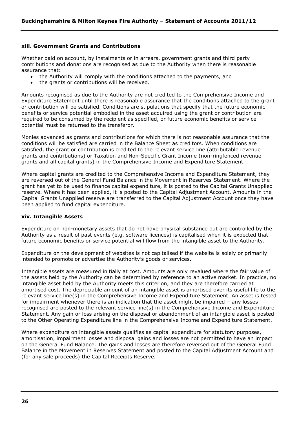#### **xiii. Government Grants and Contributions**

Whether paid on account, by instalments or in arrears, government grants and third party contributions and donations are recognised as due to the Authority when there is reasonable assurance that:

- the Authority will comply with the conditions attached to the payments, and
- the grants or contributions will be received.

Amounts recognised as due to the Authority are not credited to the Comprehensive Income and Expenditure Statement until there is reasonable assurance that the conditions attached to the grant or contribution will be satisfied. Conditions are stipulations that specify that the future economic benefits or service potential embodied in the asset acquired using the grant or contribution are required to be consumed by the recipient as specified, or future economic benefits or service potential must be returned to the transferor.

Monies advanced as grants and contributions for which there is not reasonable assurance that the conditions will be satisfied are carried in the Balance Sheet as creditors. When conditions are satisfied, the grant or contribution is credited to the relevant service line (attributable revenue grants and contributions) or Taxation and Non-Specific Grant Income (non-ringfenced revenue grants and all capital grants) in the Comprehensive Income and Expenditure Statement.

Where capital grants are credited to the Comprehensive Income and Expenditure Statement, they are reversed out of the General Fund Balance in the Movement in Reserves Statement. Where the grant has yet to be used to finance capital expenditure, it is posted to the Capital Grants Unapplied reserve. Where it has been applied, it is posted to the Capital Adjustment Account. Amounts in the Capital Grants Unapplied reserve are transferred to the Capital Adjustment Account once they have been applied to fund capital expenditure.

#### **xiv. Intangible Assets**

Expenditure on non-monetary assets that do not have physical substance but are controlled by the Authority as a result of past events (e.g. software licences) is capitalised when it is expected that future economic benefits or service potential will flow from the intangible asset to the Authority.

Expenditure on the development of websites is not capitalised if the website is solely or primarily intended to promote or advertise the Authority's goods or services.

Intangible assets are measured initially at cost. Amounts are only revalued where the fair value of the assets held by the Authority can be determined by reference to an active market. In practice, no intangible asset held by the Authority meets this criterion, and they are therefore carried at amortised cost. The depreciable amount of an intangible asset is amortised over its useful life to the relevant service line(s) in the Comprehensive Income and Expenditure Statement. An asset is tested for impairment whenever there is an indication that the asset might be impaired – any losses recognised are posted to the relevant service line(s) in the Comprehensive Income and Expenditure Statement. Any gain or loss arising on the disposal or abandonment of an intangible asset is posted to the Other Operating Expenditure line in the Comprehensive Income and Expenditure Statement.

Where expenditure on intangible assets qualifies as capital expenditure for statutory purposes, amortisation, impairment losses and disposal gains and losses are not permitted to have an impact on the General Fund Balance. The gains and losses are therefore reversed out of the General Fund Balance in the Movement in Reserves Statement and posted to the Capital Adjustment Account and (for any sale proceeds) the Capital Receipts Reserve.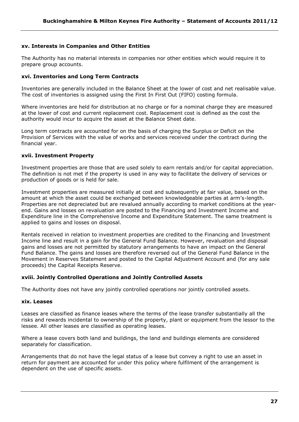#### **xv. Interests in Companies and Other Entities**

The Authority has no material interests in companies nor other entities which would require it to prepare group accounts.

#### **xvi. Inventories and Long Term Contracts**

Inventories are generally included in the Balance Sheet at the lower of cost and net realisable value. The cost of inventories is assigned using the First In First Out (FIFO) costing formula.

Where inventories are held for distribution at no charge or for a nominal charge they are measured at the lower of cost and current replacement cost. Replacement cost is defined as the cost the authority would incur to acquire the asset at the Balance Sheet date.

Long term contracts are accounted for on the basis of charging the Surplus or Deficit on the Provision of Services with the value of works and services received under the contract during the financial year.

#### **xvii. Investment Property**

Investment properties are those that are used solely to earn rentals and/or for capital appreciation. The definition is not met if the property is used in any way to facilitate the delivery of services or production of goods or is held for sale.

Investment properties are measured initially at cost and subsequently at fair value, based on the amount at which the asset could be exchanged between knowledgeable parties at arm"s-length. Properties are not depreciated but are revalued annually according to market conditions at the yearend. Gains and losses on revaluation are posted to the Financing and Investment Income and Expenditure line in the Comprehensive Income and Expenditure Statement. The same treatment is applied to gains and losses on disposal.

Rentals received in relation to investment properties are credited to the Financing and Investment Income line and result in a gain for the General Fund Balance. However, revaluation and disposal gains and losses are not permitted by statutory arrangements to have an impact on the General Fund Balance. The gains and losses are therefore reversed out of the General Fund Balance in the Movement in Reserves Statement and posted to the Capital Adjustment Account and (for any sale proceeds) the Capital Receipts Reserve.

#### **xviii. Jointly Controlled Operations and Jointly Controlled Assets**

The Authority does not have any jointly controlled operations nor jointly controlled assets.

#### **xix. Leases**

Leases are classified as finance leases where the terms of the lease transfer substantially all the risks and rewards incidental to ownership of the property, plant or equipment from the lessor to the lessee. All other leases are classified as operating leases.

Where a lease covers both land and buildings, the land and buildings elements are considered separately for classification.

Arrangements that do not have the legal status of a lease but convey a right to use an asset in return for payment are accounted for under this policy where fulfilment of the arrangement is dependent on the use of specific assets.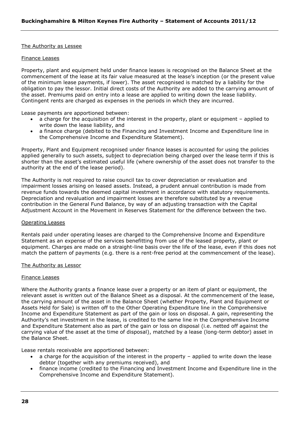#### The Authority as Lessee

#### Finance Leases

Property, plant and equipment held under finance leases is recognised on the Balance Sheet at the commencement of the lease at its fair value measured at the lease"s inception (or the present value of the minimum lease payments, if lower). The asset recognised is matched by a liability for the obligation to pay the lessor. Initial direct costs of the Authority are added to the carrying amount of the asset. Premiums paid on entry into a lease are applied to writing down the lease liability. Contingent rents are charged as expenses in the periods in which they are incurred.

Lease payments are apportioned between:

- a charge for the acquisition of the interest in the property, plant or equipment applied to write down the lease liability, and
- a finance charge (debited to the Financing and Investment Income and Expenditure line in the Comprehensive Income and Expenditure Statement).

Property, Plant and Equipment recognised under finance leases is accounted for using the policies applied generally to such assets, subject to depreciation being charged over the lease term if this is shorter than the asset"s estimated useful life (where ownership of the asset does not transfer to the authority at the end of the lease period).

The Authority is not required to raise council tax to cover depreciation or revaluation and impairment losses arising on leased assets. Instead, a prudent annual contribution is made from revenue funds towards the deemed capital investment in accordance with statutory requirements. Depreciation and revaluation and impairment losses are therefore substituted by a revenue contribution in the General Fund Balance, by way of an adjusting transaction with the Capital Adjustment Account in the Movement in Reserves Statement for the difference between the two.

#### Operating Leases

Rentals paid under operating leases are charged to the Comprehensive Income and Expenditure Statement as an expense of the services benefitting from use of the leased property, plant or equipment. Charges are made on a straight-line basis over the life of the lease, even if this does not match the pattern of payments (e.g. there is a rent-free period at the commencement of the lease).

#### The Authority as Lessor

#### Finance Leases

Where the Authority grants a finance lease over a property or an item of plant or equipment, the relevant asset is written out of the Balance Sheet as a disposal. At the commencement of the lease, the carrying amount of the asset in the Balance Sheet (whether Property, Plant and Equipment or Assets Held for Sale) is written off to the Other Operating Expenditure line in the Comprehensive Income and Expenditure Statement as part of the gain or loss on disposal. A gain, representing the Authority"s net investment in the lease, is credited to the same line in the Comprehensive Income and Expenditure Statement also as part of the gain or loss on disposal (i.e. netted off against the carrying value of the asset at the time of disposal), matched by a lease (long-term debtor) asset in the Balance Sheet.

Lease rentals receivable are apportioned between:

- a charge for the acquisition of the interest in the property applied to write down the lease debtor (together with any premiums received), and
- finance income (credited to the Financing and Investment Income and Expenditure line in the Comprehensive Income and Expenditure Statement).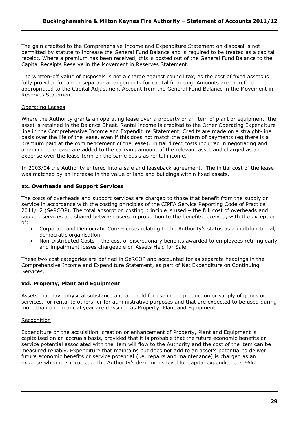The gain credited to the Comprehensive Income and Expenditure Statement on disposal is not permitted by statute to increase the General Fund Balance and is required to be treated as a capital receipt. Where a premium has been received, this is posted out of the General Fund Balance to the Capital Receipts Reserve in the Movement in Reserves Statement.

The written-off value of disposals is not a charge against council tax, as the cost of fixed assets is fully provided for under separate arrangements for capital financing. Amounts are therefore appropriated to the Capital Adjustment Account from the General Fund Balance in the Movement in Reserves Statement.

# Operating Leases

Where the Authority grants an operating lease over a property or an item of plant or equipment, the asset is retained in the Balance Sheet. Rental income is credited to the Other Operating Expenditure line in the Comprehensive Income and Expenditure Statement. Credits are made on a straight-line basis over the life of the lease, even if this does not match the pattern of payments (eg there is a premium paid at the commencement of the lease). Initial direct costs incurred in negotiating and arranging the lease are added to the carrying amount of the relevant asset and charged as an expense over the lease term on the same basis as rental income.

In 2003/04 the Authority entered into a sale and leaseback agreement. The initial cost of the lease was matched by an increase in the value of land and buildings within fixed assets.

# **xx. Overheads and Support Services**

The costs of overheads and support services are charged to those that benefit from the supply or service in accordance with the costing principles of the CIPFA Service Reporting Code of Practice 2011/12 (SeRCOP). The total absorption costing principle is used – the full cost of overheads and support services are shared between users in proportion to the benefits received, with the exception of:

- Corporate and Democratic Core costs relating to the Authority"s status as a multifunctional, democratic organisation.
- Non Distributed Costs the cost of discretionary benefits awarded to employees retiring early and impairment losses chargeable on Assets Held for Sale.

These two cost categories are defined in SeRCOP and accounted for as separate headings in the Comprehensive Income and Expenditure Statement, as part of Net Expenditure on Continuing Services.

# **xxi. Property, Plant and Equipment**

Assets that have physical substance and are held for use in the production or supply of goods or services, for rental to others, or for administrative purposes and that are expected to be used during more than one financial year are classified as Property, Plant and Equipment.

# **Recognition**

Expenditure on the acquisition, creation or enhancement of Property, Plant and Equipment is capitalised on an accruals basis, provided that it is probable that the future economic benefits or service potential associated with the item will flow to the Authority and the cost of the item can be measured reliably. Expenditure that maintains but does not add to an asset"s potential to deliver future economic benefits or service potential (i.e. repairs and maintenance) is charged as an expense when it is incurred. The Authority's de-minimis level for capital expenditure is £6k.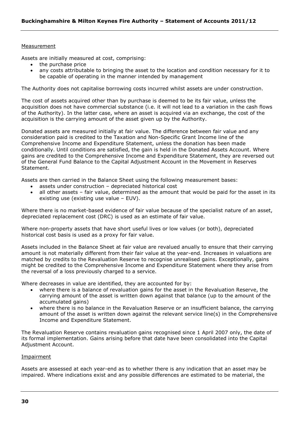#### Measurement

Assets are initially measured at cost, comprising:

- the purchase price
- any costs attributable to bringing the asset to the location and condition necessary for it to be capable of operating in the manner intended by management

The Authority does not capitalise borrowing costs incurred whilst assets are under construction.

The cost of assets acquired other than by purchase is deemed to be its fair value, unless the acquisition does not have commercial substance (i.e. it will not lead to a variation in the cash flows of the Authority). In the latter case, where an asset is acquired via an exchange, the cost of the acquisition is the carrying amount of the asset given up by the Authority.

Donated assets are measured initially at fair value. The difference between fair value and any consideration paid is credited to the Taxation and Non-Specific Grant Income line of the Comprehensive Income and Expenditure Statement, unless the donation has been made conditionally. Until conditions are satisfied, the gain is held in the Donated Assets Account. Where gains are credited to the Comprehensive Income and Expenditure Statement, they are reversed out of the General Fund Balance to the Capital Adjustment Account in the Movement in Reserves Statement.

Assets are then carried in the Balance Sheet using the following measurement bases:

- assets under construction depreciated historical cost
- all other assets fair value, determined as the amount that would be paid for the asset in its existing use (existing use value – EUV).

Where there is no market-based evidence of fair value because of the specialist nature of an asset, depreciated replacement cost (DRC) is used as an estimate of fair value.

Where non-property assets that have short useful lives or low values (or both), depreciated historical cost basis is used as a proxy for fair value.

Assets included in the Balance Sheet at fair value are revalued anually to ensure that their carrying amount is not materially different from their fair value at the year-end. Increases in valuations are matched by credits to the Revaluation Reserve to recognise unrealised gains. Exceptionally, gains might be credited to the Comprehensive Income and Expenditure Statement where they arise from the reversal of a loss previously charged to a service.

Where decreases in value are identified, they are accounted for by:

- where there is a balance of revaluation gains for the asset in the Revaluation Reserve, the carrying amount of the asset is written down against that balance (up to the amount of the accumulated gains)
- where there is no balance in the Revaluation Reserve or an insufficient balance, the carrying amount of the asset is written down against the relevant service line(s) in the Comprehensive Income and Expenditure Statement.

The Revaluation Reserve contains revaluation gains recognised since 1 April 2007 only, the date of its formal implementation. Gains arising before that date have been consolidated into the Capital Adjustment Account.

#### Impairment

Assets are assessed at each year-end as to whether there is any indication that an asset may be impaired. Where indications exist and any possible differences are estimated to be material, the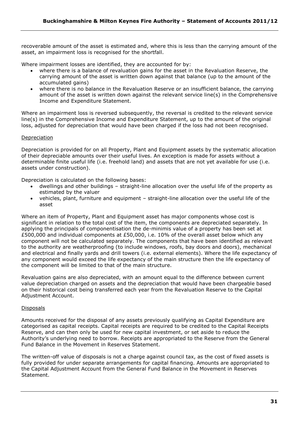recoverable amount of the asset is estimated and, where this is less than the carrying amount of the asset, an impairment loss is recognised for the shortfall.

Where impairment losses are identified, they are accounted for by:

- where there is a balance of revaluation gains for the asset in the Revaluation Reserve, the carrying amount of the asset is written down against that balance (up to the amount of the accumulated gains)
- where there is no balance in the Revaluation Reserve or an insufficient balance, the carrying amount of the asset is written down against the relevant service line(s) in the Comprehensive Income and Expenditure Statement.

Where an impairment loss is reversed subsequently, the reversal is credited to the relevant service line(s) in the Comprehensive Income and Expenditure Statement, up to the amount of the original loss, adjusted for depreciation that would have been charged if the loss had not been recognised.

# Depreciation

Depreciation is provided for on all Property, Plant and Equipment assets by the systematic allocation of their depreciable amounts over their useful lives. An exception is made for assets without a determinable finite useful life (i.e. freehold land) and assets that are not yet available for use (i.e. assets under construction).

Depreciation is calculated on the following bases:

- dwellings and other buildings straight-line allocation over the useful life of the property as estimated by the valuer
- vehicles, plant, furniture and equipment straight-line allocation over the useful life of the asset

Where an item of Property, Plant and Equipment asset has major components whose cost is significant in relation to the total cost of the item, the components are depreciated separately. In applying the principals of componentisation the de-minimis value of a property has been set at £500,000 and individual components at £50,000, i.e. 10% of the overall asset below which any component will not be calculated separately. The components that have been identified as relevant to the authority are weatherproofing (to include windows, roofs, bay doors and doors), mechanical and electrical and finally yards and drill towers (i.e. external elements). Where the life expectancy of any component would exceed the life expectancy of the main structure then the life expectancy of the component will be limited to that of the main structure.

Revaluation gains are also depreciated, with an amount equal to the difference between current value depreciation charged on assets and the depreciation that would have been chargeable based on their historical cost being transferred each year from the Revaluation Reserve to the Capital Adjustment Account.

# **Disposals**

Amounts received for the disposal of any assets previously qualifying as Capital Expenditure are categorised as capital receipts. Capital receipts are required to be credited to the Capital Receipts Reserve, and can then only be used for new capital investment, or set aside to reduce the Authority"s underlying need to borrow. Receipts are appropriated to the Reserve from the General Fund Balance in the Movement in Reserves Statement.

The written-off value of disposals is not a charge against council tax, as the cost of fixed assets is fully provided for under separate arrangements for capital financing. Amounts are appropriated to the Capital Adjustment Account from the General Fund Balance in the Movement in Reserves Statement.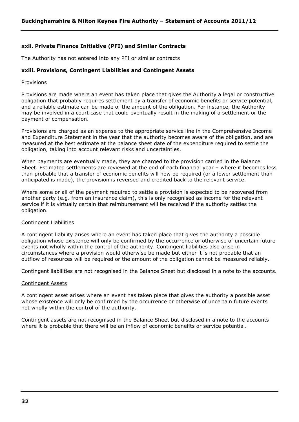# **xxii. Private Finance Initiative (PFI) and Similar Contracts**

The Authority has not entered into any PFI or similar contracts

#### **xxiii. Provisions, Contingent Liabilities and Contingent Assets**

#### Provisions

Provisions are made where an event has taken place that gives the Authority a legal or constructive obligation that probably requires settlement by a transfer of economic benefits or service potential, and a reliable estimate can be made of the amount of the obligation. For instance, the Authority may be involved in a court case that could eventually result in the making of a settlement or the payment of compensation.

Provisions are charged as an expense to the appropriate service line in the Comprehensive Income and Expenditure Statement in the year that the authority becomes aware of the obligation, and are measured at the best estimate at the balance sheet date of the expenditure required to settle the obligation, taking into account relevant risks and uncertainties.

When payments are eventually made, they are charged to the provision carried in the Balance Sheet. Estimated settlements are reviewed at the end of each financial year – where it becomes less than probable that a transfer of economic benefits will now be required (or a lower settlement than anticipated is made), the provision is reversed and credited back to the relevant service.

Where some or all of the payment required to settle a provision is expected to be recovered from another party (e.g. from an insurance claim), this is only recognised as income for the relevant service if it is virtually certain that reimbursement will be received if the authority settles the obligation.

#### Contingent Liabilities

A contingent liability arises where an event has taken place that gives the authority a possible obligation whose existence will only be confirmed by the occurrence or otherwise of uncertain future events not wholly within the control of the authority. Contingent liabilities also arise in circumstances where a provision would otherwise be made but either it is not probable that an outflow of resources will be required or the amount of the obligation cannot be measured reliably.

Contingent liabilities are not recognised in the Balance Sheet but disclosed in a note to the accounts.

#### Contingent Assets

A contingent asset arises where an event has taken place that gives the authority a possible asset whose existence will only be confirmed by the occurrence or otherwise of uncertain future events not wholly within the control of the authority.

Contingent assets are not recognised in the Balance Sheet but disclosed in a note to the accounts where it is probable that there will be an inflow of economic benefits or service potential.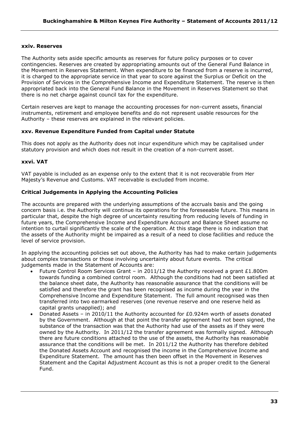#### **xxiv. Reserves**

The Authority sets aside specific amounts as reserves for future policy purposes or to cover contingencies. Reserves are created by appropriating amounts out of the General Fund Balance in the Movement in Reserves Statement. When expenditure to be financed from a reserve is incurred, it is charged to the appropriate service in that year to score against the Surplus or Deficit on the Provision of Services in the Comprehensive Income and Expenditure Statement. The reserve is then appropriated back into the General Fund Balance in the Movement in Reserves Statement so that there is no net charge against council tax for the expenditure.

Certain reserves are kept to manage the accounting processes for non-current assets, financial instruments, retirement and employee benefits and do not represent usable resources for the Authority – these reserves are explained in the relevant policies.

#### **xxv. Revenue Expenditure Funded from Capital under Statute**

This does not apply as the Authority does not incur expenditure which may be capitalised under statutory provision and which does not result in the creation of a non-current asset.

#### **xxvi. VAT**

VAT payable is included as an expense only to the extent that it is not recoverable from Her Majesty"s Revenue and Customs. VAT receivable is excluded from income.

#### **Critical Judgements in Applying the Accounting Policies**

The accounts are prepared with the underlying assumptions of the accruals basis and the going concern basis i.e. the Authority will continue its operations for the foreseeable future. This means in particular that, despite the high degree of uncertainty resulting from reducing levels of funding in future years, the Comprehensive Income and Expenditure Account and Balance Sheet assume no intention to curtail significantly the scale of the operation. At this stage there is no indication that the assets of the Authority might be impaired as a result of a need to close facilities and reduce the level of service provision.

In applying the accounting policies set out above, the Authority has had to make certain judgements about complex transactions or those involving uncertainty about future events. The critical judgements made in the Statement of Accounts are:

- Future Control Room Services Grant in 2011/12 the Authority received a grant  $£1.800m$ towards funding a combined control room. Although the conditions had not been satisfied at the balance sheet date, the Authority has reasonable assurance that the conditions will be satisfied and therefore the grant has been recognised as income during the year in the Comprehensive Income and Expenditure Statement. The full amount recognised was then transferred into two earmarked reserves (one revenue reserve and one reserve held as capital grants unapplied); and
- Donated Assets in 2010/11 the Authority accounted for £0.924m worth of assets donated by the Government. Although at that point the transfer agreement had not been signed, the substance of the transaction was that the Authority had use of the assets as if they were owned by the Authority. In 2011/12 the transfer agreement was formally signed. Although there are future conditions attached to the use of the assets, the Authority has reasonable assurance that the conditions will be met. In 2011/12 the Authority has therefore debited the Donated Assets Account and recognised the income in the Comprehensive Income and Expenditure Statement. The amount has then been offset in the Movement in Reserves Statement and the Capital Adjustment Account as this is not a proper credit to the General Fund.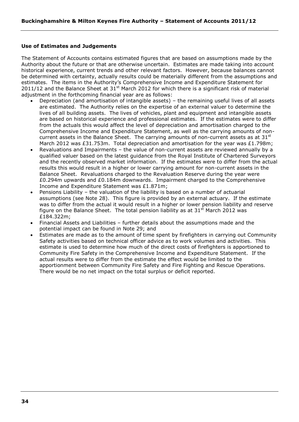#### **Use of Estimates and Judgements**

The Statement of Accounts contains estimated figures that are based on assumptions made by the Authority about the future or that are otherwise uncertain. Estimates are made taking into account historical experience, current trends and other relevant factors. However, because balances cannot be determined with certainty, actually results could be materially different from the assumptions and estimates. The items in the Authority"s Comprehensive Income and Expenditure Statement for 2011/12 and the Balance Sheet at  $31<sup>st</sup>$  March 2012 for which there is a significant risk of material adjustment in the forthcoming financial year are as follows:

- Depreciation (and amortisation of intangible assets) the remaining useful lives of all assets are estimated. The Authority relies on the expertise of an external valuer to determine the lives of all building assets. The lives of vehicles, plant and equipment and intangible assets are based on historical experience and professional estimates. If the estimates were to differ from the actuals this would affect the level of depreciation and amortisation charged to the Comprehensive Income and Expenditure Statement, as well as the carrying amounts of noncurrent assets in the Balance Sheet. The carrying amounts of non-current assets as at  $31<sup>st</sup>$ March 2012 was £31.753m. Total depreciation and amortisation for the year was £1.798m;
- Revaluations and Impairments the value of non-current assets are reviewed annually by a qualified valuer based on the latest guidance from the Royal Institute of Chartered Surveyors and the recently observed market information. If the estimates were to differ from the actual results this would result in a higher or lower carrying amount for non-current assets in the Balance Sheet. Revaluations charged to the Revaluation Reserve during the year were £0.294m upwards and £0.184m downwards. Impairment charged to the Comprehensive Income and Expenditure Statement was £1.871m;
- Pensions Liability the valuation of the liability is based on a number of actuarial assumptions (see Note 28). This figure is provided by an external actuary. If the estimate was to differ from the actual it would result in a higher or lower pension liability and reserve figure on the Balance Sheet. The total pension liability as at  $31<sup>st</sup>$  March 2012 was £184.322m;
- Financial Assets and Liabilities further details about the assumptions made and the potential impact can be found in Note 29; and
- Estimates are made as to the amount of time spent by firefighters in carrying out Community Safety activities based on technical officer advice as to work volumes and activities. This estimate is used to determine how much of the direct costs of firefighters is apportioned to Community Fire Safety in the Comprehensive Income and Expenditure Statement. If the actual results were to differ from the estimate the effect would be limited to the apportionment between Community Fire Safety and Fire Fighting and Rescue Operations. There would be no net impact on the total surplus or deficit reported.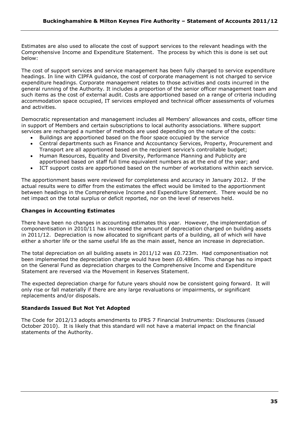Estimates are also used to allocate the cost of support services to the relevant headings with the Comprehensive Income and Expenditure Statement. The process by which this is done is set out below:

The cost of support services and service management has been fully charged to service expenditure headings. In line with CIPFA guidance, the cost of corporate management is not charged to service expenditure headings. Corporate management relates to those activities and costs incurred in the general running of the Authority. It includes a proportion of the senior officer management team and such items as the cost of external audit. Costs are apportioned based on a range of criteria including accommodation space occupied, IT services employed and technical officer assessments of volumes and activities.

Democratic representation and management includes all Members" allowances and costs, officer time in support of Members and certain subscriptions to local authority associations. Where support services are recharged a number of methods are used depending on the nature of the costs:

- Buildings are apportioned based on the floor space occupied by the service
- Central departments such as Finance and Accountancy Services, Property, Procurement and Transport are all apportioned based on the recipient service"s controllable budget;
- Human Resources, Equality and Diversity, Performance Planning and Publicity are apportioned based on staff full time equivalent numbers as at the end of the year; and
- ICT support costs are apportioned based on the number of workstations within each service.

The apportionment bases were reviewed for completeness and accuracy in January 2012. If the actual results were to differ from the estimates the effect would be limited to the apportionment between headings in the Comprehensive Income and Expenditure Statement. There would be no net impact on the total surplus or deficit reported, nor on the level of reserves held.

# **Changes in Accounting Estimates**

There have been no changes in accounting estimates this year. However, the implementation of componentisation in 2010/11 has increased the amount of depreciation charged on building assets in 2011/12. Depreciation is now allocated to significant parts of a building, all of which will have either a shorter life or the same useful life as the main asset, hence an increase in depreciation.

The total depreciation on all building assets in 2011/12 was £0.723m. Had componentisation not been implemented the depreciation charge would have been £0.486m. This change has no impact on the General Fund as depreciation charges to the Comprehensive Income and Expenditure Statement are reversed via the Movement in Reserves Statement.

The expected depreciation charge for future years should now be consistent going forward. It will only rise or fall materially if there are any large revaluations or impairments, or significant replacements and/or disposals.

# **Standards Issued But Not Yet Adopted**

The Code for 2012/13 adopts amendments to IFRS 7 Financial Instruments: Disclosures (issued October 2010). It is likely that this standard will not have a material impact on the financial statements of the Authority.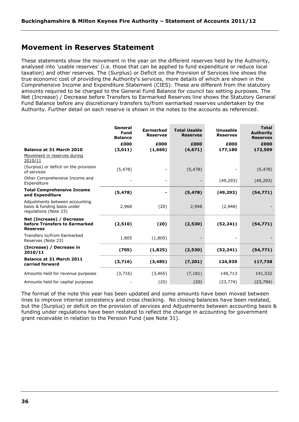# <span id="page-35-0"></span>**Movement in Reserves Statement**

These statements show the movement in the year on the different reserves held by the Authority, analysed into 'usable reserves' (i.e. those that can be applied to fund expenditure or reduce local taxation) and other reserves. The (Surplus) or Deficit on the Provision of Services line shows the true economic cost of providing the Authority's services, more details of which are shown in the Comprehensive Income and Expenditure Statement (CIES). These are different from the statutory amounts required to be charged to the General Fund Balance for council tax setting purposes. The Net (Increase) / Decrease before Transfers to Earmarked Reserves line shows the Statutory General Fund Balance before any discretionary transfers to/from earmarked reserves undertaken by the Authority. Further detail on each reserve is shown in the notes to the accounts as referenced.

|                                                                                        | General<br>Fund<br><b>Balance</b> | <b>Earmarked</b><br><b>Reserves</b> | <b>Total Usable</b><br><b>Reserves</b> | <b>Unusable</b><br><b>Reserves</b> | <b>Total</b><br><b>Authority</b><br><b>Reserves</b> |
|----------------------------------------------------------------------------------------|-----------------------------------|-------------------------------------|----------------------------------------|------------------------------------|-----------------------------------------------------|
| <b>Balance at 31 March 2010</b>                                                        | £000<br>(3,011)                   | £000<br>(1,660)                     | £000<br>(4, 671)                       | £000<br>177,180                    | £000<br>172,509                                     |
| Movement in reserves during<br>2010/11                                                 |                                   |                                     |                                        |                                    |                                                     |
| (Surplus) or deficit on the provision<br>of services                                   | (5, 478)                          |                                     | (5, 478)                               |                                    | (5, 478)                                            |
| Other Comprehensive Income and<br>Expenditure                                          |                                   |                                     |                                        | (49, 293)                          | (49, 293)                                           |
| <b>Total Comprehensive Income</b><br>and Expenditure                                   | (5, 478)                          | -                                   | (5, 478)                               | (49, 293)                          | (54, 771)                                           |
| Adjustments between accounting<br>basis & funding basis under<br>regulations (Note 23) | 2,968                             | (20)                                | 2,948                                  | (2,948)                            |                                                     |
| Net (Increase) / Decrease<br>before Transfers to Earmarked<br><b>Reserves</b>          | (2,510)                           | (20)                                | (2,530)                                | (52, 241)                          | (54, 771)                                           |
| Transfers to/from Earmarked<br>Reserves (Note 23)                                      | 1,805                             | (1,805)                             |                                        |                                    |                                                     |
| (Increase) / Decrease in<br>2010/11                                                    | (705)                             | (1,825)                             | (2,530)                                | (52, 241)                          | (54, 771)                                           |
| Balance at 31 March 2011<br>carried forward                                            | (3,716)                           | (3, 485)                            | (7, 201)                               | 124,939                            | 117,738                                             |
| Amounts held for revenue purposes                                                      | (3,716)                           | (3, 465)                            | (7, 181)                               | 148,713                            | 141,532                                             |
| Amounts held for capital purposes                                                      |                                   | (20)                                | (20)                                   | (23, 774)                          | (23, 794)                                           |

The format of the note this year has been updated and some amounts have been moved between lines to improve internal consistency and cross checking. No closing balances have been restated, but the (Surplus) or deficit on the provision of services and Adjustments between accounting basis & funding under regulations have been restated to reflect the change in accounting for government grant receivable in relation to the Pension Fund (see Note 31).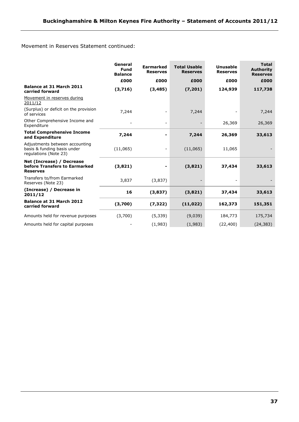Movement in Reserves Statement continued:

|                                                                                        | General<br>Fund<br><b>Balance</b> | <b>Earmarked</b><br><b>Reserves</b> | <b>Total Usable</b><br><b>Reserves</b> | <b>Unusable</b><br><b>Reserves</b> | <b>Total</b><br><b>Authority</b><br><b>Reserves</b> |
|----------------------------------------------------------------------------------------|-----------------------------------|-------------------------------------|----------------------------------------|------------------------------------|-----------------------------------------------------|
|                                                                                        | £000                              | £000                                | £000                                   | £000                               | £000                                                |
| <b>Balance at 31 March 2011</b><br>carried forward                                     | (3,716)                           | (3, 485)                            | (7, 201)                               | 124,939                            | 117,738                                             |
| Movement in reserves during<br>2011/12                                                 |                                   |                                     |                                        |                                    |                                                     |
| (Surplus) or deficit on the provision<br>of services                                   | 7,244                             |                                     | 7,244                                  |                                    | 7,244                                               |
| Other Comprehensive Income and<br>Expenditure                                          |                                   |                                     |                                        | 26,369                             | 26,369                                              |
| <b>Total Comprehensive Income</b><br>and Expenditure                                   | 7,244                             |                                     | 7,244                                  | 26,369                             | 33,613                                              |
| Adjustments between accounting<br>basis & funding basis under<br>regulations (Note 23) | (11,065)                          |                                     | (11,065)                               | 11,065                             |                                                     |
| Net (Increase) / Decrease<br>before Transfers to Earmarked<br><b>Reserves</b>          | (3,821)                           |                                     | (3,821)                                | 37,434                             | 33,613                                              |
| Transfers to/from Earmarked<br>Reserves (Note 23)                                      | 3,837                             | (3,837)                             |                                        |                                    |                                                     |
| (Increase) / Decrease in<br>2011/12                                                    | 16                                | (3,837)                             | (3,821)                                | 37,434                             | 33,613                                              |
| <b>Balance at 31 March 2012</b><br>carried forward                                     | (3,700)                           | (7, 322)                            | (11, 022)                              | 162,373                            | 151,351                                             |
| Amounts held for revenue purposes                                                      | (3,700)                           | (5, 339)                            | (9,039)                                | 184,773                            | 175,734                                             |
| Amounts held for capital purposes                                                      |                                   | (1,983)                             | (1,983)                                | (22, 400)                          | (24, 383)                                           |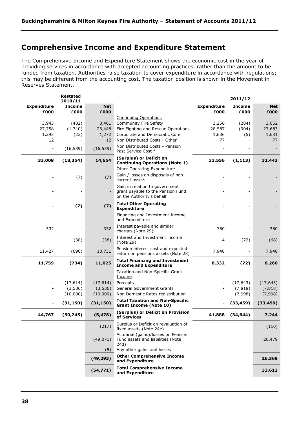# **Comprehensive Income and Expenditure Statement**

The Comprehensive Income and Expenditure Statement shows the economic cost in the year of providing services in accordance with accepted accounting practices, rather than the amount to be funded from taxation. Authorities raise taxation to cover expenditure in accordance with regulations; this may be different from the accounting cost. The taxation position is shown in the Movement in Reserves Statement.

|                          | <b>Restated</b><br>2010/11 |            |                                                                                  |                    | 2011/12       |            |
|--------------------------|----------------------------|------------|----------------------------------------------------------------------------------|--------------------|---------------|------------|
| <b>Expenditure</b>       | <b>Income</b>              | <b>Net</b> |                                                                                  | <b>Expenditure</b> | <b>Income</b> | <b>Net</b> |
| £000                     | £000                       | £000       |                                                                                  | £000               | £000          | £000       |
| 3,943                    | (482)                      | 3,461      | <b>Continuing Operations</b><br><b>Community Fire Safety</b>                     | 3,256              | (204)         | 3,052      |
| 27,758                   | (1, 310)                   | 26,448     | Fire Fighting and Rescue Operations                                              | 28,587             | (904)         | 27,683     |
| 1,295                    | (23)                       | 1,272      | Corporate and Democratic Core                                                    | 1,636              | (5)           | 1,631      |
| 12                       | $\sim$                     | 12         | Non Distributed Costs - Other                                                    | 77                 |               | 77         |
| $\overline{\phantom{a}}$ | (16, 539)                  | (16, 539)  | Non Distributed Costs - Pension<br>Past Service Cost *                           |                    |               |            |
| 33,008                   | (18, 354)                  | 14,654     | (Surplus) or Deficit on<br><b>Continuing Operations (Note 1)</b>                 | 33,556             | (1, 113)      | 32,443     |
|                          |                            |            | Other Operating Expenditure                                                      |                    |               |            |
|                          | (7)                        | (7)        | Gain / losses on disposals of non<br>current assets                              |                    |               |            |
|                          |                            |            | Gain in relation to government<br>grant payable to the Pension Fund              |                    |               |            |
|                          |                            |            | on the Authority's behalf                                                        |                    |               |            |
|                          | (7)                        | (7)        | <b>Total Other Operating</b><br><b>Expenditure</b>                               |                    |               |            |
|                          |                            |            | <b>Financing and Investment Income</b><br>and Expenditure                        |                    |               |            |
|                          |                            |            | Interest payable and similar                                                     |                    |               |            |
| 332                      |                            | 332        | charges (Note 29)                                                                | 380                |               | 380        |
|                          | (38)                       | (38)       | Interest and Investment income<br>(Note 29)                                      | 4                  | (72)          | (68)       |
| 11,427                   | (696)                      | 10,731     | Pension interest cost and expected<br>return on pensions assets (Note 28)        | 7,948              |               | 7,948      |
| 11,759                   | (734)                      | 11,025     | <b>Total Financing and Investment</b><br><b>Income and Expenditure</b>           | 8,332              | (72)          | 8,260      |
|                          |                            |            | <b>Taxation and Non-Specific Grant</b><br>Income                                 |                    |               |            |
|                          | (17, 614)                  | (17, 614)  | Precepts                                                                         |                    | (17, 643)     | (17, 643)  |
|                          | (3,536)                    | (3, 536)   | <b>General Government Grants</b>                                                 |                    | (7, 818)      | (7, 818)   |
|                          | (10,000)                   | (10,000)   | Non Domestic Rates redistribution                                                |                    | (7,998)       | (7,998)    |
|                          | (31, 150)                  | (31, 150)  | <b>Total Taxation and Non-Specific</b><br><b>Grant Income (Note 10)</b>          |                    | (33, 459)     | (33, 459)  |
| 44,767                   | (50, 245)                  | (5, 478)   | (Surplus) or Deficit on Provision<br>of Services                                 | 41,888             | (34, 644)     | 7,244      |
|                          |                            | (217)      | Surplus or Deficit on revaluation of<br>fixed assets (Note 24e)                  |                    |               | (110)      |
|                          |                            | (49, 071)  | Actuarial (gains)/losses on Pension<br>Fund assets and liabilities (Note<br>24d) |                    |               | 26,479     |
|                          |                            | (5)        | Any other gains and losses                                                       |                    |               |            |
|                          |                            | (49, 293)  | <b>Other Comprehensive Income</b><br>and Expenditure                             |                    |               | 26,369     |
|                          |                            | (54, 771)  | <b>Total Comprehensive Income</b><br>and Expenditure                             |                    |               | 33,613     |
|                          |                            |            |                                                                                  |                    |               |            |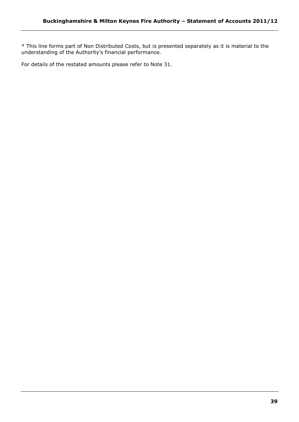\* This line forms part of Non Distributed Costs, but is presented separately as it is material to the understanding of the Authority"s financial performance.

For details of the restated amounts please refer to Note 31.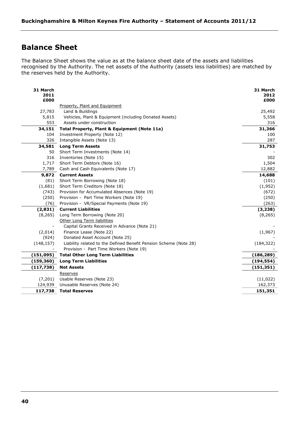# **Balance Sheet**

The Balance Sheet shows the value as at the balance sheet date of the assets and liabilities recognised by the Authority. The net assets of the Authority (assets less liabilities) are matched by the reserves held by the Authority.

| 31 March<br>2011 |                                                                                     | 31 March<br>2012 |
|------------------|-------------------------------------------------------------------------------------|------------------|
| £000             |                                                                                     | £000             |
|                  | Property, Plant and Equipment                                                       |                  |
| 27,783<br>5,815  | Land & Buildings                                                                    | 25,492           |
| 553              | Vehicles, Plant & Equipment (including Donated Assets)<br>Assets under construction | 5,558<br>316     |
| 34,151           | Total Property, Plant & Equipment (Note 11a)                                        | 31,366           |
| 104              | Investment Property (Note 12)                                                       | 100              |
| 326              | Intangible Assets (Note 13)                                                         | 287              |
| 34,581           | <b>Long Term Assets</b>                                                             | 31,753           |
| 50               | Short Term Investments (Note 14)                                                    |                  |
| 316              | Inventories (Note 15)                                                               | 302              |
| 1,717            | Short Term Debtors (Note 16)                                                        | 1,504            |
| 7,789            | Cash and Cash Equivalents (Note 17)                                                 | 12,882           |
| 9,872            | <b>Current Assets</b>                                                               | 14,688           |
| (81)             | Short Term Borrowing (Note 18)                                                      | (101)            |
| (1,681)          | Short Term Creditors (Note 18)                                                      | (1,952)          |
| (743)            | Provision for Accumulated Absences (Note 19)                                        | (672)            |
| (250)            | Provision - Part Time Workers (Note 19)                                             | (250)            |
| (76)             | Provision - VR/Special Payments (Note 19)                                           | (263)            |
| (2,831)          | <b>Current Liabilities</b>                                                          | (3, 238)         |
| (8, 265)         | Long Term Borrowing (Note 20)                                                       | (8, 265)         |
|                  | Other Long Term liabilities                                                         |                  |
|                  | Capital Grants Received in Advance (Note 21)                                        |                  |
| (2,014)          | Finance Lease (Note 22)                                                             | (1,967)          |
| (924)            | Donated Asset Account (Note 25)                                                     |                  |
| (148, 157)       | Liability related to the Defined Benefit Pension Scheme (Note 28)                   | (184, 322)       |
|                  | Provision - Part Time Workers (Note 19)                                             |                  |
| (151, 095)       | <b>Total Other Long Term Liabilities</b>                                            | (186, 289)       |
| (159, 360)       | <b>Long Term Liabilities</b>                                                        | (194, 554)       |
| (117, 738)       | <b>Net Assets</b>                                                                   | (151, 351)       |
|                  | Reserves                                                                            |                  |
| (7,201)          | Usable Reserves (Note 23)                                                           | (11, 022)        |
| 124,939          | Unusable Reserves (Note 24)                                                         | 162,373          |
| 117,738          | <b>Total Reserves</b>                                                               | 151,351          |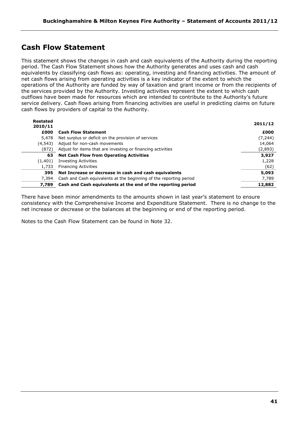# **Cash Flow Statement**

This statement shows the changes in cash and cash equivalents of the Authority during the reporting period. The Cash Flow Statement shows how the Authority generates and uses cash and cash equivalents by classifying cash flows as: operating, investing and financing activities. The amount of net cash flows arising from operating activities is a key indicator of the extent to which the operations of the Authority are funded by way of taxation and grant income or from the recipients of the services provided by the Authority. Investing activities represent the extent to which cash outflows have been made for resources which are intended to contribute to the Authority"s future service delivery. Cash flows arising from financing activities are useful in predicting claims on future cash flows by providers of capital to the Authority.

| <b>Restated</b><br>2010/11 |                                                                    | 2011/12 |
|----------------------------|--------------------------------------------------------------------|---------|
| £000                       | <b>Cash Flow Statement</b>                                         | £000    |
| 5,478                      | Net surplus or deficit on the provision of services                | (7,244) |
| (4.543)                    | Adjust for non-cash movements                                      | 14,064  |
| (872)                      | Adjust for items that are investing or financing activities        | (2,893) |
| 63                         | <b>Net Cash Flow from Operating Activities</b>                     | 3,927   |
| (1,401)                    | <b>Investing Activities</b>                                        | 1,228   |
| 1,733                      | <b>Financing Activities</b>                                        | (62)    |
| 395                        | Net Increase or decrease in cash and cash equivalents              | 5,093   |
| 7.394                      | Cash and Cash equivalents at the beginning of the reporting period | 7,789   |
| 7.789                      | Cash and Cash equivalents at the end of the reporting period       | 12,882  |

There have been minor amendments to the amounts shown in last year"s statement to ensure consistency with the Comprehensive Income and Expenditure Statement. There is no change to the net increase or decrease or the balances at the beginning or end of the reporting period.

Notes to the Cash Flow Statement can be found in Note 32.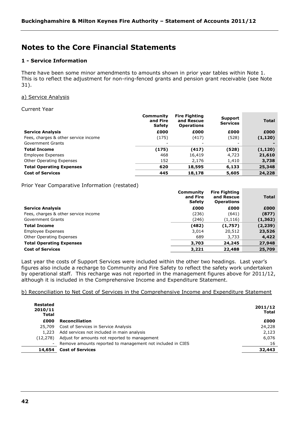# **Notes to the Core Financial Statements**

# **1 - Service Information**

There have been some minor amendments to amounts shown in prior year tables within Note 1. This is to reflect the adjustment for non-ring-fenced grants and pension grant receivable (see Note 31).

## a) Service Analysis

## Current Year

|                                      | Community<br>and Fire<br><b>Safety</b> | <b>Fire Fighting</b><br>and Rescue<br><b>Operations</b> | Support<br><b>Services</b> | <b>Total</b> |
|--------------------------------------|----------------------------------------|---------------------------------------------------------|----------------------------|--------------|
| <b>Service Analysis</b>              | £000                                   | £000                                                    | £000                       | £000         |
| Fees, charges & other service income | (175)                                  | (417)                                                   | (528)                      | (1, 120)     |
| Government Grants                    | -                                      |                                                         | ۰                          |              |
| <b>Total Income</b>                  | (175)                                  | (417)                                                   | (528)                      | (1, 120)     |
| <b>Employee Expenses</b>             | 468                                    | 16,419                                                  | 4,723                      | 21,610       |
| Other Operating Expenses             | 152                                    | 2,176                                                   | 1,410                      | 3,738        |
| <b>Total Operating Expenses</b>      | 620                                    | 18,595                                                  | 6,133                      | 25,348       |
| <b>Cost of Services</b>              | 445                                    | 18,178                                                  | 5,605                      | 24,228       |

Prior Year Comparative Information (restated)

|                                      | Community<br>and Fire<br><b>Safety</b> | <b>Fire Fighting</b><br>and Rescue<br><b>Operations</b> | <b>Total</b> |
|--------------------------------------|----------------------------------------|---------------------------------------------------------|--------------|
| <b>Service Analysis</b>              | £000                                   | £000                                                    | £000         |
| Fees, charges & other service income | (236)                                  | (641)                                                   | (877)        |
| Government Grants                    | (246)                                  | (1, 116)                                                | (1, 362)     |
| <b>Total Income</b>                  | (482)                                  | (1,757)                                                 | (2, 239)     |
| Employee Expenses                    | 3,014                                  | 20,512                                                  | 23,526       |
| Other Operating Expenses             | 689                                    | 3,733                                                   | 4,422        |
| <b>Total Operating Expenses</b>      | 3,703                                  | 24,245                                                  | 27,948       |
| <b>Cost of Services</b>              | 3,221                                  | 22,488                                                  | 25,709       |

Last year the costs of Support Services were included within the other two headings. Last year"s figures also include a recharge to Community and Fire Safety to reflect the safety work undertaken by operational staff. This recharge was not reported in the management figures above for 2011/12, although it is included in the Comprehensive Income and Expenditure Statement.

b) Reconciliation to Net Cost of Services in the Comprehensive Income and Expenditure Statement

|                                                            | 2011/12<br><b>Total</b> |
|------------------------------------------------------------|-------------------------|
| <b>Reconciliation</b>                                      | £000                    |
| Cost of Services in Service Analysis                       | 24,228                  |
| Add services not included in main analysis                 | 2.123                   |
| Adjust for amounts not reported to management              | 6,076                   |
| Remove amounts reported to management not included in CIES | 16                      |
| <b>Cost of Services</b>                                    | 32,443                  |
|                                                            |                         |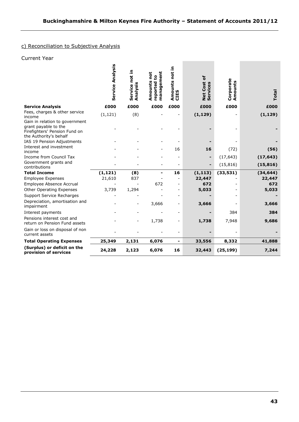# c) Reconciliation to Subjective Analysis

# Current Year

|                                                             | Service Analysis | Service not in<br>Analysis | management<br>not<br>٥,<br>Amounts<br>reported | Amounts not in<br>CIES | ٔб<br><b>Net Cost</b><br>Services | Corporate<br>punts<br>Ě | Total     |
|-------------------------------------------------------------|------------------|----------------------------|------------------------------------------------|------------------------|-----------------------------------|-------------------------|-----------|
| <b>Service Analysis</b>                                     | £000             | £000                       | £000                                           | £000                   | £000                              | £000                    | £000      |
| Fees, charges & other service                               | (1, 121)         | (8)                        |                                                |                        | (1, 129)                          |                         | (1, 129)  |
| income<br>Gain in relation to government                    |                  |                            |                                                |                        |                                   |                         |           |
| grant payable to the                                        |                  |                            |                                                |                        |                                   |                         |           |
| Firefighters' Pension Fund on                               |                  |                            |                                                |                        |                                   |                         |           |
| the Authority's behalf<br>IAS 19 Pension Adjustments        |                  |                            |                                                |                        |                                   |                         |           |
| Interest and investment                                     |                  |                            |                                                |                        |                                   |                         |           |
| income                                                      |                  |                            |                                                | 16                     | 16                                | (72)                    | (56)      |
| Income from Council Tax                                     |                  |                            |                                                |                        |                                   | (17, 643)               | (17, 643) |
| Government grants and<br>contributions                      |                  |                            |                                                |                        | ÷                                 | (15, 816)               | (15, 816) |
| <b>Total Income</b>                                         | (1, 121)         | (8)                        | -                                              | 16                     | (1, 113)                          | (33, 531)               | (34, 644) |
| <b>Employee Expenses</b>                                    | 21,610           | 837                        |                                                |                        | 22,447                            |                         | 22,447    |
| Employee Absence Accrual                                    |                  |                            | 672                                            |                        | 672                               |                         | 672       |
| Other Operating Expenses                                    | 3,739            | 1,294                      |                                                |                        | 5,033                             |                         | 5,033     |
| Support Service Recharges                                   |                  |                            |                                                |                        |                                   |                         |           |
| Depreciation, amortisation and<br>impairment                |                  |                            | 3,666                                          |                        | 3,666                             |                         | 3,666     |
| Interest payments                                           |                  |                            |                                                |                        |                                   | 384                     | 384       |
| Pensions interest cost and<br>return on Pension Fund assets |                  |                            | 1,738                                          |                        | 1,738                             | 7,948                   | 9,686     |
| Gain or loss on disposal of non<br>current assets           |                  |                            |                                                |                        |                                   |                         |           |
| <b>Total Operating Expenses</b>                             | 25,349           | 2,131                      | 6,076                                          |                        | 33,556                            | 8,332                   | 41,888    |
| (Surplus) or deficit on the<br>provision of services        | 24,228           | 2,123                      | 6,076                                          | 16                     | 32,443                            | (25, 199)               | 7,244     |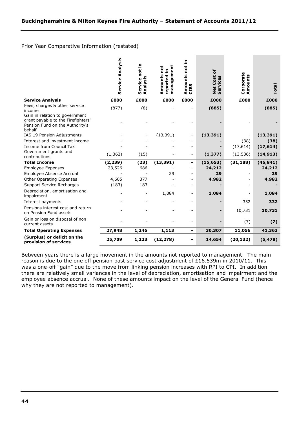# Prior Year Comparative Information (restated)

|                                                                                                                                                    | Service Analysis | Service not in<br>Analysi | management<br>Amounts not<br>$\mathbf{e}$<br>reported | 크.<br>not<br>Amounts<br>CIES | $\mathbf{b}$<br><b>Net Cost</b><br>Services | Corporate<br>Amounts | Total             |
|----------------------------------------------------------------------------------------------------------------------------------------------------|------------------|---------------------------|-------------------------------------------------------|------------------------------|---------------------------------------------|----------------------|-------------------|
| <b>Service Analysis</b>                                                                                                                            | £000             | £000                      | £000                                                  | £000                         | £000                                        | £000                 | £000              |
| Fees, charges & other service<br>income<br>Gain in relation to government<br>grant payable to the Firefighters'<br>Pension Fund on the Authority's | (877)            | (8)                       |                                                       |                              | (885)                                       |                      | (885)             |
| behalf                                                                                                                                             |                  |                           |                                                       |                              |                                             |                      |                   |
| IAS 19 Pension Adjustments<br>Interest and investment income                                                                                       |                  |                           | (13, 391)                                             | -                            | (13, 391)                                   | (38)                 | (13, 391)<br>(38) |
| Income from Council Tax                                                                                                                            |                  |                           |                                                       |                              |                                             | (17, 614)            | (17, 614)         |
| Government grants and<br>contributions                                                                                                             | (1, 362)         | (15)                      |                                                       | -                            | (1, 377)                                    | (13, 536)            | (14, 913)         |
| <b>Total Income</b>                                                                                                                                | (2, 239)         | (23)                      | (13, 391)                                             | -                            | (15, 653)                                   | (31, 188)            | (46, 841)         |
| <b>Employee Expenses</b>                                                                                                                           | 23,526           | 686                       |                                                       |                              | 24,212                                      |                      | 24,212            |
| Employee Absence Accrual                                                                                                                           |                  |                           | 29                                                    |                              | 29                                          |                      | 29                |
| Other Operating Expenses                                                                                                                           | 4,605            | 377                       |                                                       |                              | 4,982                                       |                      | 4,982             |
| Support Service Recharges                                                                                                                          | (183)            | 183                       |                                                       |                              |                                             |                      |                   |
| Depreciation, amortisation and<br>impairment                                                                                                       |                  |                           | 1,084                                                 |                              | 1,084                                       |                      | 1,084             |
| Interest payments                                                                                                                                  |                  |                           |                                                       |                              |                                             | 332                  | 332               |
| Pensions interest cost and return<br>on Pension Fund assets                                                                                        |                  |                           |                                                       |                              |                                             | 10,731               | 10,731            |
| Gain or loss on disposal of non<br>current assets                                                                                                  |                  |                           |                                                       |                              |                                             | (7)                  | (7)               |
| <b>Total Operating Expenses</b>                                                                                                                    | 27,948           | 1,246                     | 1,113                                                 |                              | 30,307                                      | 11,056               | 41,363            |
| (Surplus) or deficit on the<br>provision of services                                                                                               | 25,709           | 1,223                     | (12, 278)                                             | -                            | 14,654                                      | (20, 132)            | (5, 478)          |

Between years there is a large movement in the amounts not reported to management. The main reason is due to the one off pension past service cost adjustment of £16.539m in 2010/11. This was a one-off "gain" due to the move from linking pension increases with RPI to CPI. In addition there are relatively small variances in the level of depreciation, amortisation and impairment and the employee absence accrual. None of these amounts impact on the level of the General Fund (hence why they are not reported to management).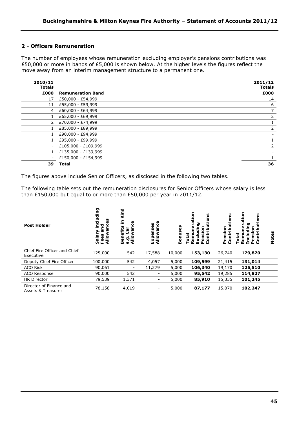# **2 - Officers Remuneration**

The number of employees whose remuneration excluding employer's pensions contributions was £50,000 or more in bands of £5,000 is shown below. At the higher levels the figures reflect the move away from an interim management structure to a permanent one.

| 2010/11<br><b>Totals</b> |                          | 2011/12<br><b>Totals</b> |
|--------------------------|--------------------------|--------------------------|
| £000                     | <b>Remuneration Band</b> | £000                     |
| 17                       | £50,000 - £54,999        | 14                       |
| 11                       | £55,000 - £59,999        | 6                        |
| 4                        | £60,000 - £64,999        | $\overline{7}$           |
|                          | £65,000 - £69,999        | 2                        |
| $\overline{2}$           | £70,000 - £74,999        |                          |
|                          | £85,000 - £89,999        | 2                        |
|                          | £90,000 - £94,999        |                          |
|                          | £95,000 - £99,999        |                          |
| Ξ.                       | £105,000 - £109,999      | 2                        |
|                          | £135,000 - £139,999      |                          |
| $\overline{\phantom{a}}$ | £150,000 - £154,999      |                          |
| 39                       | <b>Total</b>             | 36                       |

The figures above include Senior Officers, as disclosed in the following two tables.

The following table sets out the remuneration disclosures for Senior Officers whose salary is less than £150,000 but equal to or more than £50,000 per year in 2011/12.

| <b>Post Holder</b>                            | ה<br>.<br>등<br>름<br>ω<br>ੲ<br>ã<br>Fees<br><b>Allo</b><br>Sa | ъ<br>₹<br>≘.<br>ω<br>ಹ<br>Ē<br>모드<br>m<br>⋖<br>ω | ses<br>5<br>Exp<br>₹ | uses<br>Eon | 등<br>n<br>σ<br>o<br>Ш<br>$\cup$<br>௳ | tions<br>≂<br>.÷<br>5<br>ō<br>Ő. | cion<br><u>ទ</u><br>പ വ | 8<br>ō<br>ō<br>z |
|-----------------------------------------------|--------------------------------------------------------------|--------------------------------------------------|----------------------|-------------|--------------------------------------|----------------------------------|-------------------------|------------------|
| Chief Fire Officer and Chief<br>Executive     | 125,000                                                      | 542                                              | 17,588               | 10,000      | 153,130                              | 26,740                           | 179,870                 |                  |
| Deputy Chief Fire Officer                     | 100,000                                                      | 542                                              | 4,057                | 5,000       | 109,599                              | 21,415                           | 131,014                 |                  |
| <b>ACO Risk</b>                               | 90,061                                                       | $\overline{\phantom{0}}$                         | 11,279               | 5,000       | 106,340                              | 19,170                           | 125,510                 |                  |
| ACO Response                                  | 90,000                                                       | 542                                              | -                    | 5,000       | 95,542                               | 19,285                           | 114,827                 |                  |
| <b>HR Director</b>                            | 79,539                                                       | 1,371                                            | -                    | 5,000       | 85,910                               | 15,335                           | 101,245                 |                  |
| Director of Finance and<br>Assets & Treasurer | 78,158                                                       | 4,019                                            | -                    | 5,000       | 87,177                               | 15,070                           | 102,247                 |                  |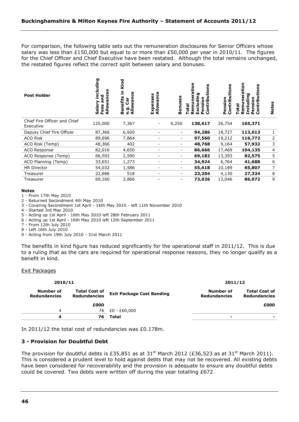For comparison, the following table sets out the remuneration disclosures for Senior Officers whose salary was less than £150,000 but equal to or more than £50,000 per year in 2010/11. The figures for the Chief Officer and Chief Executive have been restated. Although the total remains unchanged, the restated figures reflect the correct split between salary and bonuses.

| <b>Post Holder</b>                        | ncluding<br>ω<br>Allowanc<br>겯<br>٢Ū<br>Salar<br>ees<br>L. | Kind<br>⊆<br>ဨ<br>$\overline{\phantom{0}}$<br>efits<br>man<br>້ອັ<br>듦<br>۰<br>ה<br>=<br>⋖<br>m | ပ္ပ<br>penses<br>Ó<br>$\overline{\tilde{\mathbf{z}}}$<br>₹ | Bonuses                  | 등<br><b>u</b><br>ã<br>÷<br>ה<br>$\mathbf{C}$ | U)<br>ត<br>÷.<br>Pension<br>흗<br>i<br>S | 등<br>U)<br><br>ō<br>은<br>n<br>O | n<br>Note: |
|-------------------------------------------|------------------------------------------------------------|-------------------------------------------------------------------------------------------------|------------------------------------------------------------|--------------------------|----------------------------------------------|-----------------------------------------|---------------------------------|------------|
| Chief Fire Officer and Chief<br>Executive | 125,000                                                    | 7,367                                                                                           | $\overline{\phantom{a}}$                                   | 6,250                    | 138,617                                      | 26,754                                  | 165,371                         |            |
| Deputy Chief Fire Officer                 | 87,366                                                     | 6,920                                                                                           |                                                            | $\overline{\phantom{a}}$ | 94,286                                       | 18,727                                  | 113,013                         | 1          |
| <b>ACO Risk</b>                           | 89,696                                                     | 7,864                                                                                           |                                                            | $\overline{\phantom{0}}$ | 97,560                                       | 19,212                                  | 116,772                         | 2          |
| ACO Risk (Temp)                           | 48,366                                                     | 402                                                                                             |                                                            |                          | 48,768                                       | 9,164                                   | 57,932                          | 3          |
| <b>ACO Response</b>                       | 82,016                                                     | 4,650                                                                                           | -                                                          |                          | 86,666                                       | 17,469                                  | 104,135                         | 4          |
| ACO Response (Temp)                       | 66,592                                                     | 2,590                                                                                           |                                                            | $\overline{\phantom{0}}$ | 69,182                                       | 13,393                                  | 82,575                          | 5          |
| ACO Planning (Temp)                       | 33,651                                                     | 1,273                                                                                           |                                                            | $\overline{\phantom{0}}$ | 34,924                                       | 6,764                                   | 41,688                          | 6          |
| <b>HR Director</b>                        | 54,032                                                     | 1,586                                                                                           | -                                                          | $\overline{\phantom{0}}$ | 55,618                                       | 10,189                                  | 65,807                          | 7          |
| Treasurer                                 | 22,686                                                     | 518                                                                                             |                                                            |                          | 23,204                                       | 4,130                                   | 27,334                          | 8          |
| Treasurer                                 | 69,160                                                     | 3,866                                                                                           |                                                            |                          | 73,026                                       | 13,046                                  | 86,072                          | 9          |

#### **Notes**

1 - From 17th May 2010

2 - Returned Secondment 4th May 2010

3 - Covering Secondment 1st April - 16th May 2010 - left 11th November 2010

4 - Started 3rd May 2010

5 - Acting up 1st April - 16th May 2010 left 28th February 2011

6 - Acting up 1st April - 16th May 2010 left 12th September 2011

7 - From 12th July 2010

8 - Left 16th July 2010

9 - Acting from 19th July 2010 - 31st March 2011

The benefits in kind figure has reduced significantly for the operational staff in 2011/12. This is due to a ruling that as the cars are required for operational response reasons, they no longer qualify as a benefit in kind.

#### Exit Packages

| 2010/11                          |                                      |                                  | 2011/12                          |                                             |
|----------------------------------|--------------------------------------|----------------------------------|----------------------------------|---------------------------------------------|
| Number of<br><b>Redundancies</b> | <b>Total Cost of</b><br>Redundancies | <b>Exit Package Cost Banding</b> | Number of<br><b>Redundancies</b> | <b>Total Cost of</b><br><b>Redundancies</b> |
|                                  | £000                                 |                                  |                                  | £000                                        |
| $\overline{a}$                   |                                      | 76 £0 - £60,000                  |                                  |                                             |
| Δ                                | 76.                                  | Total                            | ۰                                | -                                           |

In 2011/12 the total cost of redundancies was £0.178m.

## **3 - Provision for Doubtful Debt**

The provision for doubtful debts is £35,851 as at  $31^{st}$  March 2012 (£36,523 as at  $31^{st}$  March 2011). This is considered a prudent level to hold against debts that may not be recovered. All existing debts have been considered for recoverability and the provision is adequate to ensure any doubtful debts could be covered. Two debts were written off during the year totalling £672.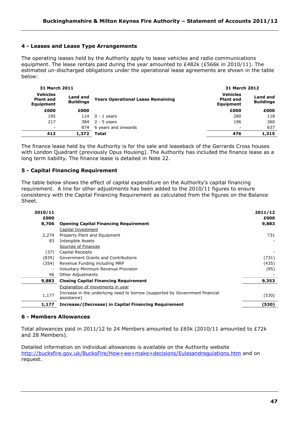# **4 - Leases and Lease Type Arrangements**

The operating leases held by the Authority apply to lease vehicles and radio communications equipment. The lease rentals paid during the year amounted to £482k (£566k in 2010/11). The estimated un-discharged obligations under the operational lease agreements are shown in the table below:

| 31 March 2011                                    |                              |                                          |                                                  | 31 March 2012                |  |  |
|--------------------------------------------------|------------------------------|------------------------------------------|--------------------------------------------------|------------------------------|--|--|
| <b>Vehicles</b><br><b>Plant and</b><br>Equipment | Land and<br><b>Buildings</b> | <b>Years Operational Lease Remaining</b> | <b>Vehicles</b><br><b>Plant and</b><br>Equipment | Land and<br><b>Buildings</b> |  |  |
| £000                                             | £000                         |                                          | £000                                             | £000                         |  |  |
| 195                                              | 114                          | $0 - 1$ years                            | 280                                              | 118                          |  |  |
| 217                                              | 384                          | $2 - 5$ years                            | 196                                              | 360                          |  |  |
| $\overline{\phantom{a}}$                         | 874                          | 6 years and onwards                      |                                                  | 837                          |  |  |
| 412                                              | 1,372                        | Total                                    | 476                                              | 1,315                        |  |  |

The finance lease held by the Authority is for the sale and leaseback of the Gerrards Cross houses with London Quadrant (previously Opus Housing). The Authority has included the finance lease as a long term liability. The finance lease is detailed in Note 22.

# **5 - Capital Financing Requirement**

The table below shows the effect of capital expenditure on the Authority"s capital financing requirement. A line for other adjustments has been added to the 2010/11 figures to ensure consistency with the Capital Financing Requirement as calculated from the figures on the Balance Sheet.

| 2010/11<br>£000          |                                                                                             | 2011/12<br>£000 |
|--------------------------|---------------------------------------------------------------------------------------------|-----------------|
| 8,706                    | <b>Opening Capital Financing Requirement</b>                                                | 9,883           |
|                          | Capital Investment                                                                          |                 |
| 2,274                    | Property Plant and Equipment                                                                | 731             |
| 83                       | Intangible Assets                                                                           |                 |
|                          | Sources of Finances                                                                         |                 |
| (37)                     | Capital Receipts                                                                            |                 |
| (835)                    | Government Grants and Contributions                                                         | (731)           |
| (354)                    | Revenue Funding including MRP                                                               | (435)           |
| $\overline{\phantom{a}}$ | <b>Voluntary Minimum Revenue Provision</b>                                                  | (95)            |
| 46                       | Other Adjustments                                                                           |                 |
| 9,883                    | <b>Closing Capital Financing Requirement</b>                                                | 9,353           |
|                          | <b>Explanation of movements in year</b>                                                     |                 |
| 1,177                    | Increase in the underlying need to borrow (supported by Government financial<br>assistance) | (530)           |
| 1,177                    | Increase/(Decrease) in Capital Financing Requirement                                        | (530)           |

# **6 - Members Allowances**

Total allowances paid in 2011/12 to 24 Members amounted to £65k (2010/11 amounted to £72k and 28 Members).

Detailed information on individual allowances is available on the Authority website <http://bucksfire.gov.uk/BucksFire/How+we+make+decisions/Eulesandregulations.htm> and on request.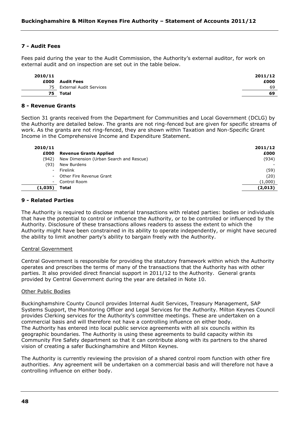# **7 - Audit Fees**

Fees paid during the year to the Audit Commission, the Authority"s external auditor, for work on external audit and on inspection are set out in the table below.

| 2010/11 |                         | 2011/12 |
|---------|-------------------------|---------|
| £000    | Audit Fees              | £000    |
| 75      | External Audit Services | 69      |
| 75      | Total                   | 69      |

#### **8 - Revenue Grants**

Section 31 grants received from the Department for Communities and Local Government (DCLG) by the Authority are detailed below. The grants are not ring-fenced but are given for specific streams of work. As the grants are not ring-fenced, they are shown within Taxation and Non-Specific Grant Income in the Comprehensive Income and Expenditure Statement.

| 2010/11                  |                                         | 2011/12  |
|--------------------------|-----------------------------------------|----------|
| £000                     | <b>Revenue Grants Applied</b>           | £000     |
| (942)                    | New Dimension (Urban Search and Rescue) | (934)    |
| (93)                     | New Burdens                             |          |
| $\overline{\phantom{a}}$ | Firelink                                | (59)     |
| $\sim$                   | Other Fire Revenue Grant                | (20)     |
| $\overline{\phantom{a}}$ | Control Room                            | (1,000)  |
| (1,035)                  | Total                                   | (2, 013) |

## **9 - Related Parties**

The Authority is required to disclose material transactions with related parties: bodies or individuals that have the potential to control or influence the Authority, or to be controlled or influenced by the Authority. Disclosure of these transactions allows readers to assess the extent to which the Authority might have been constrained in its ability to operate independently, or might have secured the ability to limit another party"s ability to bargain freely with the Authority.

#### Central Government

Central Government is responsible for providing the statutory framework within which the Authority operates and prescribes the terms of many of the transactions that the Authority has with other parties. It also provided direct financial support in 2011/12 to the Authority. General grants provided by Central Government during the year are detailed in Note 10.

## Other Public Bodies

Buckinghamshire County Council provides Internal Audit Services, Treasury Management, SAP Systems Support, the Monitoring Officer and Legal Services for the Authority. Milton Keynes Council provides Clerking services for the Authority"s committee meetings. These are undertaken on a commercial basis and will therefore not have a controlling influence on either body. The Authority has entered into local public service agreements with all six councils within its geographic boundaries. The Authority is using these agreements to build capacity within its Community Fire Safety department so that it can contribute along with its partners to the shared vision of creating a safer Buckinghamshire and Milton Keynes.

The Authority is currently reviewing the provision of a shared control room function with other fire authorities. Any agreement will be undertaken on a commercial basis and will therefore not have a controlling influence on either body.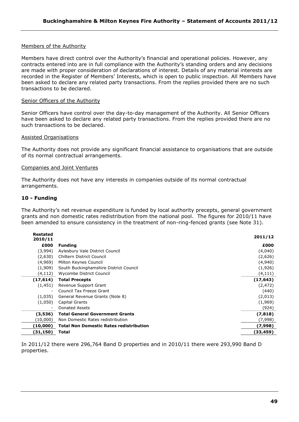# Members of the Authority

Members have direct control over the Authority"s financial and operational policies. However, any contracts entered into are in full compliance with the Authority"s standing orders and any decisions are made with proper consideration of declarations of interest. Details of any material interests are recorded in the Register of Members' Interests, which is open to public inspection. All Members have been asked to declare any related party transactions. From the replies provided there are no such transactions to be declared.

## Senior Officers of the Authority

Senior Officers have control over the day-to-day management of the Authority. All Senior Officers have been asked to declare any related party transactions. From the replies provided there are no such transactions to be declared.

## Assisted Organisations

The Authority does not provide any significant financial assistance to organisations that are outside of its normal contractual arrangements.

## Companies and Joint Ventures

The Authority does not have any interests in companies outside of its normal contractual arrangements.

# **10 - Funding**

The Authority's net revenue expenditure is funded by local authority precepts, general government grants and non domestic rates redistribution from the national pool. The figures for 2010/11 have been amended to ensure consistency in the treatment of non-ring-fenced grants (see Note 31).

| Restated<br>2010/11      |                                                | 2011/12   |
|--------------------------|------------------------------------------------|-----------|
| £000                     | <b>Funding</b>                                 | £000      |
| (3,994)                  | Aylesbury Vale District Council                | (4,040)   |
| (2,630)                  | Chiltern District Council                      | (2,626)   |
| (4,969)                  | Milton Keynes Council                          | (4,940)   |
| (1,909)                  | South Buckinghamshire District Council         | (1,926)   |
| (4,112)                  | Wycombe District Council                       | (4, 111)  |
| (17, 614)                | <b>Total Precepts</b>                          | (17, 643) |
| (1, 451)                 | Revenue Support Grant                          | (2, 472)  |
| $\overline{\phantom{a}}$ | Council Tax Freeze Grant                       | (440)     |
| (1,035)                  | General Revenue Grants (Note 8)                | (2,013)   |
| (1,050)                  | Capital Grants                                 | (1,969)   |
|                          | Donated Assets                                 | (924)     |
| (3,536)                  | <b>Total General Government Grants</b>         | (7, 818)  |
| (10,000)                 | Non Domestic Rates redistribution              | (7,998)   |
| (10,000)                 | <b>Total Non Domestic Rates redistribution</b> | (7,998)   |
| (31, 150)                | Total                                          | (33, 459) |

In 2011/12 there were 296,764 Band D properties and in 2010/11 there were 293,990 Band D properties.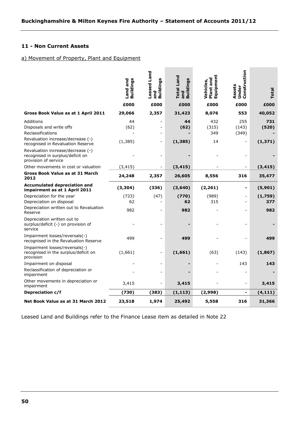÷.

÷

# **11 - Non Current Assets**

# a) Movement of Property, Plant and Equipment

|                                                                                               | <b>Buildings</b><br>Land and | Leased Land<br><b>Buildings</b><br>and | <b>Total Land</b><br><b>Buildings</b><br>and | Equipment<br>Plant and<br>Vehicles, | Construction<br>Assets<br>Under | Total          |
|-----------------------------------------------------------------------------------------------|------------------------------|----------------------------------------|----------------------------------------------|-------------------------------------|---------------------------------|----------------|
|                                                                                               | £000                         | £000                                   | £000                                         | £000                                | £000                            | £000           |
| Gross Book Value as at 1 April 2011                                                           | 29,066                       | 2,357                                  | 31,423                                       | 8,076                               | 553                             | 40,052         |
| Additions<br>Disposals and write offs<br>Reclassifications                                    | 44<br>(62)                   |                                        | 44<br>(62)                                   | 432<br>(315)<br>349                 | 255<br>(143)<br>(349)           | 731<br>(520)   |
| Revaluation increase/decrease (-)<br>recognised in Revaluation Reserve                        | (1, 385)                     |                                        | (1, 385)                                     | 14                                  |                                 | (1, 371)       |
| Revaluation increase/decrease (-)<br>recognised in surplus/deficit on<br>provision of service |                              |                                        |                                              |                                     |                                 |                |
| Other movements in cost or valuation                                                          | (3, 415)                     |                                        | (3, 415)                                     |                                     |                                 | (3, 415)       |
| Gross Book Value as at 31 March<br>2012                                                       | 24,248                       | 2,357                                  | 26,605                                       | 8,556                               | 316                             | 35,477         |
| Accumulated depreciation and<br>impairment as at 1 April 2011                                 | (3, 304)                     | (336)                                  | (3,640)                                      | (2, 261)                            | $\blacksquare$                  | (5,901)        |
| Depreciation for the year<br>Depreciation on disposal                                         | (723)<br>62                  | (47)                                   | (770)<br>62                                  | (989)<br>315                        | $\blacksquare$                  | (1,759)<br>377 |
| Depreciation written out to Revaluation<br>Reserve                                            | 982                          |                                        | 982                                          |                                     |                                 | 982            |
| Depreciation written out to<br>surplus/deficit (-) on provision of<br>service                 |                              |                                        |                                              |                                     |                                 |                |
| Impairment losses/reversals(-)<br>recognised in the Revaluation Reserve                       | 499                          |                                        | 499                                          |                                     |                                 | 499            |
| Impairment losses/reversals(-)<br>recognised in the surplus/deficit on<br>provision           | (1,661)                      |                                        | (1,661)                                      | (63)                                | (143)                           | (1, 867)       |
| Impairment on disposal<br>Reclassification of depreciation or<br>impairment                   |                              |                                        |                                              |                                     | 143                             | 143            |
| Other movements in depreciation or<br>impairment                                              | 3,415                        |                                        | 3,415                                        |                                     |                                 | 3,415          |
| Depreciation c/f                                                                              | (730)                        | (383)                                  | (1, 113)                                     | (2,998)                             |                                 | (4, 111)       |
| Net Book Value as at 31 March 2012                                                            | 23,518                       | 1,974                                  | 25,492                                       | 5,558                               | 316                             | 31,366         |

Leased Land and Buildings refer to the Finance Lease item as detailed in Note 22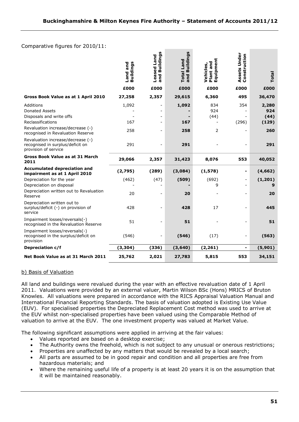**College** 

# Comparative figures for 2010/11:

|                                                                                                             | <b>Buildings</b><br>Land and | Buildings<br>Leased Land<br>and | <b>Buildings</b><br><b>Total Land</b><br>and | Equipment<br>Plant and<br>Vehicles, | Assets Under<br>Construction | Total                         |
|-------------------------------------------------------------------------------------------------------------|------------------------------|---------------------------------|----------------------------------------------|-------------------------------------|------------------------------|-------------------------------|
|                                                                                                             | £000                         | £000                            | £000                                         | £000                                | £000                         | £000                          |
| Gross Book Value as at 1 April 2010                                                                         | 27,258                       | 2,357                           | 29,615                                       | 6,360                               | 495                          | 36,470                        |
| Additions<br><b>Donated Assets</b><br>Disposals and write offs<br>Reclassifications                         | 1,092<br>167                 |                                 | 1,092<br>167                                 | 834<br>924<br>(44)                  | 354<br>(296)                 | 2,280<br>924<br>(44)<br>(129) |
| Revaluation increase/decrease (-)<br>recognised in Revaluation Reserve                                      | 258                          |                                 | 258                                          | 2                                   |                              | 260                           |
| Revaluation increase/decrease (-)<br>recognised in surplus/deficit on<br>provision of service               | 291                          |                                 | 291                                          |                                     |                              | 291                           |
| <b>Gross Book Value as at 31 March</b><br>2011                                                              | 29,066                       | 2,357                           | 31,423                                       | 8,076                               | 553                          | 40,052                        |
| <b>Accumulated depreciation and</b><br>impairment as at 1 April 2010                                        | (2,795)                      | (289)                           | (3,084)                                      | (1, 578)                            | $\blacksquare$               | (4,662)                       |
| Depreciation for the year<br>Depreciation on disposal<br>Depreciation written out to Revaluation<br>Reserve | (462)<br>20                  | (47)                            | (509)<br>20                                  | (692)<br>9                          | $\overline{\phantom{a}}$     | (1, 201)<br>9<br>20           |
| Depreciation written out to<br>surplus/deficit (-) on provision of<br>service                               | 428                          |                                 | 428                                          | 17                                  |                              | 445                           |
| Impairment losses/reversals(-)<br>recognised in the Revaluation Reserve                                     | 51                           |                                 | 51                                           |                                     |                              | 51                            |
| Impairment losses/reversals(-)<br>recognised in the surplus/deficit on<br>provision                         | (546)                        |                                 | (546)                                        | (17)                                |                              | (563)                         |
| Depreciation c/f                                                                                            | (3, 304)                     | (336)                           | (3, 640)                                     | (2, 261)                            | $\blacksquare$               | (5,901)                       |
| Net Book Value as at 31 March 2011                                                                          | 25,762                       | 2,021                           | 27,783                                       | 5,815                               | 553                          | 34,151                        |

# b) Basis of Valuation

All land and buildings were revalued during the year with an effective revaluation date of 1 April 2011. Valuations were provided by an external valuer, Martin Wilson BSc (Hons) MRICS of Bruton Knowles. All valuations were prepared in accordance with the RICS Appraisal Valuation Manual and International Financial Reporting Standards. The basis of valuation adopted is Existing Use Value (EUV). For specialised properties the Depreciated Replacement Cost method was used to arrive at the EUV whilst non-specialised properties have been valued using the Comparable Method of valuation to arrive at the EUV. The one investment property was valued at Market Value.

The following significant assumptions were applied in arriving at the fair values:

- Values reported are based on a desktop exercise;
- The Authority owns the freehold, which is not subject to any unusual or onerous restrictions;
- Properties are unaffected by any matters that would be revealed by a local search;
- All parts are assumed to be in good repair and condition and all properties are free from hazardous materials; and
- Where the remaining useful life of a property is at least 20 years it is on the assumption that it will be maintained reasonably.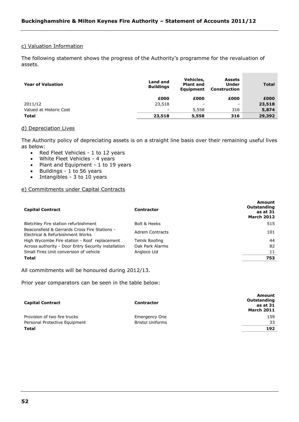## c) Valuation Information

The following statement shows the progress of the Authority's programme for the revaluation of assets.

| <b>Year of Valuation</b> | Land and<br><b>Buildings</b> | Vehicles,<br><b>Plant and</b><br><b>Equipment</b> | <b>Assets</b><br>Under<br>Construction | <b>Total</b> |
|--------------------------|------------------------------|---------------------------------------------------|----------------------------------------|--------------|
|                          | £000                         | £000                                              | £000                                   | £000         |
| 2011/12                  | 23,518                       | -                                                 |                                        | 23,518       |
| Valued at Historic Cost  | $\overline{\phantom{0}}$     | 5,558                                             | 316                                    | 5,874        |
| <b>Total</b>             | 23,518                       | 5,558                                             | 316                                    | 29,392       |

...

#### d) Depreciation Lives

The Authority policy of depreciating assets is on a straight line basis over their remaining useful lives as below:

- Red Fleet Vehicles 1 to 12 years
- White Fleet Vehicles 4 years
- Plant and Equipment 1 to 19 years
- Buildings 1 to 56 years<br>• Intangibles 3 to 10 years
- Intangibles 3 to 10 years

# e) Commitments under Capital Contracts

| <b>Capital Contract</b>                                                           | <b>Contractor</b> | Amount<br>Outstanding<br>as at 31<br><b>March 2012</b> |
|-----------------------------------------------------------------------------------|-------------------|--------------------------------------------------------|
| Bletchley Fire station refurbishment                                              | Bolt & Heeks      | 515                                                    |
| Beaconsfield & Gerrards Cross Fire Stations -<br>Electrical & Refurbishment Works | Adrem Contracts   | 101                                                    |
| High Wycombe Fire station - Roof replacement                                      | Telnik Roofing    | 44                                                     |
| Across authority - Door Entry Security installation                               | Oak Park Alarms   | 82                                                     |
| Small Fires Unit conversion of vehicle                                            | Angloco Ltd       | 11                                                     |
| Total                                                                             |                   | 753                                                    |

All commitments will be honoured during 2012/13.

Prior year comparators can be seen in the table below:

| <b>Capital Contract</b>       | <b>Contractor</b>       | <b>Amount</b><br>Outstanding<br>as at 31<br><b>March 2011</b> |
|-------------------------------|-------------------------|---------------------------------------------------------------|
| Provision of two fire trucks  | Emergency One           | 159                                                           |
| Personal Protective Equipment | <b>Bristol Uniforms</b> | 33                                                            |
| Total                         |                         | 192                                                           |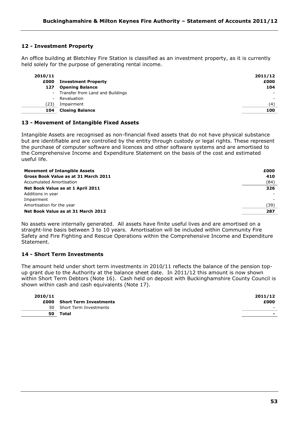# **12 - Investment Property**

An office building at Bletchley Fire Station is classified as an investment property, as it is currently held solely for the purpose of generating rental income.

| 2010/11<br>£000 | <b>Investment Property</b>         | 2011/12<br>£000 |
|-----------------|------------------------------------|-----------------|
| 127             | <b>Opening Balance</b>             | 104             |
|                 | - Transfer from Land and Buildings | ۰               |
| $\sim$          | Revaluation                        | -               |
| (23)            | Impairment                         | (4`             |
| 104             | <b>Closing Balance</b>             | 100             |

# **13 - Movement of Intangible Fixed Assets**

Intangible Assets are recognised as non-financial fixed assets that do not have physical substance but are identifiable and are controlled by the entity through custody or legal rights. These represent the purchase of computer software and licences and other software systems and are amortised to the Comprehensive Income and Expenditure Statement on the basis of the cost and estimated useful life.

| <b>Movement of Intangible Assets</b> | £000 |
|--------------------------------------|------|
| Gross Book Value as at 31 March 2011 | 410  |
| Accumulated Amortisation             | (84) |
| Net Book Value as at 1 April 2011    | 326  |
| Additions in year                    |      |
| Impairment                           |      |
| Amortisation for the year            | (39) |
| Net Book Value as at 31 March 2012   | 287  |

No assets were internally generated. All assets have finite useful lives and are amortised on a straight-line basis between 3 to 10 years. Amortisation will be included within Community Fire Safety and Fire Fighting and Rescue Operations within the Comprehensive Income and Expenditure Statement.

# **14 - Short Term Investments**

The amount held under short term investments in 2010/11 reflects the balance of the pension topup grant due to the Authority at the balance sheet date. In 2011/12 this amount is now shown within Short Term Debtors (Note 16). Cash held on deposit with Buckinghamshire County Council is shown within cash and cash equivalents (Note 17).

| 2010/11 |                               | 2011/12 |
|---------|-------------------------------|---------|
| £000    | <b>Short Term Investments</b> | £000    |
| 50.     | Short Term Investments        | $\sim$  |
| 50      | Total                         | -       |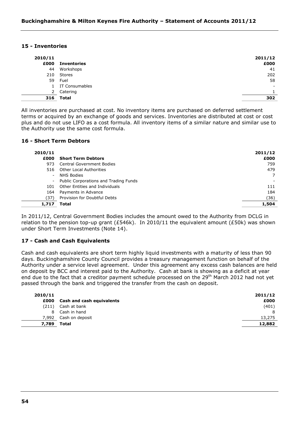## **15 - Inventories**

| 2010/11<br>£000 | <b>Inventories</b> | 2011/12<br>£000 |
|-----------------|--------------------|-----------------|
| 44              | Workshops          | 41              |
| 210             | Stores             | 202             |
| 59              | Fuel               | 58              |
|                 | IT Consumables     |                 |
| 2               | Catering           |                 |
| 316             | Total              | 302             |

All inventories are purchased at cost. No inventory items are purchased on deferred settlement terms or acquired by an exchange of goods and services. Inventories are distributed at cost or cost plus and do not use LIFO as a cost formula. All inventory items of a similar nature and similar use to the Authority use the same cost formula.

# **16 - Short Term Debtors**

| 2010/11 |                                         | 2011/12 |
|---------|-----------------------------------------|---------|
| £000    | <b>Short Term Debtors</b>               | £000    |
| 973     | <b>Central Government Bodies</b>        | 759     |
| 516     | Other Local Authorities                 | 479     |
| ۰.      | NHS Bodies                              |         |
|         | - Public Corporations and Trading Funds |         |
| 101     | Other Entities and Individuals          | 111     |
| 164     | Payments in Advance                     | 184     |
| (37)    | Provision for Doubtful Debts            | (36)    |
| 1,717   | <b>Total</b>                            | 1,504   |

In 2011/12, Central Government Bodies includes the amount owed to the Authority from DCLG in relation to the pension top-up grant (£546k). In 2010/11 the equivalent amount (£50k) was shown under Short Term Investments (Note 14).

# **17 - Cash and Cash Equivalents**

Cash and cash equivalents are short term highly liquid investments with a maturity of less than 90 days. Buckinghamshire County Council provides a treasury management function on behalf of the Authority under a service level agreement. Under this agreement any excess cash balances are held on deposit by BCC and interest paid to the Authority. Cash at bank is showing as a deficit at year end due to the fact that a creditor payment schedule processed on the 29<sup>th</sup> March 2012 had not yet passed through the bank and triggered the transfer from the cash on deposit.

| 2010/11 |                           | 2011/12 |
|---------|---------------------------|---------|
| £000    | Cash and cash equivalents | £000    |
| (211)   | Cash at bank              | (401)   |
| 8       | Cash in hand              | 8       |
|         | 7,992 Cash on deposit     | 13,275  |
| 7,789   | Total                     | 12,882  |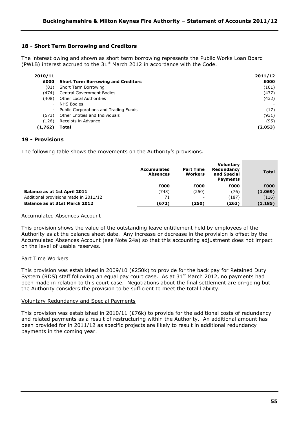# **18 - Short Term Borrowing and Creditors**

The interest owing and shown as short term borrowing represents the Public Works Loan Board (PWLB) interest accrued to the  $31<sup>st</sup>$  March 2012 in accordance with the Code.

| 2010/11                  |                                           | 2011/12 |
|--------------------------|-------------------------------------------|---------|
| £000                     | <b>Short Term Borrowing and Creditors</b> | £000    |
| (81)                     | Short Term Borrowing                      | (101)   |
| (474)                    | <b>Central Government Bodies</b>          | (477)   |
| (408)                    | <b>Other Local Authorities</b>            | (432)   |
| $\overline{\phantom{a}}$ | NHS Bodies                                |         |
| $\overline{\phantom{a}}$ | Public Corporations and Trading Funds     | (17)    |
| (673)                    | Other Entities and Individuals            | (931)   |
| (126)                    | Receipts in Advance                       | (95)    |
| (1,762)                  | Total                                     | (2,053) |

# **19 - Provisions**

The following table shows the movements on the Authority's provisions.

|                                       | Accumulated<br><b>Absences</b> | <b>Part Time</b><br><b>Workers</b> | <b>Voluntary</b><br>Redundancy<br>and Special<br><b>Payments</b> | <b>Total</b> |
|---------------------------------------|--------------------------------|------------------------------------|------------------------------------------------------------------|--------------|
|                                       | £000                           | £000                               | £000                                                             | £000         |
| <b>Balance as at 1st April 2011</b>   | (743)                          | (250)                              | (76)                                                             | (1,069)      |
| Additional provisions made in 2011/12 | 71                             | -                                  | (187)                                                            | (116)        |
| Balance as at 31st March 2012         | (672)                          | (250)                              | (263)                                                            | (1, 185)     |

## Accumulated Absences Account

This provision shows the value of the outstanding leave entitlement held by employees of the Authority as at the balance sheet date. Any increase or decrease in the provision is offset by the Accumulated Absences Account (see Note 24a) so that this accounting adjustment does not impact on the level of usable reserves.

# Part Time Workers

This provision was established in 2009/10 (£250k) to provide for the back pay for Retained Duty System (RDS) staff following an equal pay court case. As at  $31<sup>st</sup>$  March 2012, no payments had been made in relation to this court case. Negotiations about the final settlement are on-going but the Authority considers the provision to be sufficient to meet the total liability.

## Voluntary Redundancy and Special Payments

This provision was established in 2010/11 (£76k) to provide for the additional costs of redundancy and related payments as a result of restructuring within the Authority. An additional amount has been provided for in 2011/12 as specific projects are likely to result in additional redundancy payments in the coming year.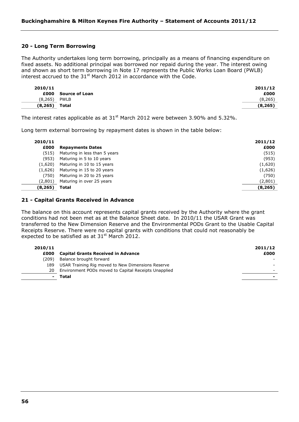# **20 - Long Term Borrowing**

The Authority undertakes long term borrowing, principally as a means of financing expenditure on fixed assets. No additional principal was borrowed nor repaid during the year. The interest owing and shown as short term borrowing in Note 17 represents the Public Works Loan Board (PWLB) interest accrued to the  $31<sup>st</sup>$  March 2012 in accordance with the Code.

| 2010/11  |                       | 2011/12  |
|----------|-----------------------|----------|
| £000     | <b>Source of Loan</b> | £000     |
| (8, 265) | <b>PWLB</b>           | (8,265)  |
| (8, 265) | Total                 | (8, 265) |

The interest rates applicable as at  $31<sup>st</sup>$  March 2012 were between 3.90% and 5.32%.

Long term external borrowing by repayment dates is shown in the table below:

| 2010/11<br>£000 | <b>Repayments Dates</b>       | 2011/12<br>£000 |
|-----------------|-------------------------------|-----------------|
| (515)           | Maturing in less than 5 years | (515)           |
| (953)           | Maturing in 5 to 10 years     | (953)           |
| (1,620)         | Maturing in 10 to 15 years    | (1,620)         |
| (1,626)         | Maturing in 15 to 20 years    | (1,626)         |
| (750)           | Maturing in 20 to 25 years    | (750)           |
| (2,801)         | Maturing in over 25 years     | (2,801)         |
| (8, 265)        | Total                         | (8, 265)        |

## **21 - Capital Grants Received in Advance**

The balance on this account represents capital grants received by the Authority where the grant conditions had not been met as at the Balance Sheet date. In 2010/11 the USAR Grant was transferred to the New Dimension Reserve and the Environmental PODs Grant to the Usable Capital Receipts Reserve. There were no capital grants with conditions that could not reasonably be expected to be satisfied as at  $31<sup>st</sup>$  March 2012.

| 2010/11 |                                                      | 2011/12 |
|---------|------------------------------------------------------|---------|
| £000    | <b>Capital Grants Received in Advance</b>            | £000    |
| (209)   | Balance brought forward                              |         |
| 189     | USAR Training Rig moved to New Dimensions Reserve    |         |
| 20      | Environment PODs moved to Capital Receipts Unapplied |         |
| $\sim$  | Total                                                |         |
|         |                                                      |         |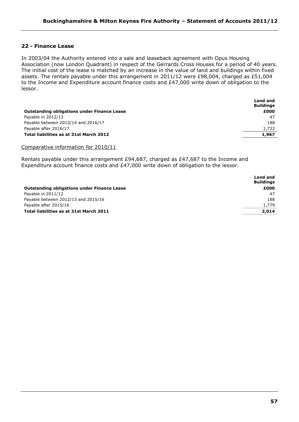# **22 - Finance Lease**

In 2003/04 the Authority entered into a sale and leaseback agreement with Opus Housing Association (now London Quadrant) in respect of the Gerrards Cross Houses for a period of 40 years. The initial cost of the lease is matched by an increase in the value of land and buildings within fixed assets. The rentals payable under this arrangement in 2011/12 were £98,004, charged as £51,004 to the Income and Expenditure account finance costs and £47,000 write down of obligation to the lessor.

|                                                    | <b>Land and</b><br><b>Buildings</b> |
|----------------------------------------------------|-------------------------------------|
| <b>Outstanding obligations under Finance Lease</b> | £000                                |
| Payable in 2012/13                                 | -47                                 |
| Payable between 2013/14 and 2016/17                | 188                                 |
| Payable after 2016/17                              | 1,732                               |
| Total liabilities as at 31st March 2012            | 1,967                               |
|                                                    |                                     |

Comparative information for 2010/11

Rentals payable under this arrangement £94,687, charged as £47,687 to the Income and Expenditure account finance costs and £47,000 write down of obligation to the lessor.

|                                                    | Land and<br><b>Buildings</b> |
|----------------------------------------------------|------------------------------|
| <b>Outstanding obligations under Finance Lease</b> | £000                         |
| Payable in 2011/12                                 | 47                           |
| Payable between 2012/13 and 2015/16                | 188                          |
| Payable after 2015/16                              | 1,779                        |
| Total liabilities as at 31st March 2011            | 2,014                        |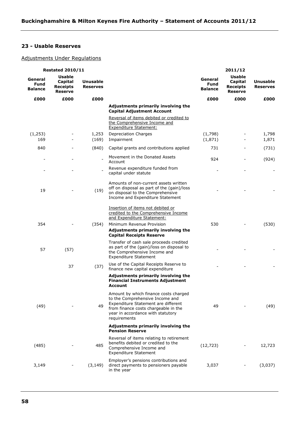# **23 - Usable Reserves**

# Adjustments Under Regulations

| <b>Restated 2010/11</b>                  |                                                               |                                    |                                                                                                                                                                                                              |                                   | 2011/12                                                       |                             |
|------------------------------------------|---------------------------------------------------------------|------------------------------------|--------------------------------------------------------------------------------------------------------------------------------------------------------------------------------------------------------------|-----------------------------------|---------------------------------------------------------------|-----------------------------|
| General<br><b>Fund</b><br><b>Balance</b> | <b>Usable</b><br>Capital<br><b>Receipts</b><br><b>Reserve</b> | <b>Unusable</b><br><b>Reserves</b> |                                                                                                                                                                                                              | General<br>Fund<br><b>Balance</b> | <b>Usable</b><br>Capital<br><b>Receipts</b><br><b>Reserve</b> | Unusable<br><b>Reserves</b> |
| £000                                     | £000                                                          | £000                               |                                                                                                                                                                                                              | £000                              | £000                                                          | £000                        |
|                                          |                                                               |                                    | Adjustments primarily involving the<br><b>Capital Adjustment Account</b>                                                                                                                                     |                                   |                                                               |                             |
|                                          |                                                               |                                    | Reversal of items debited or credited to<br>the Comprehensive Income and<br><b>Expenditure Statement:</b>                                                                                                    |                                   |                                                               |                             |
| (1, 253)                                 |                                                               | 1,253                              | <b>Depreciation Charges</b>                                                                                                                                                                                  | (1,798)                           |                                                               | 1,798                       |
| 169                                      |                                                               | (169)                              | Impairment                                                                                                                                                                                                   | (1, 871)                          |                                                               | 1,871                       |
| 840                                      |                                                               | (840)                              | Capital grants and contributions applied                                                                                                                                                                     | 731                               |                                                               | (731)                       |
|                                          |                                                               | $\blacksquare$                     | Movement in the Donated Assets<br>Account                                                                                                                                                                    | 924                               |                                                               | (924)                       |
|                                          |                                                               |                                    | Revenue expenditure funded from<br>capital under statute                                                                                                                                                     |                                   |                                                               |                             |
| 19                                       |                                                               | (19)                               | Amounts of non-current assets written<br>off on disposal as part of the (gain)/loss<br>on disposal to the Comprehensive<br>Income and Expenditure Statement                                                  |                                   |                                                               |                             |
|                                          |                                                               |                                    | Insertion of items not debited or<br>credited to the Comprehensive Income<br>and Expenditure Statement:                                                                                                      |                                   |                                                               |                             |
| 354                                      |                                                               | (354)                              | Minimum Revenue Provision                                                                                                                                                                                    | 530                               |                                                               | (530)                       |
|                                          |                                                               |                                    | Adjustments primarily involving the<br><b>Capital Receipts Reserve</b>                                                                                                                                       |                                   |                                                               |                             |
| 57                                       | (57)                                                          |                                    | Transfer of cash sale proceeds credited<br>as part of the (gain)/loss on disposal to<br>the Comprehensive Income and<br><b>Expenditure Statement</b>                                                         |                                   |                                                               |                             |
|                                          | 37                                                            | (37)                               | Use of the Capital Receipts Reserve to<br>finance new capital expenditure                                                                                                                                    |                                   |                                                               |                             |
|                                          |                                                               |                                    | Adjustments primarily involving the<br><b>Financial Instruments Adjustment</b><br>Account                                                                                                                    |                                   |                                                               |                             |
| (49)                                     |                                                               | 49                                 | Amount by which finance costs charged<br>to the Comprehensive Income and<br>Expenditure Statement are different<br>from finance costs chargeable in the<br>year in accordance with statutory<br>requirements | 49                                |                                                               | (49)                        |
|                                          |                                                               |                                    | Adjustments primarily involving the<br><b>Pension Reserve</b>                                                                                                                                                |                                   |                                                               |                             |
| (485)                                    |                                                               | 485                                | Reversal of items relating to retirement<br>benefits debited or credited to the<br>Comprehensive Income and<br><b>Expenditure Statement</b>                                                                  | (12, 723)                         |                                                               | 12,723                      |
| 3,149                                    |                                                               | (3, 149)                           | Employer's pensions contributions and<br>direct payments to pensioners payable<br>in the year                                                                                                                | 3,037                             |                                                               | (3,037)                     |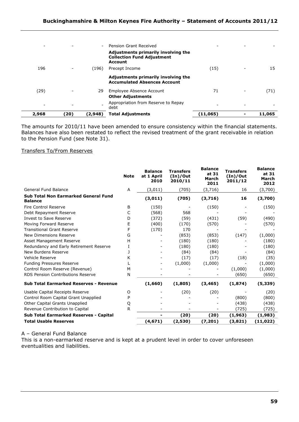| 2,968                    | (20) | (2,948)                  | <b>Total Adjustments</b>                                                                   | (11,065) | 11,065 |
|--------------------------|------|--------------------------|--------------------------------------------------------------------------------------------|----------|--------|
| ٠                        |      |                          | Appropriation from Reserve to Repay<br>debt                                                |          |        |
|                          |      |                          | <b>Other Adjustments</b>                                                                   |          |        |
| (29)                     |      | 29                       | Employee Absence Account                                                                   | 71       | (71)   |
|                          |      |                          | Adjustments primarily involving the<br><b>Accumulated Absences Account</b>                 |          |        |
| 196                      |      | (196)                    | Precept Income                                                                             | (15)     | 15     |
|                          |      |                          | Adjustments primarily involving the<br><b>Collection Fund Adjustment</b><br><b>Account</b> |          |        |
| $\overline{\phantom{a}}$ |      | $\overline{\phantom{a}}$ | Pension Grant Received                                                                     |          |        |
|                          |      |                          |                                                                                            |          |        |

The amounts for 2010/11 have been amended to ensure consistency within the financial statements. Balances have also been restated to reflect the revised treatment of the grant receivable in relation to the Pension Fund (see Note 31).

## Transfers To/From Reserves

|                                                               | <b>Note</b> | <b>Balance</b><br>at 1 April<br>2010 | <b>Transfers</b><br>(In)/Out<br>2010/11 | <b>Balance</b><br>at 31<br>March<br>2011 | <b>Transfers</b><br>(In)/Out<br>2011/12 | <b>Balance</b><br>at 31<br>March<br>2012 |
|---------------------------------------------------------------|-------------|--------------------------------------|-----------------------------------------|------------------------------------------|-----------------------------------------|------------------------------------------|
| <b>General Fund Balance</b>                                   | Α           | (3,011)                              | (705)                                   | (3,716)                                  | 16                                      | (3,700)                                  |
| <b>Sub Total Non Earmarked General Fund</b><br><b>Balance</b> |             | (3,011)                              | (705)                                   | (3,716)                                  | 16                                      | (3,700)                                  |
| Fire Control Reserve                                          | B           | (150)                                |                                         | (150)                                    |                                         | (150)                                    |
| Debt Repayment Reserve                                        | C           | (568)                                | 568                                     |                                          |                                         |                                          |
| Invest to Save Reserve                                        | D           | (372)                                | (59)                                    | (431)                                    | (59)                                    | (490)                                    |
| Moving Forward Reserve                                        | Е           | (400)                                | (170)                                   | (570)                                    |                                         | (570)                                    |
| <b>Transitional Grant Reserve</b>                             | F           | (170)                                | 170                                     |                                          |                                         |                                          |
| New Dimensions Reserve                                        | G           |                                      | (853)                                   | (853)                                    | (147)                                   | (1,000)                                  |
| Asset Management Reserve                                      | н           |                                      | (180)                                   | (180)                                    |                                         | (180)                                    |
| Redundancy and Early Retirement Reserve                       |             |                                      | (180)                                   | (180)                                    |                                         | (180)                                    |
| New Burdens Reserve                                           |             |                                      | (84)                                    | (84)                                     |                                         | (84)                                     |
| Vehicle Reserve                                               | K           |                                      | (17)                                    | (17)                                     | (18)                                    | (35)                                     |
| Funding Pressures Reserve                                     |             |                                      | (1,000)                                 | (1,000)                                  |                                         | (1,000)                                  |
| Control Room Reserve (Revenue)                                | М           |                                      |                                         |                                          | (1,000)                                 | (1,000)                                  |
| RDS Pension Contributions Reserve                             | N           |                                      |                                         |                                          | (650)                                   | (650)                                    |
| <b>Sub Total Earmarked Reserves - Revenue</b>                 |             | (1,660)                              | (1,805)                                 | (3, 465)                                 | (1, 874)                                | (5, 339)                                 |
| Usable Capital Receipts Reserve                               | O           |                                      | (20)                                    | (20)                                     |                                         | (20)                                     |
| Control Room Capital Grant Unapplied                          | P           |                                      |                                         |                                          | (800)                                   | (800)                                    |
| Other Capital Grants Unapplied                                | Q           |                                      |                                         |                                          | (438)                                   | (438)                                    |
| Revenue Contribution to Capital                               | R           |                                      |                                         |                                          | (725)                                   | (725)                                    |
| Sub Total Earmarked Reserves - Capital                        |             |                                      | (20)                                    | (20)                                     | (1,963)                                 | (1,983)                                  |
| <b>Total Usable Reserves</b>                                  |             | (4,671)                              | (2,530)                                 | (7,201)                                  | (3,821)                                 | (11,022)                                 |

# A – General Fund Balance

This is a non-earmarked reserve and is kept at a prudent level in order to cover unforeseen eventualities and liabilities.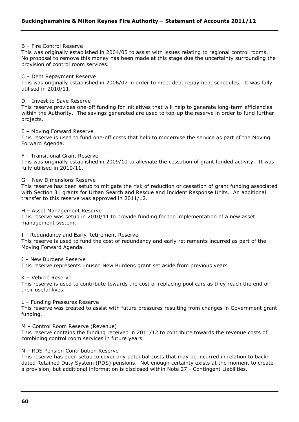#### B – Fire Control Reserve

This was originally established in 2004/05 to assist with issues relating to regional control rooms. No proposal to remove this money has been made at this stage due the uncertainty surrounding the provision of control room services.

### C – Debt Repayment Reserve

This was originally established in 2006/07 in order to meet debt repayment schedules. It was fully utilised in 2010/11.

#### D – Invest to Save Reserve

This reserve provides one-off funding for initiatives that will help to generate long-term efficiencies within the Authority. The savings generated are used to top-up the reserve in order to fund further projects.

#### E – Moving Forward Reserve

This reserve is used to fund one-off costs that help to modernise the service as part of the Moving Forward Agenda.

#### F – Transitional Grant Reserve

This was originally established in 2009/10 to alleviate the cessation of grant funded activity. It was fully utilised in 2010/11.

#### G – New Dimensions Reserve

This reserve has been setup to mitigate the risk of reduction or cessation of grant funding associated with Section 31 grants for Urban Search and Rescue and Incident Response Units. An additional transfer to this reserve was approved in 2011/12.

#### H – Asset Management Reserve

This reserve was setup in 2010/11 to provide funding for the implementation of a new asset management system.

I – Redundancy and Early Retirement Reserve

This reserve is used to fund the cost of redundancy and early retirements incurred as part of the Moving Forward Agenda.

J – New Burdens Reserve

This reserve represents unused New Burdens grant set aside from previous years

#### K – Vehicle Reserve

This reserve is used to contribute towards the cost of replacing pool cars as they reach the end of their useful lives.

#### L – Funding Pressures Reserve

This reserve was created to assist with future pressures resulting from changes in Government grant funding.

#### M – Control Room Reserve (Revenue)

This reserve contains the funding received in 2011/12 to contribute towards the revenue costs of combining control room services in future years.

#### N – RDS Pension Contribution Reserve

This reserve has been setup to cover any potential costs that may be incurred in relation to backdated Retained Duty System (RDS) pensions. Not enough certainty exists at the moment to create a provision, but additional information is disclosed within Note 27 - Contingent Liabilities.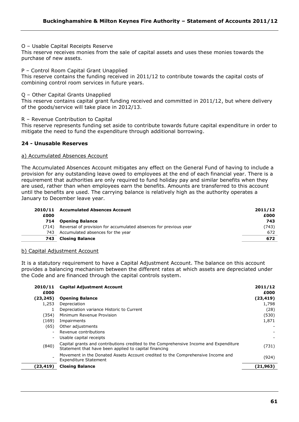## O – Usable Capital Receipts Reserve

This reserve receives monies from the sale of capital assets and uses these monies towards the purchase of new assets.

#### P – Control Room Capital Grant Unapplied

This reserve contains the funding received in 2011/12 to contribute towards the capital costs of combining control room services in future years.

#### Q – Other Capital Grants Unapplied

This reserve contains capital grant funding received and committed in 2011/12, but where delivery of the goods/service will take place in 2012/13.

R – Revenue Contribution to Capital

This reserve represents funding set aside to contribute towards future capital expenditure in order to mitigate the need to fund the expenditure through additional borrowing.

# **24 - Unusable Reserves**

#### a) Accumulated Absences Account

The Accumulated Absences Account mitigates any effect on the General Fund of having to include a provision for any outstanding leave owed to employees at the end of each financial year. There is a requirement that authorities are only required to fund holiday pay and similar benefits when they are used, rather than when employees earn the benefits. Amounts are transferred to this account until the benefits are used. The carrying balance is relatively high as the authority operates a January to December leave year.

|       | 2010/11 Accumulated Absences Account                             | 2011/12 |
|-------|------------------------------------------------------------------|---------|
| £000  |                                                                  | £000    |
| 714   | <b>Opening Balance</b>                                           | 743     |
| (714) | Reversal of provision for accumulated absences for previous year | (743)   |
| 743   | Accumulated absences for the year                                | 672     |
| 743   | <b>Closing Balance</b>                                           | 672     |
|       |                                                                  |         |

## b) Capital Adjustment Account

It is a statutory requirement to have a Capital Adjustment Account. The balance on this account provides a balancing mechanism between the different rates at which assets are depreciated under the Code and are financed through the capital controls system.

| 2010/11                  | <b>Capital Adjustment Account</b>                                                                                                              | 2011/12   |
|--------------------------|------------------------------------------------------------------------------------------------------------------------------------------------|-----------|
| £000                     |                                                                                                                                                | £000      |
| (23,245)                 | <b>Opening Balance</b>                                                                                                                         | (23, 419) |
| 1,253                    | Depreciation                                                                                                                                   | 1,798     |
|                          | Depreciation variance Historic to Current                                                                                                      | (28)      |
| (354)                    | Minimum Revenue Provision                                                                                                                      | (530)     |
| (169)                    | Impairments                                                                                                                                    | 1,871     |
| (65)                     | Other adjustments                                                                                                                              |           |
|                          | Revenue contributions                                                                                                                          |           |
| $\overline{\phantom{0}}$ | Usable capital receipts                                                                                                                        |           |
| (840)                    | Capital grants and contributions credited to the Comprehensive Income and Expenditure<br>Statement that have been applied to capital financing | (731)     |
|                          | Movement in the Donated Assets Account credited to the Comprehensive Income and<br><b>Expenditure Statement</b>                                | (924)     |
| (23,419)                 | <b>Closing Balance</b>                                                                                                                         | (21,963)  |
|                          |                                                                                                                                                |           |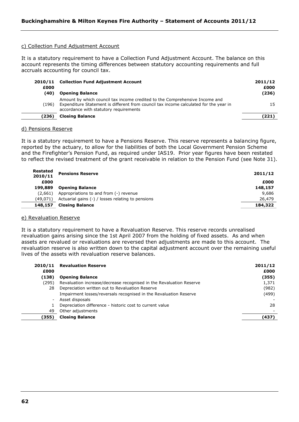### c) Collection Fund Adjustment Account

It is a statutory requirement to have a Collection Fund Adjustment Account. The balance on this account represents the timing differences between statutory accounting requirements and full accruals accounting for council tax.

| £000  | 2010/11 Collection Fund Adjustment Account                                                                                                                                                                     | 2011/12<br>£000 |
|-------|----------------------------------------------------------------------------------------------------------------------------------------------------------------------------------------------------------------|-----------------|
| (40)  | <b>Opening Balance</b>                                                                                                                                                                                         | (236)           |
| (196) | Amount by which council tax income credited to the Comprehensive Income and<br>Expenditure Statement is different from council tax income calculated for the year in<br>accordance with statutory requirements | 15              |
| (236) | <b>Closing Balance</b>                                                                                                                                                                                         | (221)           |
|       |                                                                                                                                                                                                                |                 |

## d) Pensions Reserve

It is a statutory requirement to have a Pensions Reserve. This reserve represents a balancing figure, reported by the actuary, to allow for the liabilities of both the Local Government Pension Scheme and the Firefighter's Pension Fund, as required under IAS19. Prior year figures have been restated to reflect the revised treatment of the grant receivable in relation to the Pension Fund (see Note 31).

| Restated<br>2010/11 | <b>Pensions Reserve</b>                           | 2011/12 |
|---------------------|---------------------------------------------------|---------|
| £000                |                                                   | £000    |
| 199,889             | <b>Opening Balance</b>                            | 148,157 |
| (2.661)             | Appropriations to and from (-) revenue            | 9,686   |
| (49.071)            | Actuarial gains (-) / losses relating to pensions | 26,479  |
| 148,157             | <b>Closing Balance</b>                            | 184,322 |

#### e) Revaluation Reserve

It is a statutory requirement to have a Revaluation Reserve. This reserve records unrealised revaluation gains arising since the 1st April 2007 from the holding of fixed assets. As and when assets are revalued or revaluations are reversed then adjustments are made to this account. The revaluation reserve is also written down to the capital adjustment account over the remaining useful lives of the assets with revaluation reserve balances.

| £000   | 2010/11 Revaluation Reserve                                         | 2011/12<br>£000 |
|--------|---------------------------------------------------------------------|-----------------|
| (138)  | <b>Opening Balance</b>                                              | (355)           |
| (295). | Revaluation increase/decrease recognised in the Revaluation Reserve | 1,371           |
| 28     | Depreciation written out to Revaluation Reserve                     | (982)           |
|        | Impairment losses/reversals recognised in the Revaluation Reserve   | (499)           |
|        | Asset disposals                                                     |                 |
|        | Depreciation difference - historic cost to current value            | 28              |
| 49     | Other adjustments                                                   |                 |
| (355)  | <b>Closing Balance</b>                                              | (437)           |
|        |                                                                     |                 |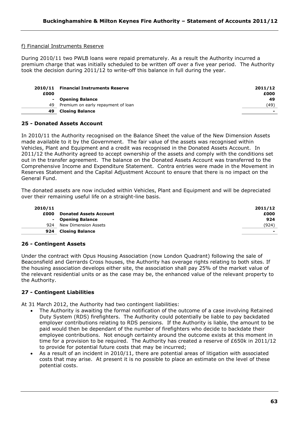# f) Financial Instruments Reserve

During 2010/11 two PWLB loans were repaid prematurely. As a result the Authority incurred a premium charge that was initially scheduled to be written off over a five year period. The Authority took the decision during 2011/12 to write-off this balance in full during the year.

| £000 | 2010/11 Financial Instruments Reserve | 2011/12<br>£000 |
|------|---------------------------------------|-----------------|
|      | - Opening Balance                     | 49              |
| 49   | Premium on early repayment of loan    | (49)            |
| 49   | <b>Closing Balance</b>                |                 |

# **25 - Donated Assets Account**

In 2010/11 the Authority recognised on the Balance Sheet the value of the New Dimension Assets made available to it by the Government. The fair value of the assets was recognised within Vehicles, Plant and Equipment and a credit was recognised in the Donated Assets Account. In 2011/12 the Authority agreed to accept ownership of the assets and comply with the conditions set out in the transfer agreement. The balance on the Donated Assets Account was transferred to the Comprehensive Income and Expenditure Statement. Contra entries were made in the Movement in Reserves Statement and the Capital Adjustment Account to ensure that there is no impact on the General Fund.

The donated assets are now included within Vehicles, Plant and Equipment and will be depreciated over their remaining useful life on a straight-line basis.

| 2010/11 |                               | 2011/12 |
|---------|-------------------------------|---------|
| £000    | <b>Donated Assets Account</b> | £000    |
|         | - Opening Balance             | 924     |
| 924     | New Dimension Assets          | (924)   |
| 924     | <b>Closing Balance</b>        | -       |

## **26 - Contingent Assets**

Under the contract with Opus Housing Association (now London Quadrant) following the sale of Beaconsfield and Gerrards Cross houses, the Authority has overage rights relating to both sites. If the housing association develops either site, the association shall pay 25% of the market value of the relevant residential units or as the case may be, the enhanced value of the relevant property to the Authority.

## **27 - Contingent Liabilities**

At 31 March 2012, the Authority had two contingent liabilities:

- The Authority is awaiting the formal notification of the outcome of a case involving Retained Duty System (RDS) firefighters. The Authority could potentially be liable to pay backdated employer contributions relating to RDS pensions. If the Authority is liable, the amount to be paid would then be dependant of the number of firefighters who decide to backdate their employee contributions. Not enough certainty around the outcome exists at this moment in time for a provision to be required. The Authority has created a reserve of £650k in 2011/12 to provide for potential future costs that may be incurred;
- As a result of an incident in 2010/11, there are potential areas of litigation with associated costs that may arise. At present it is no possible to place an estimate on the level of these potential costs.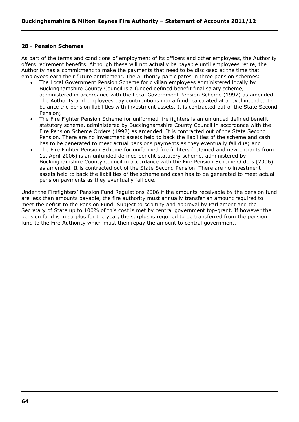# **28 - Pension Schemes**

As part of the terms and conditions of employment of its officers and other employees, the Authority offers retirement benefits. Although these will not actually be payable until employees retire, the Authority has a commitment to make the payments that need to be disclosed at the time that employees earn their future entitlement. The Authority participates in three pension schemes:

- The Local Government Pension Scheme for civilian employees administered locally by Buckinghamshire County Council is a funded defined benefit final salary scheme, administered in accordance with the Local Government Pension Scheme (1997) as amended. The Authority and employees pay contributions into a fund, calculated at a level intended to balance the pension liabilities with investment assets. It is contracted out of the State Second Pension;
- The Fire Fighter Pension Scheme for uniformed fire fighters is an unfunded defined benefit statutory scheme, administered by Buckinghamshire County Council in accordance with the Fire Pension Scheme Orders (1992) as amended. It is contracted out of the State Second Pension. There are no investment assets held to back the liabilities of the scheme and cash has to be generated to meet actual pensions payments as they eventually fall due; and
- The Fire Fighter Pension Scheme for uniformed fire fighters (retained and new entrants from 1st April 2006) is an unfunded defined benefit statutory scheme, administered by Buckinghamshire County Council in accordance with the Fire Pension Scheme Orders (2006) as amended. It is contracted out of the State Second Pension. There are no investment assets held to back the liabilities of the scheme and cash has to be generated to meet actual pension payments as they eventually fall due.

Under the Firefighters" Pension Fund Regulations 2006 if the amounts receivable by the pension fund are less than amounts payable, the fire authority must annually transfer an amount required to meet the deficit to the Pension Fund. Subject to scrutiny and approval by Parliament and the Secretary of State up to 100% of this cost is met by central government top-grant. If however the pension fund is in surplus for the year, the surplus is required to be transferred from the pension fund to the Fire Authority which must then repay the amount to central government.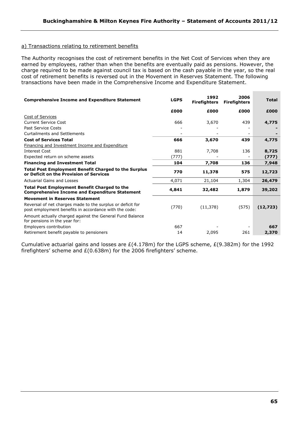# a) Transactions relating to retirement benefits

The Authority recognises the cost of retirement benefits in the Net Cost of Services when they are earned by employees, rather than when the benefits are eventually paid as pensions. However, the charge required to be made against council tax is based on the cash payable in the year, so the real cost of retirement benefits is reversed out in the Movement in Reserves Statement. The following transactions have been made in the Comprehensive Income and Expenditure Statement.

| <b>LGPS</b> | 1992<br><b>Firefighters</b> | 2006<br><b>Firefighters</b> | <b>Total</b> |
|-------------|-----------------------------|-----------------------------|--------------|
| £000        | £000                        | £000                        | £000         |
|             |                             |                             |              |
| 666         | 3,670                       | 439                         | 4,775        |
|             |                             |                             |              |
|             |                             |                             |              |
| 666         | 3,670                       | 439                         | 4,775        |
|             |                             |                             |              |
| 881         | 7,708                       | 136                         | 8,725        |
| (777)       |                             |                             | (777)        |
| 104         | 7,708                       | 136                         | 7,948        |
| 770         | 11,378                      | 575                         | 12,723       |
| 4,071       | 21,104                      | 1,304                       | 26,479       |
| 4,841       | 32,482                      | 1,879                       | 39,202       |
|             |                             |                             |              |
| (770)       | (11, 378)                   | (575)                       | (12, 723)    |
|             |                             |                             |              |
| 667         |                             |                             | 667          |
| 14          | 2,095                       | 261                         | 2,370        |
|             |                             |                             |              |

Cumulative actuarial gains and losses are  $E(4.178m)$  for the LGPS scheme,  $E(9.382m)$  for the 1992 firefighters' scheme and  $E(0.638m)$  for the 2006 firefighters' scheme.

**College**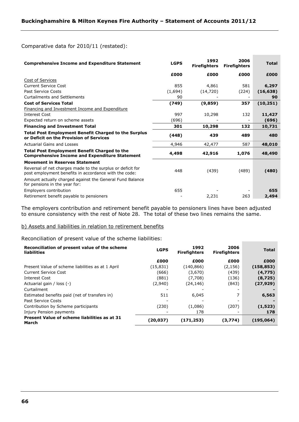## Comparative data for 2010/11 (restated):

| <b>Comprehensive Income and Expenditure Statement</b>                                                               | <b>LGPS</b> | 1992<br><b>Firefighters</b> | 2006<br><b>Firefighters</b> | <b>Total</b> |
|---------------------------------------------------------------------------------------------------------------------|-------------|-----------------------------|-----------------------------|--------------|
|                                                                                                                     | £000        | £000                        | £000                        | £000         |
| Cost of Services                                                                                                    |             |                             |                             |              |
| Current Service Cost                                                                                                | 855         | 4,861                       | 581                         | 6,297        |
| Past Service Costs                                                                                                  | (1,694)     | (14, 720)                   | (224)                       | (16, 638)    |
| <b>Curtailments and Settlements</b>                                                                                 | 90          |                             |                             | 90           |
| <b>Cost of Services Total</b>                                                                                       | (749)       | (9, 859)                    | 357                         | (10, 251)    |
| Financing and Investment Income and Expenditure                                                                     |             |                             |                             |              |
| <b>Interest Cost</b>                                                                                                | 997         | 10,298                      | 132                         | 11,427       |
| Expected return on scheme assets                                                                                    | (696)       |                             |                             | (696)        |
| <b>Financing and Investment Total</b>                                                                               | 301         | 10,298                      | 132                         | 10,731       |
| <b>Total Post Employment Benefit Charged to the Surplus</b><br>or Deficit on the Provision of Services              | (448)       | 439                         | 489                         | 480          |
| Actuarial Gains and Losses                                                                                          | 4,946       | 42,477                      | 587                         | 48,010       |
| <b>Total Post Employment Benefit Charged to the</b><br><b>Comprehensive Income and Expenditure Statement</b>        | 4,498       | 42,916                      | 1,076                       | 48,490       |
| <b>Movement in Reserves Statement</b>                                                                               |             |                             |                             |              |
| Reversal of net charges made to the surplus or deficit for<br>post employment benefits in accordance with the code: | 448         | (439)                       | (489)                       | (480)        |
| Amount actually charged against the General Fund Balance<br>for pensions in the year for:                           |             |                             |                             |              |
| Employers contribution                                                                                              | 655         |                             |                             | 655          |
| Retirement benefit payable to pensioners                                                                            |             | 2,231                       | 263                         | 2,494        |

**Contract Contract** 

**COL** 

The employers contribution and retirement benefit payable to pensioners lines have been adjusted to ensure consistency with the rest of Note 28. The total of these two lines remains the same.

## b) Assets and liabilities in relation to retirement benefits

Reconciliation of present value of the scheme liabilities:

| Reconciliation of present value of the scheme<br>liabilities | <b>LGPS</b> | 1992<br><b>Firefighters</b> | 2006<br><b>Firefighters</b> | <b>Total</b> |
|--------------------------------------------------------------|-------------|-----------------------------|-----------------------------|--------------|
|                                                              | £000        | £000                        | £000                        | £000         |
| Present Value of scheme liabilities as at 1 April            | (15,831)    | (140, 866)                  | (2, 156)                    | (158, 853)   |
| Current Service Cost                                         | (666)       | (3,670)                     | (439)                       | (4,775)      |
| Interest Cost                                                | (881)       | (7,708)                     | (136)                       | (8,725)      |
| Actuarial gain / loss (-)                                    | (2,940)     | (24,146)                    | (843)                       | (27, 929)    |
| Curtailment                                                  |             |                             |                             |              |
| Estimated benefits paid (net of transfers in)                | 511         | 6,045                       |                             | 6,563        |
| Past Service Costs                                           | -           |                             |                             |              |
| Contribution by Scheme participants                          | (230)       | (1,086)                     | (207)                       | (1,523)      |
| Injury Pension payments                                      |             | 178                         |                             | 178          |
| Present Value of scheme liabilities as at 31<br>March        | (20,037)    | (171, 253)                  | (3,774)                     | (195,064)    |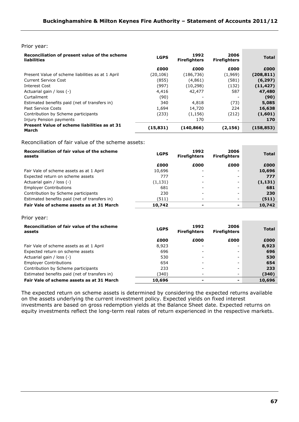#### Prior year:

| Reconciliation of present value of the scheme<br>liabilities | <b>LGPS</b> | 1992<br><b>Firefighters</b> | 2006<br><b>Firefighters</b> | <b>Total</b> |
|--------------------------------------------------------------|-------------|-----------------------------|-----------------------------|--------------|
|                                                              | £000        | £000                        | £000                        | £000         |
| Present Value of scheme liabilities as at 1 April            | (20,106)    | (186, 736)                  | (1,969)                     | (208,811)    |
| Current Service Cost                                         | (855)       | (4,861)                     | (581)                       | (6, 297)     |
| Interest Cost                                                | (997)       | (10, 298)                   | (132)                       | (11, 427)    |
| Actuarial gain / loss (-)                                    | 4,416       | 42,477                      | 587                         | 47,480       |
| Curtailment                                                  | (90)        | -                           | $\overline{\phantom{a}}$    | (90)         |
| Estimated benefits paid (net of transfers in)                | 340         | 4,818                       | (73)                        | 5,085        |
| Past Service Costs                                           | 1.694       | 14,720                      | 224                         | 16,638       |
| Contribution by Scheme participants                          | (233)       | (1, 156)                    | (212)                       | (1,601)      |
| Injury Pension payments                                      |             | 170                         | -                           | 170          |
| Present Value of scheme liabilities as at 31<br>March        | (15, 831)   | (140,866)                   | (2, 156)                    | (158,853)    |

Reconciliation of fair value of the scheme assets:

| Reconciliation of fair value of the scheme<br>assets | <b>LGPS</b> | 1992<br><b>Firefighters</b> | 2006<br><b>Firefighters</b> | <b>Total</b> |
|------------------------------------------------------|-------------|-----------------------------|-----------------------------|--------------|
|                                                      | £000        | £000                        | £000                        | £000         |
| Fair Vale of scheme assets as at 1 April             | 10,696      |                             |                             | 10,696       |
| Expected return on scheme assets                     | 777         |                             | -                           | 777          |
| Actuarial gain / loss (-)                            | (1, 131)    |                             | -                           | (1, 131)     |
| <b>Employer Contributions</b>                        | 681         |                             | -                           | 681          |
| Contribution by Scheme participants                  | 230         |                             | -                           | 230          |
| Estimated benefits paid (net of transfers in)        | (511)       |                             | -                           | (511)        |
| Fair Vale of scheme assets as at 31 March            | 10,742      | -                           | -                           | 10,742       |

Prior year:

| Reconciliation of fair value of the scheme<br>assets | <b>LGPS</b> | 1992<br><b>Firefighters</b> | 2006<br><b>Firefighters</b> | <b>Total</b> |
|------------------------------------------------------|-------------|-----------------------------|-----------------------------|--------------|
|                                                      | £000        | £000                        | £000                        | £000         |
| Fair Vale of scheme assets as at 1 April             | 8,923       |                             |                             | 8,923        |
| Expected return on scheme assets                     | 696         |                             | -                           | 696          |
| Actuarial gain / loss (-)                            | 530         |                             |                             | 530          |
| <b>Employer Contributions</b>                        | 654         |                             |                             | 654          |
| Contribution by Scheme participants                  | 233         |                             |                             | 233          |
| Estimated benefits paid (net of transfers in)        | (340)       |                             |                             | (340)        |
| Fair Vale of scheme assets as at 31 March            | 10,696      |                             | $\overline{\phantom{0}}$    | 10,696       |

The expected return on scheme assets is determined by considering the expected returns available on the assets underlying the current investment policy. Expected yields on fixed interest investments are based on gross redemption yields at the Balance Sheet date. Expected returns on equity investments reflect the long-term real rates of return experienced in the respective markets.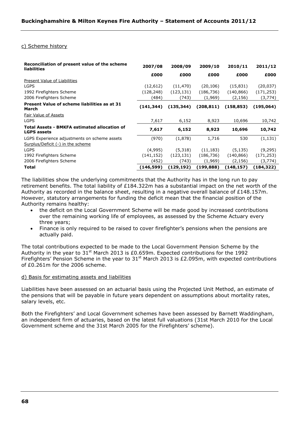## c) Scheme history

| Reconciliation of present value of the scheme<br><b>liabilities</b>               | 2007/08    | 2008/09    | 2009/10    | 2010/11    | 2011/12    |
|-----------------------------------------------------------------------------------|------------|------------|------------|------------|------------|
|                                                                                   | £000       | £000       | £000       | £000       | £000       |
| Present Value of Liabilities                                                      |            |            |            |            |            |
| <b>LGPS</b>                                                                       | (12,612)   | (11, 470)  | (20, 106)  | (15, 831)  | (20, 037)  |
| 1992 Firefighters Scheme                                                          | (128, 248) | (123, 131) | (186, 736) | (140, 866) | (171,253)  |
| 2006 Firefighters Scheme                                                          | (484)      | (743)      | (1,969)    | (2, 156)   | (3, 774)   |
| Present Value of scheme liabilities as at 31<br>March                             | (141, 344) | (135, 344) | (208, 811) | (158, 853) | (195,064)  |
| Fair Value of Assets                                                              |            |            |            |            |            |
| <b>LGPS</b>                                                                       | 7,617      | 6,152      | 8,923      | 10,696     | 10,742     |
| <b>Total Assets - BMKFA estimated allocation of</b><br><b>LGPS assets</b>         | 7,617      | 6,152      | 8,923      | 10,696     | 10,742     |
| LGPS Experience adjustments on scheme assets<br>Surplus/Deficit (-) in the scheme | (970)      | (1,878)    | 1,716      | 530        | (1, 131)   |
| <b>LGPS</b>                                                                       | (4,995)    | (5,318)    | (11, 183)  | (5, 135)   | (9,295)    |
| 1992 Firefighters Scheme                                                          | (141, 152) | (123, 131) | (186, 736) | (140, 866) | (171, 253) |
| 2006 Firefighters Scheme                                                          | (452)      | (743)      | (1,969)    | (2, 156)   | (3,774)    |
| Total                                                                             | (146, 599) | (129,192)  | (199,888)  | (148,157)  | (184,322)  |

The liabilities show the underlying commitments that the Authority has in the long run to pay retirement benefits. The total liability of £184.322m has a substantial impact on the net worth of the Authority as recorded in the balance sheet, resulting in a negative overall balance of £148.157m. However, statutory arrangements for funding the deficit mean that the financial position of the Authority remains healthy:

- the deficit on the Local Government Scheme will be made good by increased contributions over the remaining working life of employees, as assessed by the Scheme Actuary every three years;
- Finance is only required to be raised to cover firefighter"s pensions when the pensions are actually paid.

The total contributions expected to be made to the Local Government Pension Scheme by the Authority in the year to  $31<sup>st</sup>$  March 2013 is £0.659m. Expected contributions for the 1992 Firefighters' Pension Scheme in the year to  $31<sup>st</sup>$  March 2013 is £2.095m, with expected contributions of £0.261m for the 2006 scheme.

## d) Basis for estimating assets and liabilities

Liabilities have been assessed on an actuarial basis using the Projected Unit Method, an estimate of the pensions that will be payable in future years dependent on assumptions about mortality rates, salary levels, etc.

Both the Firefighters" and Local Government schemes have been assessed by Barnett Waddingham, an independent firm of actuaries, based on the latest full valuations (31st March 2010 for the Local Government scheme and the 31st March 2005 for the Firefighters' scheme).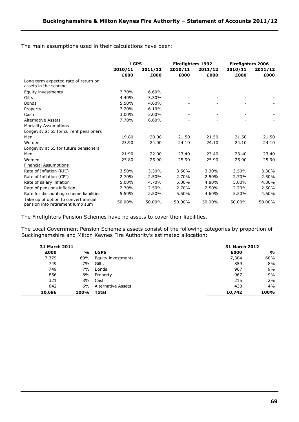The main assumptions used in their calculations have been:

|                                                                         | <b>LGPS</b>     |                 | <b>Firefighters 1992</b> |                 | <b>Firefighters 2006</b> |                 |
|-------------------------------------------------------------------------|-----------------|-----------------|--------------------------|-----------------|--------------------------|-----------------|
|                                                                         | 2010/11<br>£000 | 2011/12<br>£000 | 2010/11<br>£000          | 2011/12<br>£000 | 2010/11<br>£000          | 2011/12<br>£000 |
| Long term expected rate of return on                                    |                 |                 |                          |                 |                          |                 |
| assets in the scheme                                                    |                 |                 |                          |                 |                          |                 |
| Equity investments                                                      | 7.70%           | 6.60%           |                          |                 |                          |                 |
| Gilts                                                                   | 4.40%           | 3.30%           |                          |                 |                          |                 |
| <b>Bonds</b>                                                            | 5.50%           | 4.60%           |                          |                 |                          |                 |
| Property                                                                | 7.20%           | 6.10%           |                          |                 |                          |                 |
| Cash                                                                    | 3.00%           | 3.00%           |                          |                 |                          |                 |
| <b>Alternative Assets</b>                                               | 7.70%           | 6.60%           |                          |                 |                          |                 |
| <b>Mortality Assumptions</b>                                            |                 |                 |                          |                 |                          |                 |
| Longevity at 65 for current pensioners                                  |                 |                 |                          |                 |                          |                 |
| Men                                                                     | 19.80           | 20.00           | 21.50                    | 21.50           | 21.50                    | 21.50           |
| Women                                                                   | 23.90           | 24.00           | 24.10                    | 24.10           | 24.10                    | 24.10           |
| Longevity at 65 for future pensioners                                   |                 |                 |                          |                 |                          |                 |
| Men                                                                     | 21.90           | 22.00           | 23.40                    | 23.40           | 23.40                    | 23.40           |
| Women                                                                   | 25.80           | 25.90           | 25.90                    | 25.90           | 25.90                    | 25.90           |
| <b>Financial Assumptions</b>                                            |                 |                 |                          |                 |                          |                 |
| Rate of Inflation (RPI)                                                 | 3.50%           | 3.30%           | 3.50%                    | 3.30%           | 3.50%                    | 3.30%           |
| Rate of Inflation (CPI)                                                 | 2.70%           | 2.50%           | 2.70%                    | 2.50%           | 2.70%                    | 2.50%           |
| Rate of salary inflation                                                | 5.00%           | 4.70%           | 5.00%                    | 4.80%           | 5.00%                    | 4.80%           |
| Rate of pensions inflation                                              | 2.70%           | 2.50%           | 2.70%                    | 2.50%           | 2.70%                    | 2.50%           |
| Rate for discounting scheme liabilities                                 | 5.50%           | 2.50%           | 5.50%                    | 4.60%           | 5.50%                    | 4.60%           |
| Take up of option to convert annual<br>pension into retirement lump sum | 50.00%          | 50.00%          | 50.00%                   | 50.00%          | 50.00%                   | 50.00%          |

The Firefighters Pension Schemes have no assets to cover their liabilities.

The Local Government Pension Scheme's assets consist of the following categories by proportion of Buckinghamshire and Milton Keynes Fire Authority's estimated allocation:

| 31 March 2011 |      |                    | 31 March 2012 |               |
|---------------|------|--------------------|---------------|---------------|
| £000          | %    | <b>LGPS</b>        | £000          | $\frac{0}{0}$ |
| 7,379         | 69%  | Equity investments | 7,304         | 68%           |
| 749           | 7%   | Gilts              | 859           | 8%            |
| 749           | 7%   | Bonds              | 967           | 9%            |
| 856           | 8%   | Property           | 967           | 9%            |
| 321           | 3%   | Cash               | 215           | 2%            |
| 642           | 6%   | Alternative Assets | 430           | 4%            |
| 10,696        | 100% | Total              | 10,742        | 100%          |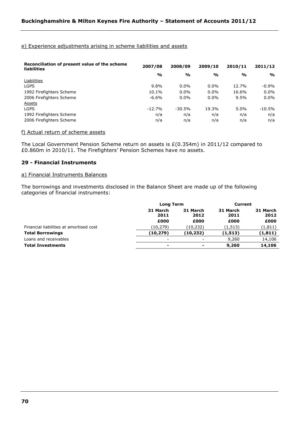# e) Experience adjustments arising in scheme liabilities and assets

| Reconciliation of present value of the scheme<br><b>liabilities</b> | 2007/08       | 2008/09       | 2009/10       | 2010/11       | 2011/12       |
|---------------------------------------------------------------------|---------------|---------------|---------------|---------------|---------------|
|                                                                     | $\frac{0}{0}$ | $\frac{0}{0}$ | $\frac{0}{0}$ | $\frac{0}{0}$ | $\frac{1}{2}$ |
| Liabilities                                                         |               |               |               |               |               |
| LGPS                                                                | $9.8\%$       | $0.0\%$       | $0.0\%$       | 12.7%         | $-0.9%$       |
| 1992 Firefighters Scheme                                            | 10.1%         | $0.0\%$       | $0.0\%$       | 16.6%         | $0.0\%$       |
| 2006 Firefighters Scheme                                            | $-6.6%$       | $0.0\%$       | $0.0\%$       | 9.5%          | $0.0\%$       |
| Assets                                                              |               |               |               |               |               |
| LGPS                                                                | $-12.7%$      | $-30.5%$      | 19.3%         | 5.0%          | $-10.5%$      |
| 1992 Firefighters Scheme                                            | n/a           | n/a           | n/a           | n/a           | n/a           |
| 2006 Firefighters Scheme                                            | n/a           | n/a           | n/a           | n/a           | n/a           |

## f) Actual return of scheme assets

The Local Government Pension Scheme return on assets is £(0.354m) in 2011/12 compared to £0.860m in 2010/11. The Firefighters" Pension Schemes have no assets.

# **29 - Financial Instruments**

# a) Financial Instruments Balances

The borrowings and investments disclosed in the Balance Sheet are made up of the following categories of financial instruments:

|                          |                          | <b>Current</b>   |                  |  |
|--------------------------|--------------------------|------------------|------------------|--|
| 31 March<br>2011         | 31 March<br>2012         | 31 March<br>2011 | 31 March<br>2012 |  |
| £000                     | £000                     | £000             | £000             |  |
| (10,279)                 | (10, 232)                | (1, 513)         | (1, 811)         |  |
| (10, 279)                | (10, 232)                | (1, 513)         | (1, 811)         |  |
| $\overline{\phantom{a}}$ | $\overline{\phantom{a}}$ | 9,260            | 14,106           |  |
| ۰                        | -                        | 9,260            | 14,106           |  |
|                          |                          | <b>Long Term</b> |                  |  |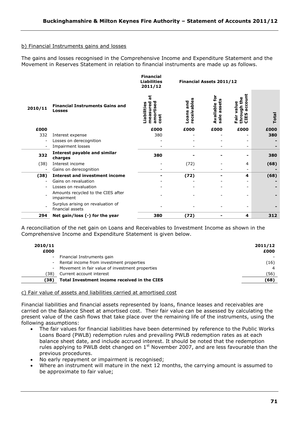# b) Financial Instruments gains and losses

The gains and losses recognised in the Comprehensive Income and Expenditure Statement and the Movement in Reserves Statement in relation to financial instruments are made up as follows.

|         |                                                       | <b>Financial</b><br><b>Liabilities</b><br>2011/12        | Financial Assets 2011/12      |                                                                    |                                                      |       |  |  |
|---------|-------------------------------------------------------|----------------------------------------------------------|-------------------------------|--------------------------------------------------------------------|------------------------------------------------------|-------|--|--|
| 2010/11 | <b>Financial Instruments Gains and</b><br>Losses      | ಕ<br>ъ<br>measured<br>.iabilities<br>n<br>amorti<br>cost | ceivable<br>and<br>Loans<br>ğ | ق<br>Available<br>Ğ<br><b>S</b><br>Œ<br>$\frac{1}{6}$<br><b>un</b> | £<br>ccou<br>valu<br>등<br>σ<br>throu<br>CIES<br>ក្លិ | Total |  |  |
| £000    |                                                       | £000                                                     | £000                          | £000                                                               | £000                                                 | £000  |  |  |
| 332     | Interest expense                                      | 380                                                      |                               |                                                                    |                                                      | 380   |  |  |
|         | Losses on derecognition                               |                                                          |                               |                                                                    |                                                      |       |  |  |
|         | Impairment losses                                     |                                                          |                               |                                                                    |                                                      |       |  |  |
| 332     | <b>Interest payable and similar</b><br>charges        | 380                                                      |                               |                                                                    |                                                      | 380   |  |  |
| (38)    | Interest income                                       |                                                          | (72)                          |                                                                    | 4                                                    | (68)  |  |  |
|         | Gains on derecognition                                |                                                          |                               |                                                                    |                                                      |       |  |  |
| (38)    | <b>Interest and investment income</b>                 |                                                          | (72)                          |                                                                    | 4                                                    | (68)  |  |  |
|         | Gains on revaluation                                  |                                                          |                               |                                                                    |                                                      |       |  |  |
|         | Losses on revaluation                                 |                                                          |                               |                                                                    |                                                      |       |  |  |
|         | Amounts recycled to the CIES after<br>impairment      |                                                          |                               |                                                                    |                                                      |       |  |  |
|         | Surplus arising on revaluation of<br>financial assets |                                                          |                               |                                                                    |                                                      |       |  |  |
| 294     | Net gain/loss (-) for the year                        | 380                                                      | (72)                          |                                                                    | 4                                                    | 312   |  |  |
|         |                                                       |                                                          |                               |                                                                    |                                                      |       |  |  |

A reconciliation of the net gain on Loans and Receivables to Investment Income as shown in the Comprehensive Income and Expenditure Statement is given below.

| 2010/11<br>£000 |                                                 | 2011/12<br>£000 |
|-----------------|-------------------------------------------------|-----------------|
|                 | - Financial Instruments gain                    |                 |
|                 | - Rental income from investment properties      | (16)            |
| $\sim 100$      | Movement in fair value of investment properties |                 |
| 38)             | Current account interest                        | (56)            |
| (38)            | Total Investment income received in the CIES    | (68)            |
|                 |                                                 |                 |

## c) Fair value of assets and liabilities carried at amortised cost

Financial liabilities and financial assets represented by loans, finance leases and receivables are carried on the Balance Sheet at amortised cost. Their fair value can be assessed by calculating the present value of the cash flows that take place over the remaining life of the instruments, using the following assumptions:

- The fair values for financial liabilities have been determined by reference to the Public Works Loans Board (PWLB) redemption rules and prevailing PWLB redemption rates as at each balance sheet date, and include accrued interest. It should be noted that the redemption rules applying to PWLB debt changed on  $1<sup>st</sup>$  November 2007, and are less favourable than the previous procedures.
- No early repayment or impairment is recognised;
- Where an instrument will mature in the next 12 months, the carrying amount is assumed to be approximate to fair value;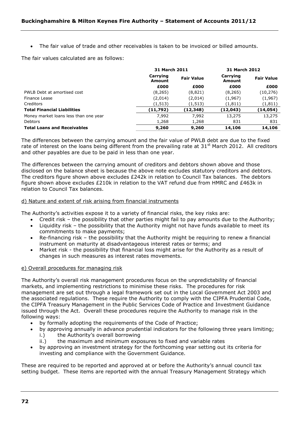The fair value of trade and other receivables is taken to be invoiced or billed amounts.

The fair values calculated are as follows:

|                                       | 31 March 2011      |                   | 31 March 2012      |                   |
|---------------------------------------|--------------------|-------------------|--------------------|-------------------|
|                                       | Carrying<br>Amount | <b>Fair Value</b> | Carrying<br>Amount | <b>Fair Value</b> |
|                                       | £000               | £000              | £000               | £000              |
| PWLB Debt at amortised cost           | (8, 265)           | (8,821)           | (8, 265)           | (10, 276)         |
| Finance Lease                         | (2,014)            | (2,014)           | (1,967)            | (1,967)           |
| Creditors                             | (1, 513)           | (1,513)           | (1, 811)           | (1, 811)          |
| <b>Total Financial Liabilities</b>    | (11,792)           | (12, 348)         | (12,043)           | (14,054)          |
| Money market loans less than one year | 7.992              | 7.992             | 13,275             | 13,275            |
| <b>Debtors</b>                        | 1,268              | 1,268             | 831                | 831               |
| <b>Total Loans and Receivables</b>    | 9,260              | 9,260             | 14,106             | 14,106            |

The differences between the carrying amount and the fair value of PWLB debt are due to the fixed rate of interest on the loans being different from the prevailing rate at 31<sup>st</sup> March 2012. All creditors and other payables are due to be paid in less than one year.

The differences between the carrying amount of creditors and debtors shown above and those disclosed on the balance sheet is because the above note excludes statutory creditors and debtors. The creditors figure shown above excludes £242k in relation to Council Tax balances. The debtors figure shown above excludes £210k in relation to the VAT refund due from HMRC and £463k in relation to Council Tax balances.

# d) Nature and extent of risk arising from financial instruments

The Authority"s activities expose it to a variety of financial risks, the key risks are:

- Credit risk the possibility that other parties might fail to pay amounts due to the Authority;
- Liquidity risk the possibility that the Authority might not have funds available to meet its commitments to make payments;
- Re-financing risk the possibility that the Authority might be requiring to renew a financial instrument on maturity at disadvantageous interest rates or terms; and
- Market risk the possibility that financial loss might arise for the Authority as a result of changes in such measures as interest rates movements.

## e) Overall procedures for managing risk

The Authority"s overall risk management procedures focus on the unpredictability of financial markets, and implementing restrictions to minimise these risks. The procedures for risk management are set out through a legal framework set out in the Local Government Act 2003 and the associated regulations. These require the Authority to comply with the CIPFA Prudential Code, the CIPFA Treasury Management in the Public Services Code of Practice and Investment Guidance issued through the Act. Overall these procedures require the Authority to manage risk in the following ways:

- by formally adopting the requirements of the Code of Practice;
- by approving annually in advance prudential indicators for the following three years limiting;
	- i.) the Authority's overall borrowing
	- ii.) the maximum and minimum exposures to fixed and variable rates
- by approving an investment strategy for the forthcoming year setting out its criteria for investing and compliance with the Government Guidance.

These are required to be reported and approved at or before the Authority"s annual council tax setting budget. These items are reported with the annual Treasury Management Strategy which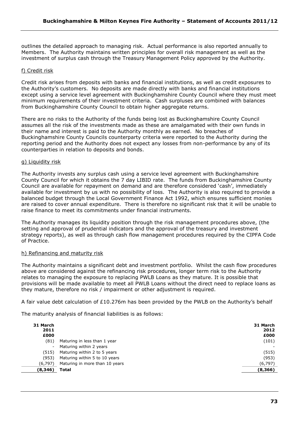outlines the detailed approach to managing risk. Actual performance is also reported annually to Members. The Authority maintains written principles for overall risk management as well as the investment of surplus cash through the Treasury Management Policy approved by the Authority.

# f) Credit risk

Credit risk arises from deposits with banks and financial institutions, as well as credit exposures to the Authority"s customers. No deposits are made directly with banks and financial institutions except using a service level agreement with Buckinghamshire County Council where they must meet minimum requirements of their investment criteria. Cash surpluses are combined with balances from Buckinghamshire County Council to obtain higher aggregate returns.

There are no risks to the Authority of the funds being lost as Buckinghamshire County Council assumes all the risk of the investments made as these are amalgamated with their own funds in their name and interest is paid to the Authority monthly as earned. No breaches of Buckinghamshire County Councils counterparty criteria were reported to the Authority during the reporting period and the Authority does not expect any losses from non-performance by any of its counterparties in relation to deposits and bonds.

#### g) Liquidity risk

The Authority invests any surplus cash using a service level agreement with Buckinghamshire County Council for which it obtains the 7 day LIBID rate. The funds from Buckinghamshire County Council are available for repayment on demand and are therefore considered "cash", immediately available for investment by us with no possibility of loss. The Authority is also required to provide a balanced budget through the Local Government Finance Act 1992, which ensures sufficient monies are raised to cover annual expenditure. There is therefore no significant risk that it will be unable to raise finance to meet its commitments under financial instruments.

The Authority manages its liquidity position through the risk management procedures above, (the setting and approval of prudential indicators and the approval of the treasury and investment strategy reports), as well as through cash flow management procedures required by the CIPFA Code of Practice.

#### h) Refinancing and maturity risk

The Authority maintains a significant debt and investment portfolio. Whilst the cash flow procedures above are considered against the refinancing risk procedures, longer term risk to the Authority relates to managing the exposure to replacing PWLB Loans as they mature. It is possible that provisions will be made available to meet all PWLB Loans without the direct need to replace loans as they mature, therefore no risk / impairment or other adjustment is required.

A fair value debt calculation of £10.276m has been provided by the PWLB on the Authority"s behalf

The maturity analysis of financial liabilities is as follows:

|                                | 31 March<br>2012<br>£000 |
|--------------------------------|--------------------------|
| Maturing in less than 1 year   | (101)                    |
| Maturing within 2 years        |                          |
| Maturing within 2 to 5 years   | (515)                    |
| Maturing within 5 to 10 years  | (953)                    |
| Maturing in more than 10 years | (6, 797)                 |
| Total                          | (8,366)                  |
|                                |                          |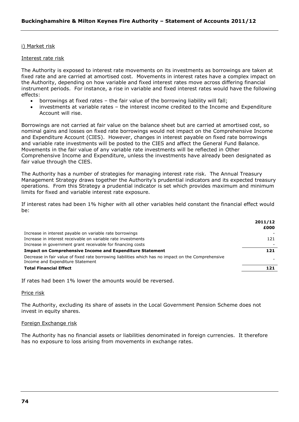#### i) Market risk

#### Interest rate risk

The Authority is exposed to interest rate movements on its investments as borrowings are taken at fixed rate and are carried at amortised cost. Movements in interest rates have a complex impact on the Authority, depending on how variable and fixed interest rates move across differing financial instrument periods. For instance, a rise in variable and fixed interest rates would have the following effects:

- borrowings at fixed rates the fair value of the borrowing liability will fall;
- investments at variable rates the interest income credited to the Income and Expenditure Account will rise.

Borrowings are not carried at fair value on the balance sheet but are carried at amortised cost, so nominal gains and losses on fixed rate borrowings would not impact on the Comprehensive Income and Expenditure Account (CIES). However, changes in interest payable on fixed rate borrowings and variable rate investments will be posted to the CIES and affect the General Fund Balance. Movements in the fair value of any variable rate investments will be reflected in Other Comprehensive Income and Expenditure, unless the investments have already been designated as fair value through the CIES.

The Authority has a number of strategies for managing interest rate risk. The Annual Treasury Management Strategy draws together the Authority"s prudential indicators and its expected treasury operations. From this Strategy a prudential indicator is set which provides maximum and minimum limits for fixed and variable interest rate exposure.

If interest rates had been 1% higher with all other variables held constant the financial effect would be:

|                                                                                                                                         | 2011/12 |
|-----------------------------------------------------------------------------------------------------------------------------------------|---------|
|                                                                                                                                         | £000    |
| Increase in interest payable on variable rate borrowings                                                                                |         |
| Increase in interest receivable on variable rate investments                                                                            | 121     |
| Increase in government grant receivable for financing costs                                                                             |         |
| <b>Impact on Comprehensive Income and Expenditure Statement</b>                                                                         | 121     |
| Decrease in fair value of fixed rate borrowing liabilities which has no impact on the Comprehensive<br>Income and Expenditure Statement |         |
| <b>Total Financial Effect</b>                                                                                                           | 121     |
|                                                                                                                                         |         |

If rates had been 1% lower the amounts would be reversed.

#### Price risk

The Authority, excluding its share of assets in the Local Government Pension Scheme does not invest in equity shares.

#### Foreign Exchange risk

The Authority has no financial assets or liabilities denominated in foreign currencies. It therefore has no exposure to loss arising from movements in exchange rates.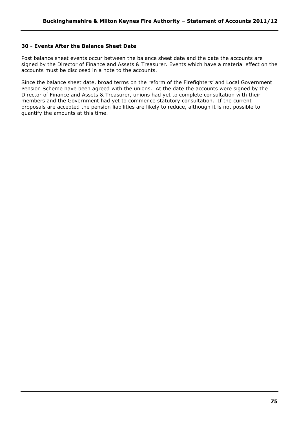# **30 - Events After the Balance Sheet Date**

Post balance sheet events occur between the balance sheet date and the date the accounts are signed by the Director of Finance and Assets & Treasurer. Events which have a material effect on the accounts must be disclosed in a note to the accounts.

Since the balance sheet date, broad terms on the reform of the Firefighters' and Local Government Pension Scheme have been agreed with the unions. At the date the accounts were signed by the Director of Finance and Assets & Treasurer, unions had yet to complete consultation with their members and the Government had yet to commence statutory consultation. If the current proposals are accepted the pension liabilities are likely to reduce, although it is not possible to quantify the amounts at this time.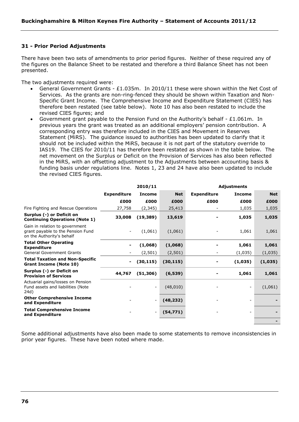# **31 - Prior Period Adjustments**

There have been two sets of amendments to prior period figures. Neither of these required any of the figures on the Balance Sheet to be restated and therefore a third Balance Sheet has not been presented.

The two adjustments required were:

- General Government Grants £1.035m. In 2010/11 these were shown within the Net Cost of Services. As the grants are non-ring-fenced they should be shown within Taxation and Non-Specific Grant Income. The Comprehensive Income and Expenditure Statement (CIES) has therefore been restated (see table below). Note 10 has also been restated to include the revised CIES figures; and
- Government grant payable to the Pension Fund on the Authority"s behalf £1.061m. In previous years the grant was treated as an additional employers" pension contribution. A corresponding entry was therefore included in the CIES and Movement in Reserves Statement (MiRS). The guidance issued to authorities has been updated to clarify that it should not be included within the MiRS, because it is not part of the statutory override to IAS19. The CIES for 2010/11 has therefore been restated as shown in the table below. The net movement on the Surplus or Deficit on the Provision of Services has also been reflected in the MiRS, with an offsetting adjustment to the Adjustments between accounting basis & funding basis under regulations line. Notes 1, 23 and 24 have also been updated to include the revised CIES figures.

|                                                                                                  | 2010/11<br><b>Adjustments</b> |                          |            |                    |                |            |
|--------------------------------------------------------------------------------------------------|-------------------------------|--------------------------|------------|--------------------|----------------|------------|
|                                                                                                  | <b>Expenditure</b>            | <b>Income</b>            | <b>Net</b> | <b>Expenditure</b> | <b>Income</b>  | <b>Net</b> |
|                                                                                                  | £000                          | £000                     | £000       | £000               | £000           | £000       |
| Fire Fighting and Rescue Operations                                                              | 27,758                        | (2, 345)                 | 25,413     |                    | 1,035          | 1,035      |
| Surplus (-) or Deficit on<br><b>Continuing Operations (Note 1)</b>                               | 33,008                        | (19, 389)                | 13,619     |                    | 1,035          | 1,035      |
| Gain in relation to government<br>grant payable to the Pension Fund<br>on the Authority's behalf |                               | (1,061)                  | (1,061)    |                    | 1,061          | 1,061      |
| <b>Total Other Operating</b><br><b>Expenditure</b>                                               |                               | (1,068)                  | (1,068)    |                    | 1,061          | 1,061      |
| <b>General Government Grants</b>                                                                 |                               | (2, 501)                 | (2,501)    |                    | (1,035)        | (1,035)    |
| <b>Total Taxation and Non-Specific</b><br><b>Grant Income (Note 10)</b>                          |                               | (30, 115)                | (30, 115)  |                    | (1,035)        | (1,035)    |
| Surplus (-) or Deficit on<br><b>Provision of Services</b>                                        | 44,767                        | (51, 306)                | (6, 539)   |                    | 1,061          | 1,061      |
| Actuarial gains/losses on Pension<br>Fund assets and liabilities (Note<br>24d)                   |                               | $\overline{\phantom{a}}$ | (48, 010)  |                    | $\blacksquare$ | (1,061)    |
| <b>Other Comprehensive Income</b><br>and Expenditure                                             |                               | $\overline{\phantom{a}}$ | (48, 232)  |                    |                |            |
| <b>Total Comprehensive Income</b><br>and Expenditure                                             |                               | $\overline{\phantom{a}}$ | (54, 771)  |                    |                |            |
|                                                                                                  |                               |                          |            |                    |                |            |

Some additional adjustments have also been made to some statements to remove inconsistencies in prior year figures. These have been noted where made.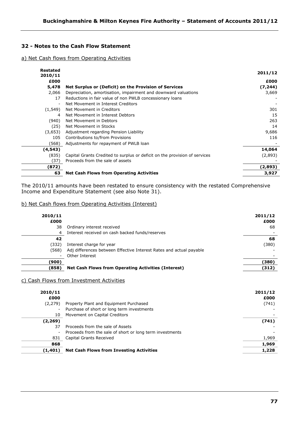# **32 - Notes to the Cash Flow Statement**

## a) Net Cash flows from Operating Activities

| <b>Restated</b><br>2010/11 |                                                                            | 2011/12  |
|----------------------------|----------------------------------------------------------------------------|----------|
| £000                       |                                                                            | £000     |
| 5,478                      | Net Surplus or (Deficit) on the Provision of Services                      | (7, 244) |
| 2,066                      | Depreciation, amortisation, impairment and downward valuations             | 3,669    |
| 17                         | Reductions in fair value of non PWLB concessionary loans                   |          |
| $\overline{\phantom{a}}$   | Net Movement in Interest Creditors                                         |          |
| (1, 549)                   | Net Movement in Creditors                                                  | 301      |
| 4                          | Net Movement in Interest Debtors                                           | 15       |
| (940)                      | Net Movement in Debtors                                                    | 263      |
| (25)                       | Net Movement in Stocks                                                     | 14       |
| (3,653)                    | Adjustment regarding Pension Liability                                     | 9,686    |
| 105                        | Contributions to/from Provisions                                           | 116      |
| (568)                      | Adjustments for repayment of PWLB loan                                     |          |
| (4, 543)                   |                                                                            | 14,064   |
| (835)                      | Capital Grants Credited to surplus or deficit on the provision of services | (2,893)  |
| (37)                       | Proceeds from the sale of assets                                           |          |
| (872)                      |                                                                            | (2,893)  |
| 63                         | <b>Net Cash Flows from Operating Activities</b>                            | 3,927    |

The 2010/11 amounts have been restated to ensure consistency with the restated Comprehensive Income and Expenditure Statement (see also Note 31).

## b) Net Cash flows from Operating Activities (Interest)

|                                                                     | 2011/12<br>£000                                            |
|---------------------------------------------------------------------|------------------------------------------------------------|
| Ordinary interest received                                          | 68                                                         |
| Interest received on cash backed funds/reserves                     |                                                            |
|                                                                     | 68                                                         |
| Interest charge for year                                            | (380)                                                      |
| Adj differences between Effective Interest Rates and actual payable |                                                            |
| Other Interest                                                      |                                                            |
|                                                                     | (380)                                                      |
|                                                                     | (312)                                                      |
|                                                                     | <b>Net Cash Flows from Operating Activities (Interest)</b> |

#### c) Cash Flows from Investment Activities

| 2010/11<br>£000 |                                                          | 2011/12<br>£000 |
|-----------------|----------------------------------------------------------|-----------------|
| (2, 279)        | Property Plant and Equipment Purchased                   | (741)           |
|                 | Purchase of short or long term investments               |                 |
| 10              | Movement on Capital Creditors                            |                 |
| (2, 269)        |                                                          | (741)           |
| 37              | Proceeds from the sale of Assets                         |                 |
|                 | Proceeds from the sale of short or long term investments |                 |
| 831             | Capital Grants Received                                  | 1,969           |
| 868             |                                                          | 1,969           |
| (1, 401)        | <b>Net Cash Flows from Investing Activities</b>          | 1,228           |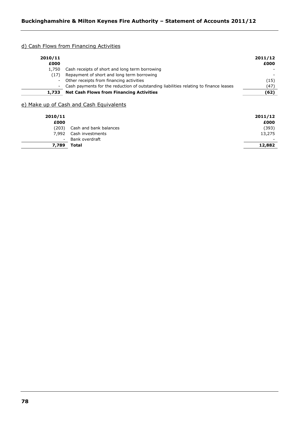# d) Cash Flows from Financing Activities

| 2010/11<br>£000 |                                                                                         | 2011/12<br>£000 |
|-----------------|-----------------------------------------------------------------------------------------|-----------------|
| 1,750           | Cash receipts of short and long term borrowing                                          |                 |
| (17)            | Repayment of short and long term borrowing                                              |                 |
|                 | - Other receipts from financing activities                                              | (15)            |
|                 | - Cash payments for the reduction of outstanding liabilities relating to finance leases | (47)            |
| 1,733           | <b>Net Cash Flows from Financing Activities</b>                                         | (62)            |

# e) Make up of Cash and Cash Equivalents

| 2010/11<br>£000          |                        | 2011/12<br>£000 |
|--------------------------|------------------------|-----------------|
| (203)                    | Cash and bank balances | (393)           |
| 7.992                    | Cash investments       | 13,275          |
| $\overline{\phantom{a}}$ | Bank overdraft         |                 |
| 7,789                    | Total                  | 12,882          |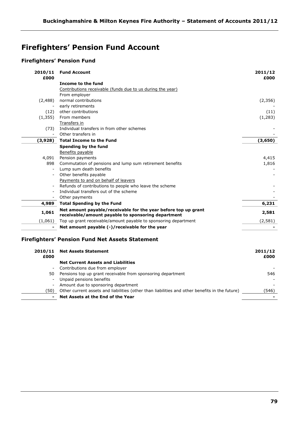# **Firefighters' Pension Fund Account**

# **Firefighters' Pension Fund**

| 2010/11<br>£000          | <b>Fund Account</b>                                                                                                  | 2011/12<br>£000 |
|--------------------------|----------------------------------------------------------------------------------------------------------------------|-----------------|
|                          | Income to the fund                                                                                                   |                 |
|                          | Contributions receivable (funds due to us during the year)                                                           |                 |
|                          | From employer                                                                                                        |                 |
| (2,488)                  | normal contributions                                                                                                 | (2,356)         |
|                          | early retirements                                                                                                    |                 |
| (12)                     | other contributions                                                                                                  | (11)            |
| (1,355)                  | From members                                                                                                         | (1, 283)        |
|                          | Transfers in                                                                                                         |                 |
| (73)                     | Individual transfers in from other schemes                                                                           |                 |
| $\blacksquare$           | Other transfers in                                                                                                   |                 |
| (3,928)                  | <b>Total Income to the Fund</b>                                                                                      | (3,650)         |
|                          | Spending by the fund                                                                                                 |                 |
|                          | Benefits payable                                                                                                     |                 |
| 4,091                    | Pension payments                                                                                                     | 4,415           |
| 898                      | Commutation of pensions and lump sum retirement benefits                                                             | 1,816           |
| $\overline{\phantom{a}}$ | Lump sum death benefits                                                                                              |                 |
|                          | Other benefits payable                                                                                               |                 |
|                          | Payments to and on behalf of leavers                                                                                 |                 |
| $\overline{\phantom{a}}$ | Refunds of contributions to people who leave the scheme                                                              |                 |
|                          | Individual transfers out of the scheme                                                                               |                 |
| $\blacksquare$           | Other payments                                                                                                       |                 |
| 4,989                    | <b>Total Spending by the Fund</b>                                                                                    | 6,231           |
| 1,061                    | Net amount payable/receivable for the year before top up grant<br>receivable/amount payable to sponsoring department | 2,581           |
| (1,061)                  | Top up grant receivable/amount payable to sponsoring department                                                      | (2, 581)        |
|                          | Net amount payable (-)/receivable for the year                                                                       |                 |
| 2010/11                  | <b>Firefighters' Pension Fund Net Assets Statement</b><br><b>Net Assets Statement</b>                                | 2011/12         |

| £000           |                                                                                                | £000  |
|----------------|------------------------------------------------------------------------------------------------|-------|
|                | <b>Net Current Assets and Liabilities</b>                                                      |       |
| $\sim$         | Contributions due from employer                                                                |       |
| 50.            | Pensions top up grant receivable from sponsoring department                                    | 546   |
| $\blacksquare$ | Unpaid pensions benefits                                                                       |       |
|                | - Amount due to sponsoring department                                                          |       |
| (50)           | Other current assets and liabilities (other than liabilities and other benefits in the future) | (546) |
| $\sim$         | Net Assets at the End of the Year                                                              |       |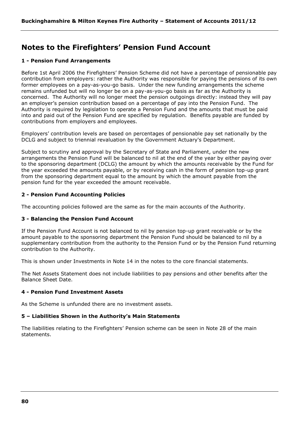# **Notes to the Firefighters' Pension Fund Account**

# **1 - Pension Fund Arrangements**

Before 1st April 2006 the Firefighters' Pension Scheme did not have a percentage of pensionable pay contribution from employers: rather the Authority was responsible for paying the pensions of its own former employees on a pay-as-you-go basis. Under the new funding arrangements the scheme remains unfunded but will no longer be on a pay-as-you-go basis as far as the Authority is concerned. The Authority will no longer meet the pension outgoings directly: instead they will pay an employer"s pension contribution based on a percentage of pay into the Pension Fund. The Authority is required by legislation to operate a Pension Fund and the amounts that must be paid into and paid out of the Pension Fund are specified by regulation. Benefits payable are funded by contributions from employers and employees.

Employers" contribution levels are based on percentages of pensionable pay set nationally by the DCLG and subject to triennial revaluation by the Government Actuary's Department.

Subject to scrutiny and approval by the Secretary of State and Parliament, under the new arrangements the Pension Fund will be balanced to nil at the end of the year by either paying over to the sponsoring department (DCLG) the amount by which the amounts receivable by the Fund for the year exceeded the amounts payable, or by receiving cash in the form of pension top-up grant from the sponsoring department equal to the amount by which the amount payable from the pension fund for the year exceeded the amount receivable.

# **2 - Pension Fund Accounting Policies**

The accounting policies followed are the same as for the main accounts of the Authority.

# **3 - Balancing the Pension Fund Account**

If the Pension Fund Account is not balanced to nil by pension top-up grant receivable or by the amount payable to the sponsoring department the Pension Fund should be balanced to nil by a supplementary contribution from the authority to the Pension Fund or by the Pension Fund returning contribution to the Authority.

This is shown under Investments in Note 14 in the notes to the core financial statements.

The Net Assets Statement does not include liabilities to pay pensions and other benefits after the Balance Sheet Date.

# **4 - Pension Fund Investment Assets**

As the Scheme is unfunded there are no investment assets.

# **5 – Liabilities Shown in the Authority's Main Statements**

The liabilities relating to the Firefighters" Pension scheme can be seen in Note 28 of the main statements.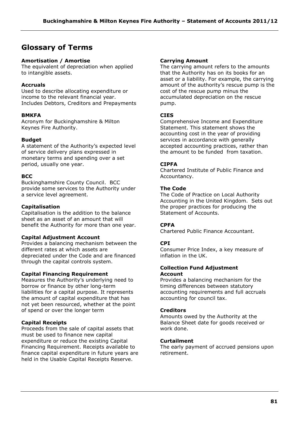# **Glossary of Terms**

# **Amortisation / Amortise**

The equivalent of depreciation when applied to intangible assets.

# **Accruals**

Used to describe allocating expenditure or income to the relevant financial year. Includes Debtors, Creditors and Prepayments

# **BMKFA**

Acronym for Buckinghamshire & Milton Keynes Fire Authority.

# **Budget**

A statement of the Authority"s expected level of service delivery plans expressed in monetary terms and spending over a set period, usually one year.

# **BCC**

Buckinghamshire County Council. BCC provide some services to the Authority under a service level agreement.

# **Capitalisation**

Capitalisation is the addition to the balance sheet as an asset of an amount that will benefit the Authority for more than one year.

# **Capital Adjustment Account**

Provides a balancing mechanism between the different rates at which assets are depreciated under the Code and are financed through the capital controls system.

# **Capital Financing Requirement**

Measures the Authority"s underlying need to borrow or finance by other long-term liabilities for a capital purpose. It represents the amount of capital expenditure that has not yet been resourced, whether at the point of spend or over the longer term

# **Capital Receipts**

Proceeds from the sale of capital assets that must be used to finance new capital expenditure or reduce the existing Capital Financing Requirement. Receipts available to finance capital expenditure in future years are held in the Usable Capital Receipts Reserve.

# **Carrying Amount**

The carrying amount refers to the amounts that the Authority has on its books for an asset or a liability. For example, the carrying amount of the authority's rescue pump is the cost of the rescue pump minus the accumulated depreciation on the rescue pump.

# **CIES**

Comprehensive Income and Expenditure Statement. This statement shows the accounting cost in the year of providing services in accordance with generally accepted accounting practices, rather than the amount to be funded from taxation.

# **CIPFA**

Chartered Institute of Public Finance and Accountancy.

# **The Code**

The Code of Practice on Local Authority Accounting in the United Kingdom. Sets out the proper practices for producing the Statement of Accounts.

# **CPFA**

Chartered Public Finance Accountant.

# **CPI**

Consumer Price Index, a key measure of inflation in the UK.

#### **Collection Fund Adjustment Account**

Provides a balancing mechanism for the timing differences between statutory accounting requirements and full accruals accounting for council tax.

# **Creditors**

Amounts owed by the Authority at the Balance Sheet date for goods received or work done.

# **Curtailment**

The early payment of accrued pensions upon retirement.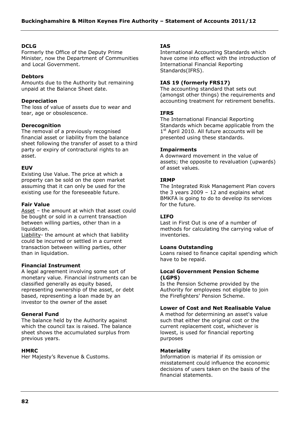## **DCLG**

Formerly the Office of the Deputy Prime Minister, now the Department of Communities and Local Government.

## **Debtors**

Amounts due to the Authority but remaining unpaid at the Balance Sheet date.

## **Depreciation**

The loss of value of assets due to wear and tear, age or obsolescence.

## **Derecognition**

The removal of a previously recognised financial asset or liability from the balance sheet following the transfer of asset to a third party or expiry of contractural rights to an asset.

## **EUV**

Existing Use Value. The price at which a property can be sold on the open market assuming that it can only be used for the existing use for the foreseeable future.

#### **Fair Value**

Asset – the amount at which that asset could be bought or sold in a current transaction between willing parties, other than in a liquidation.

Liability- the amount at which that liability could be incurred or settled in a current transaction between willing parties, other than in liquidation.

#### **Financial Instrument**

A legal agreement involving some sort of monetary value. Financial instruments can be classified generally as equity based, representing ownership of the asset, or debt based, representing a loan made by an investor to the owner of the asset

#### **General Fund**

The balance held by the Authority against which the council tax is raised. The balance sheet shows the accumulated surplus from previous years.

#### **HMRC**

Her Majesty"s Revenue & Customs.

#### **IAS**

International Accounting Standards which have come into effect with the introduction of International Financial Reporting Standards(IFRS).

## **IAS 19 (formerly FRS17)**

The accounting standard that sets out (amongst other things) the requirements and accounting treatment for retirement benefits.

## **IFRS**

The International Financial Reporting Standards which became applicable from the 1<sup>st</sup> April 2010. All future accounts will be presented using these standards.

## **Impairments**

A downward movement in the value of assets; the opposite to revaluation (upwards) of asset values.

## **IRMP**

The Integrated Risk Management Plan covers the 3 years 2009 - 12 and explains what BMKFA is going to do to develop its services for the future.

# **LIFO**

Last in First Out is one of a number of methods for calculating the carrying value of inventories.

#### **Loans Outstanding**

Loans raised to finance capital spending which have to be repaid.

## **Local Government Pension Scheme (LGPS)**

Is the Pension Scheme provided by the Authority for employees not eligible to join the Firefighters' Pension Scheme.

# **Lower of Cost and Net Realisable Value**

A method for determining an asset's value such that either the original cost or the current replacement cost, whichever is lowest, is used for financial reporting purposes

#### **Materiality**

Information is material if its omission or misstatement could influence the economic decisions of users taken on the basis of the financial statements.